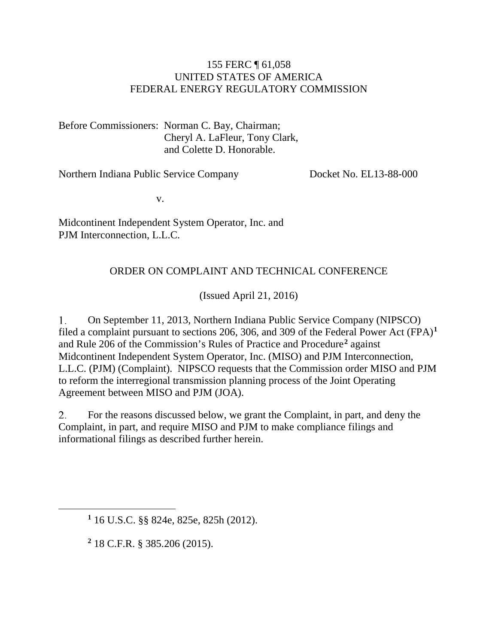#### 155 FERC ¶ 61,058 UNITED STATES OF AMERICA FEDERAL ENERGY REGULATORY COMMISSION

Before Commissioners: Norman C. Bay, Chairman; Cheryl A. LaFleur, Tony Clark, and Colette D. Honorable.

Northern Indiana Public Service Company

Docket No. EL13-88-000

v.

Midcontinent Independent System Operator, Inc. and PJM Interconnection, L.L.C.

#### ORDER ON COMPLAINT AND TECHNICAL CONFERENCE

(Issued April 21, 2016)

1. On September 11, 2013, Northern Indiana Public Service Company (NIPSCO) filed a complaint pursuant to sections 206, 306, and 309 of the Federal Power Act (FPA)**[1](#page-0-0)** and Rule 206 of the Commission's Rules of Practice and Procedure**[2](#page-0-1)** against Midcontinent Independent System Operator, Inc. (MISO) and PJM Interconnection, L.L.C. (PJM) (Complaint). NIPSCO requests that the Commission order MISO and PJM to reform the interregional transmission planning process of the Joint Operating Agreement between MISO and PJM (JOA).

2. For the reasons discussed below, we grant the Complaint, in part, and deny the Complaint, in part, and require MISO and PJM to make compliance filings and informational filings as described further herein.

**<sup>2</sup>** 18 C.F.R. § 385.206 (2015).

<span id="page-0-1"></span><span id="page-0-0"></span> $\overline{a}$ 

**<sup>1</sup>** 16 U.S.C. §§ 824e, 825e, 825h (2012).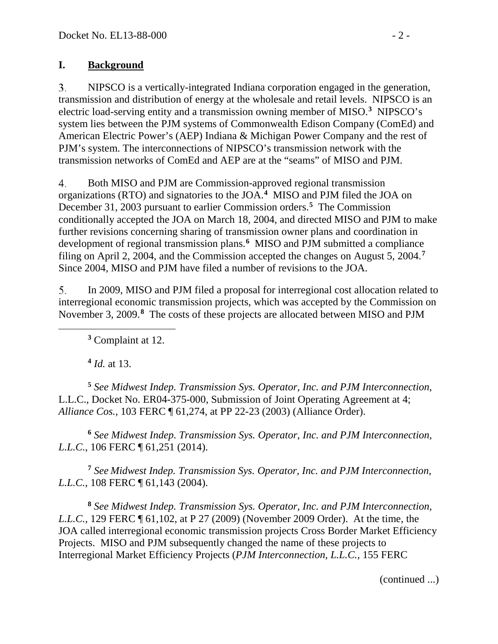### **I. Background**

 $3<sub>1</sub>$ NIPSCO is a vertically-integrated Indiana corporation engaged in the generation, transmission and distribution of energy at the wholesale and retail levels. NIPSCO is an electric load-serving entity and a transmission owning member of MISO.**[3](#page-1-0)** NIPSCO's system lies between the PJM systems of Commonwealth Edison Company (ComEd) and American Electric Power's (AEP) Indiana & Michigan Power Company and the rest of PJM's system. The interconnections of NIPSCO's transmission network with the transmission networks of ComEd and AEP are at the "seams" of MISO and PJM.

4. Both MISO and PJM are Commission-approved regional transmission organizations (RTO) and signatories to the JOA.**[4](#page-1-1)** MISO and PJM filed the JOA on December 31, 2003 pursuant to earlier Commission orders.**[5](#page-1-2)** The Commission conditionally accepted the JOA on March 18, 2004, and directed MISO and PJM to make further revisions concerning sharing of transmission owner plans and coordination in development of regional transmission plans.**[6](#page-1-3)** MISO and PJM submitted a compliance filing on April 2, 2004, and the Commission accepted the changes on August 5, 2004.**[7](#page-1-4)** Since 2004, MISO and PJM have filed a number of revisions to the JOA.

5. In 2009, MISO and PJM filed a proposal for interregional cost allocation related to interregional economic transmission projects, which was accepted by the Commission on November 3, 2009.**[8](#page-1-5)** The costs of these projects are allocated between MISO and PJM

**<sup>3</sup>** Complaint at 12.

**<sup>4</sup>** *Id.* at 13.

<span id="page-1-0"></span> $\overline{a}$ 

<span id="page-1-2"></span><span id="page-1-1"></span>**<sup>5</sup>** *See Midwest Indep. Transmission Sys. Operator, Inc. and PJM Interconnection*, L.L.C., Docket No. ER04-375-000, Submission of Joint Operating Agreement at 4; *Alliance Cos.*, 103 FERC ¶ 61,274, at PP 22-23 (2003) (Alliance Order).

<span id="page-1-3"></span>**<sup>6</sup>** *See Midwest Indep. Transmission Sys. Operator, Inc. and PJM Interconnection, L.L.C.*, 106 FERC ¶ 61,251 (2014).

<span id="page-1-4"></span>**<sup>7</sup>** *See Midwest Indep. Transmission Sys. Operator, Inc. and PJM Interconnection, L.L.C.*, 108 FERC ¶ 61,143 (2004).

<span id="page-1-5"></span>**<sup>8</sup>** *See Midwest Indep. Transmission Sys. Operator, Inc. and PJM Interconnection, L.L.C.*, 129 FERC ¶ 61,102, at P 27 (2009) (November 2009 Order). At the time, the JOA called interregional economic transmission projects Cross Border Market Efficiency Projects. MISO and PJM subsequently changed the name of these projects to Interregional Market Efficiency Projects (*PJM Interconnection, L.L.C.,* 155 FERC

(continued ...)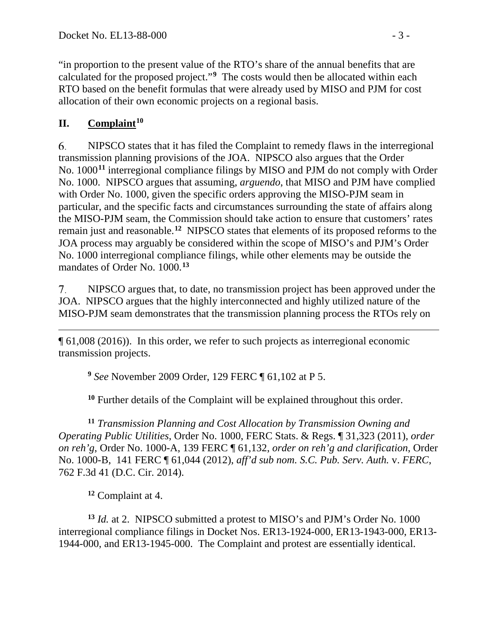"in proportion to the present value of the RTO's share of the annual benefits that are calculated for the proposed project."**[9](#page-2-0)** The costs would then be allocated within each RTO based on the benefit formulas that were already used by MISO and PJM for cost allocation of their own economic projects on a regional basis.

# **II. Complaint[10](#page-2-1)**

6. NIPSCO states that it has filed the Complaint to remedy flaws in the interregional transmission planning provisions of the JOA. NIPSCO also argues that the Order No. 1000**[11](#page-2-2)** interregional compliance filings by MISO and PJM do not comply with Order No. 1000. NIPSCO argues that assuming, *arguendo*, that MISO and PJM have complied with Order No. 1000, given the specific orders approving the MISO-PJM seam in particular, and the specific facts and circumstances surrounding the state of affairs along the MISO-PJM seam, the Commission should take action to ensure that customers' rates remain just and reasonable.**[12](#page-2-3)** NIPSCO states that elements of its proposed reforms to the JOA process may arguably be considered within the scope of MISO's and PJM's Order No. 1000 interregional compliance filings, while other elements may be outside the mandates of Order No. 1000.**[13](#page-2-4)**

7. NIPSCO argues that, to date, no transmission project has been approved under the JOA. NIPSCO argues that the highly interconnected and highly utilized nature of the MISO-PJM seam demonstrates that the transmission planning process the RTOs rely on

 $\overline{a}$ ¶ 61,008 (2016)).In this order, we refer to such projects as interregional economic transmission projects.

**<sup>9</sup>** *See* November 2009 Order, 129 FERC ¶ 61,102 at P 5.

**<sup>10</sup>** Further details of the Complaint will be explained throughout this order.

<span id="page-2-2"></span><span id="page-2-1"></span><span id="page-2-0"></span>**<sup>11</sup>** *Transmission Planning and Cost Allocation by Transmission Owning and Operating Public Utilities*, Order No. 1000, FERC Stats. & Regs. ¶ 31,323 (2011), *order on reh'g*, Order No. 1000-A, 139 FERC ¶ 61,132, *order on reh'g and clarification*, Order No. 1000-B, 141 FERC ¶ 61,044 (2012), *aff'd sub nom. S.C. Pub. Serv. Auth.* v. *FERC*, 762 F.3d 41 (D.C. Cir. 2014).

**<sup>12</sup>** Complaint at 4.

<span id="page-2-4"></span><span id="page-2-3"></span>**<sup>13</sup>** *Id.* at 2. NIPSCO submitted a protest to MISO's and PJM's Order No. 1000 interregional compliance filings in Docket Nos. ER13-1924-000, ER13-1943-000, ER13- 1944-000, and ER13-1945-000. The Complaint and protest are essentially identical.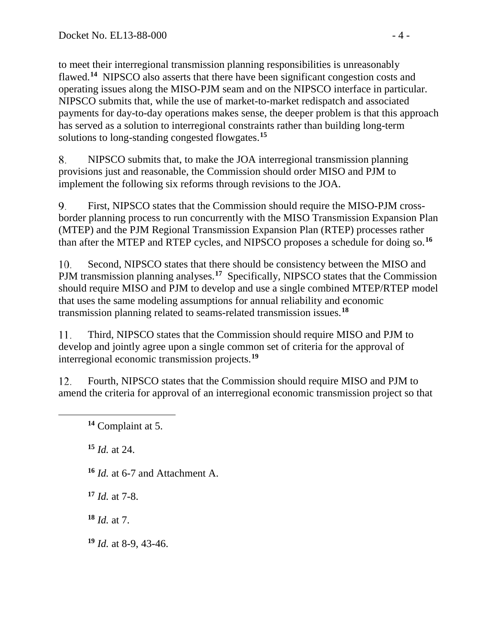to meet their interregional transmission planning responsibilities is unreasonably flawed.**[14](#page-3-0)** NIPSCO also asserts that there have been significant congestion costs and operating issues along the MISO-PJM seam and on the NIPSCO interface in particular. NIPSCO submits that, while the use of market-to-market redispatch and associated payments for day-to-day operations makes sense, the deeper problem is that this approach has served as a solution to interregional constraints rather than building long-term solutions to long-standing congested flowgates.**[15](#page-3-1)**

NIPSCO submits that, to make the JOA interregional transmission planning 8. provisions just and reasonable, the Commission should order MISO and PJM to implement the following six reforms through revisions to the JOA.

9. First, NIPSCO states that the Commission should require the MISO-PJM crossborder planning process to run concurrently with the MISO Transmission Expansion Plan (MTEP) and the PJM Regional Transmission Expansion Plan (RTEP) processes rather than after the MTEP and RTEP cycles, and NIPSCO proposes a schedule for doing so.**[16](#page-3-2)**

10. Second, NIPSCO states that there should be consistency between the MISO and PJM transmission planning analyses.<sup>[17](#page-3-3)</sup> Specifically, NIPSCO states that the Commission should require MISO and PJM to develop and use a single combined MTEP/RTEP model that uses the same modeling assumptions for annual reliability and economic transmission planning related to seams-related transmission issues.**[18](#page-3-4)**

Third, NIPSCO states that the Commission should require MISO and PJM to 11. develop and jointly agree upon a single common set of criteria for the approval of interregional economic transmission projects. **[19](#page-3-5)**

12. Fourth, NIPSCO states that the Commission should require MISO and PJM to amend the criteria for approval of an interregional economic transmission project so that

**<sup>14</sup>** Complaint at 5.

**<sup>15</sup>** *Id.* at 24.

<span id="page-3-2"></span><span id="page-3-1"></span><span id="page-3-0"></span> $\overline{a}$ 

**<sup>16</sup>** *Id.* at 6-7 and Attachment A.

<span id="page-3-3"></span>**<sup>17</sup>** *Id.* at 7-8.

<span id="page-3-4"></span>**<sup>18</sup>** *Id.* at 7.

<span id="page-3-5"></span>**<sup>19</sup>** *Id.* at 8-9, 43-46.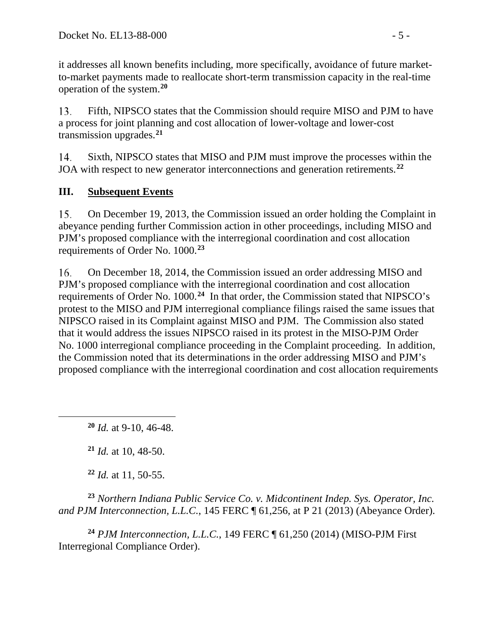it addresses all known benefits including, more specifically, avoidance of future marketto-market payments made to reallocate short-term transmission capacity in the real-time operation of the system.**[20](#page-4-0)**

13. Fifth, NIPSCO states that the Commission should require MISO and PJM to have a process for joint planning and cost allocation of lower-voltage and lower-cost transmission upgrades.**[21](#page-4-1)**

14. Sixth, NIPSCO states that MISO and PJM must improve the processes within the JOA with respect to new generator interconnections and generation retirements.**[22](#page-4-2)**

# **III. Subsequent Events**

15. On December 19, 2013, the Commission issued an order holding the Complaint in abeyance pending further Commission action in other proceedings, including MISO and PJM's proposed compliance with the interregional coordination and cost allocation requirements of Order No. 1000.**[23](#page-4-3)**

On December 18, 2014, the Commission issued an order addressing MISO and 16. PJM's proposed compliance with the interregional coordination and cost allocation requirements of Order No. 1000.**[24](#page-4-4)** In that order, the Commission stated that NIPSCO's protest to the MISO and PJM interregional compliance filings raised the same issues that NIPSCO raised in its Complaint against MISO and PJM. The Commission also stated that it would address the issues NIPSCO raised in its protest in the MISO-PJM Order No. 1000 interregional compliance proceeding in the Complaint proceeding. In addition, the Commission noted that its determinations in the order addressing MISO and PJM's proposed compliance with the interregional coordination and cost allocation requirements

**<sup>20</sup>** *Id.* at 9-10, 46-48.

**<sup>21</sup>** *Id.* at 10, 48-50.

<span id="page-4-1"></span><span id="page-4-0"></span> $\overline{a}$ 

**<sup>22</sup>** *Id.* at 11, 50-55.

<span id="page-4-3"></span><span id="page-4-2"></span>**<sup>23</sup>** *Northern Indiana Public Service Co. v. Midcontinent Indep. Sys. Operator, Inc. and PJM Interconnection, L.L.C.*, 145 FERC ¶ 61,256, at P 21 (2013) (Abeyance Order).

<span id="page-4-4"></span>**<sup>24</sup>** *PJM Interconnection, L.L.C.*, 149 FERC ¶ 61,250 (2014) (MISO-PJM First Interregional Compliance Order).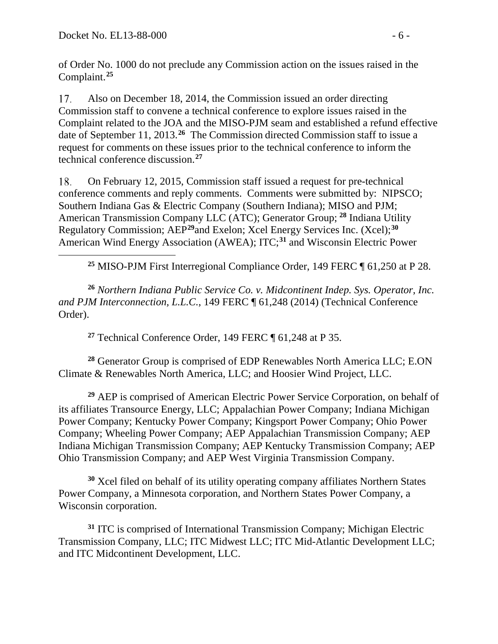<span id="page-5-0"></span> $\overline{a}$ 

of Order No. 1000 do not preclude any Commission action on the issues raised in the Complaint. **[25](#page-5-0)**

17. Also on December 18, 2014, the Commission issued an order directing Commission staff to convene a technical conference to explore issues raised in the Complaint related to the JOA and the MISO-PJM seam and established a refund effective date of September 11, 2013.**[26](#page-5-1)** The Commission directed Commission staff to issue a request for comments on these issues prior to the technical conference to inform the technical conference discussion. **[27](#page-5-2)**

On February 12, 2015, Commission staff issued a request for pre-technical 18. conference comments and reply comments. Comments were submitted by: NIPSCO; Southern Indiana Gas & Electric Company (Southern Indiana); MISO and PJM; American Transmission Company LLC (ATC); Generator Group; **[28](#page-5-3)** Indiana Utility Regulatory Commission; AEP**[29](#page-5-4)**and Exelon; Xcel Energy Services Inc. (Xcel);**[30](#page-5-5)** American Wind Energy Association (AWEA); ITC;**[31](#page-5-6)** and Wisconsin Electric Power

**<sup>25</sup>** MISO-PJM First Interregional Compliance Order, 149 FERC ¶ 61,250 at P 28.

<span id="page-5-1"></span>**<sup>26</sup>** *Northern Indiana Public Service Co. v. Midcontinent Indep. Sys. Operator, Inc. and PJM Interconnection, L.L.C.*, 149 FERC ¶ 61,248 (2014) (Technical Conference Order).

**<sup>27</sup>** Technical Conference Order, 149 FERC ¶ 61,248 at P 35.

<span id="page-5-3"></span><span id="page-5-2"></span>**<sup>28</sup>** Generator Group is comprised of EDP Renewables North America LLC; E.ON Climate & Renewables North America, LLC; and Hoosier Wind Project, LLC.

<span id="page-5-4"></span>**<sup>29</sup>** AEP is comprised of American Electric Power Service Corporation, on behalf of its affiliates Transource Energy, LLC; Appalachian Power Company; Indiana Michigan Power Company; Kentucky Power Company; Kingsport Power Company; Ohio Power Company; Wheeling Power Company; AEP Appalachian Transmission Company; AEP Indiana Michigan Transmission Company; AEP Kentucky Transmission Company; AEP Ohio Transmission Company; and AEP West Virginia Transmission Company.

<span id="page-5-5"></span>**<sup>30</sup>** Xcel filed on behalf of its utility operating company affiliates Northern States Power Company, a Minnesota corporation, and Northern States Power Company, a Wisconsin corporation.

<span id="page-5-6"></span>**<sup>31</sup>** ITC is comprised of International Transmission Company; Michigan Electric Transmission Company, LLC; ITC Midwest LLC; ITC Mid-Atlantic Development LLC; and ITC Midcontinent Development, LLC.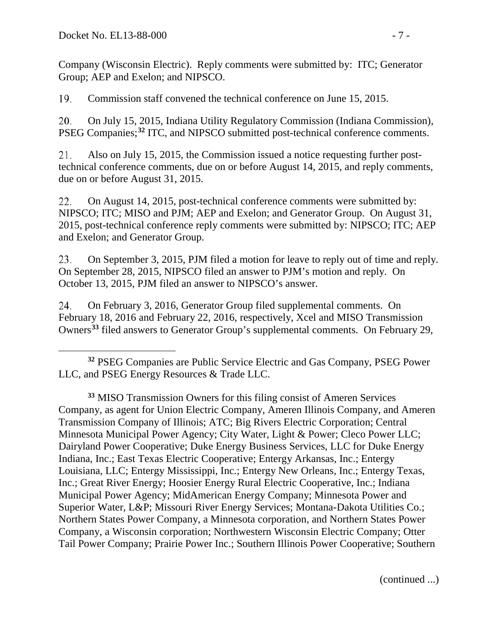Company (Wisconsin Electric). Reply comments were submitted by: ITC; Generator Group; AEP and Exelon; and NIPSCO.

19. Commission staff convened the technical conference on June 15, 2015.

20. On July 15, 2015, Indiana Utility Regulatory Commission (Indiana Commission), PSEG Companies;**[32](#page-6-0)** ITC, and NIPSCO submitted post-technical conference comments.

21. Also on July 15, 2015, the Commission issued a notice requesting further posttechnical conference comments, due on or before August 14, 2015, and reply comments, due on or before August 31, 2015.

22. On August 14, 2015, post-technical conference comments were submitted by: NIPSCO; ITC; MISO and PJM; AEP and Exelon; and Generator Group. On August 31, 2015, post-technical conference reply comments were submitted by: NIPSCO; ITC; AEP and Exelon; and Generator Group.

23. On September 3, 2015, PJM filed a motion for leave to reply out of time and reply. On September 28, 2015, NIPSCO filed an answer to PJM's motion and reply. On October 13, 2015, PJM filed an answer to NIPSCO's answer.

24. On February 3, 2016, Generator Group filed supplemental comments. On February 18, 2016 and February 22, 2016, respectively, Xcel and MISO Transmission Owners**[33](#page-6-1)** filed answers to Generator Group's supplemental comments. On February 29,

<span id="page-6-1"></span>**<sup>33</sup>** MISO Transmission Owners for this filing consist of Ameren Services Company, as agent for Union Electric Company, Ameren Illinois Company, and Ameren Transmission Company of Illinois; ATC; Big Rivers Electric Corporation; Central Minnesota Municipal Power Agency; City Water, Light & Power; Cleco Power LLC; Dairyland Power Cooperative; Duke Energy Business Services, LLC for Duke Energy Indiana, Inc.; East Texas Electric Cooperative; Entergy Arkansas, Inc.; Entergy Louisiana, LLC; Entergy Mississippi, Inc.; Entergy New Orleans, Inc.; Entergy Texas, Inc.; Great River Energy; Hoosier Energy Rural Electric Cooperative, Inc.; Indiana Municipal Power Agency; MidAmerican Energy Company; Minnesota Power and Superior Water, L&P; Missouri River Energy Services; Montana-Dakota Utilities Co.; Northern States Power Company, a Minnesota corporation, and Northern States Power Company, a Wisconsin corporation; Northwestern Wisconsin Electric Company; Otter Tail Power Company; Prairie Power Inc.; Southern Illinois Power Cooperative; Southern

(continued ...)

<span id="page-6-0"></span> $\overline{a}$ **<sup>32</sup>** PSEG Companies are Public Service Electric and Gas Company, PSEG Power LLC, and PSEG Energy Resources & Trade LLC.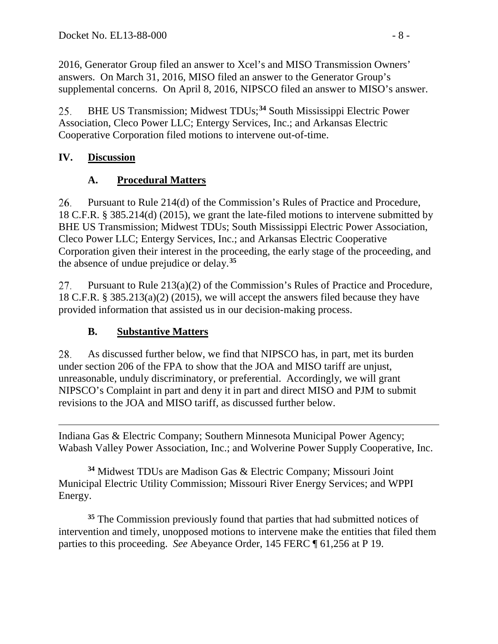2016, Generator Group filed an answer to Xcel's and MISO Transmission Owners' answers. On March 31, 2016, MISO filed an answer to the Generator Group's supplemental concerns. On April 8, 2016, NIPSCO filed an answer to MISO's answer.

BHE US Transmission; Midwest TDUs;**[34](#page-7-0)** South Mississippi Electric Power 25. Association, Cleco Power LLC; Entergy Services, Inc.; and Arkansas Electric Cooperative Corporation filed motions to intervene out-of-time.

## **IV. Discussion**

# **A. Procedural Matters**

26. Pursuant to Rule 214(d) of the Commission's Rules of Practice and Procedure, 18 C.F.R. § 385.214(d) (2015), we grant the late-filed motions to intervene submitted by BHE US Transmission; Midwest TDUs; South Mississippi Electric Power Association, Cleco Power LLC; Entergy Services, Inc.; and Arkansas Electric Cooperative Corporation given their interest in the proceeding, the early stage of the proceeding, and the absence of undue prejudice or delay.**[35](#page-7-1)**

27. Pursuant to Rule 213(a)(2) of the Commission's Rules of Practice and Procedure, 18 C.F.R. § 385.213(a)(2) (2015), we will accept the answers filed because they have provided information that assisted us in our decision-making process.

# **B. Substantive Matters**

28. As discussed further below, we find that NIPSCO has, in part, met its burden under section 206 of the FPA to show that the JOA and MISO tariff are unjust, unreasonable, unduly discriminatory, or preferential. Accordingly, we will grant NIPSCO's Complaint in part and deny it in part and direct MISO and PJM to submit revisions to the JOA and MISO tariff, as discussed further below.

 $\overline{a}$ Indiana Gas & Electric Company; Southern Minnesota Municipal Power Agency; Wabash Valley Power Association, Inc.; and Wolverine Power Supply Cooperative, Inc.

<span id="page-7-0"></span>**<sup>34</sup>** Midwest TDUs are Madison Gas & Electric Company; Missouri Joint Municipal Electric Utility Commission; Missouri River Energy Services; and WPPI Energy.

<span id="page-7-1"></span>**<sup>35</sup>** The Commission previously found that parties that had submitted notices of intervention and timely, unopposed motions to intervene make the entities that filed them parties to this proceeding. *See* Abeyance Order, 145 FERC ¶ 61,256 at P 19.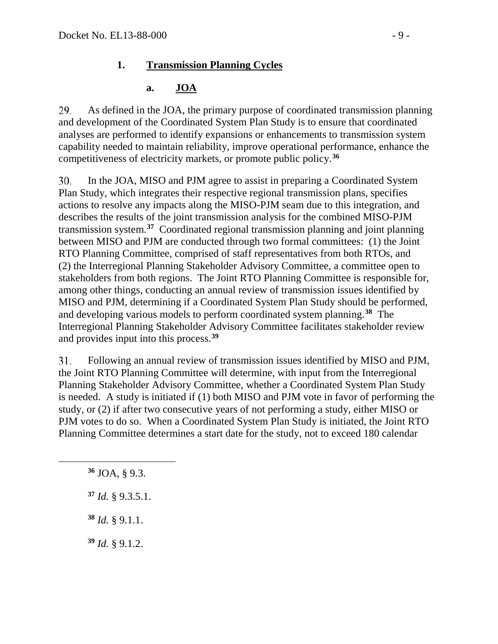### **1. Transmission Planning Cycles**

### **a. JOA**

29. As defined in the JOA, the primary purpose of coordinated transmission planning and development of the Coordinated System Plan Study is to ensure that coordinated analyses are performed to identify expansions or enhancements to transmission system capability needed to maintain reliability, improve operational performance, enhance the competitiveness of electricity markets, or promote public policy.**[36](#page-8-0)**

30. In the JOA, MISO and PJM agree to assist in preparing a Coordinated System Plan Study, which integrates their respective regional transmission plans, specifies actions to resolve any impacts along the MISO-PJM seam due to this integration, and describes the results of the joint transmission analysis for the combined MISO-PJM transmission system.**[37](#page-8-1)** Coordinated regional transmission planning and joint planning between MISO and PJM are conducted through two formal committees: (1) the Joint RTO Planning Committee, comprised of staff representatives from both RTOs, and (2) the Interregional Planning Stakeholder Advisory Committee, a committee open to stakeholders from both regions. The Joint RTO Planning Committee is responsible for, among other things, conducting an annual review of transmission issues identified by MISO and PJM, determining if a Coordinated System Plan Study should be performed, and developing various models to perform coordinated system planning.**[38](#page-8-2)** The Interregional Planning Stakeholder Advisory Committee facilitates stakeholder review and provides input into this process.**[39](#page-8-3)**

Following an annual review of transmission issues identified by MISO and PJM, 31. the Joint RTO Planning Committee will determine, with input from the Interregional Planning Stakeholder Advisory Committee, whether a Coordinated System Plan Study is needed. A study is initiated if (1) both MISO and PJM vote in favor of performing the study, or (2) if after two consecutive years of not performing a study, either MISO or PJM votes to do so. When a Coordinated System Plan Study is initiated, the Joint RTO Planning Committee determines a start date for the study, not to exceed 180 calendar

**<sup>36</sup>** JOA, § 9.3.

<span id="page-8-2"></span><span id="page-8-1"></span><span id="page-8-0"></span> $\overline{a}$ 

**<sup>37</sup>** *Id.* § 9.3.5.1.

**<sup>38</sup>** *Id.* § 9.1.1.

<span id="page-8-3"></span>**<sup>39</sup>** *Id.* § 9.1.2.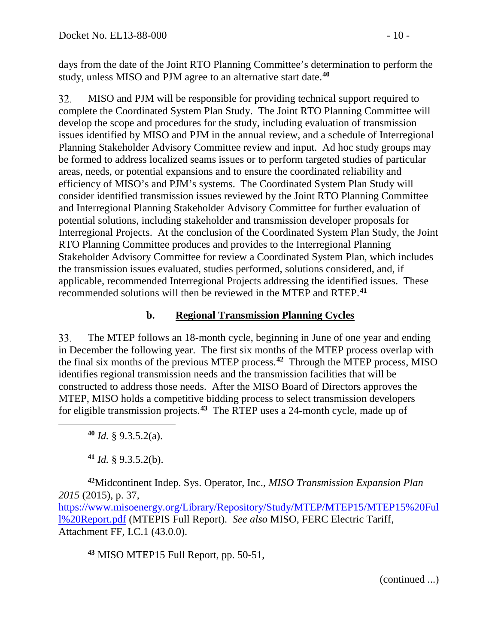days from the date of the Joint RTO Planning Committee's determination to perform the study, unless MISO and PJM agree to an alternative start date.**[40](#page-9-0)**

32. MISO and PJM will be responsible for providing technical support required to complete the Coordinated System Plan Study. The Joint RTO Planning Committee will develop the scope and procedures for the study, including evaluation of transmission issues identified by MISO and PJM in the annual review, and a schedule of Interregional Planning Stakeholder Advisory Committee review and input. Ad hoc study groups may be formed to address localized seams issues or to perform targeted studies of particular areas, needs, or potential expansions and to ensure the coordinated reliability and efficiency of MISO's and PJM's systems. The Coordinated System Plan Study will consider identified transmission issues reviewed by the Joint RTO Planning Committee and Interregional Planning Stakeholder Advisory Committee for further evaluation of potential solutions, including stakeholder and transmission developer proposals for Interregional Projects. At the conclusion of the Coordinated System Plan Study, the Joint RTO Planning Committee produces and provides to the Interregional Planning Stakeholder Advisory Committee for review a Coordinated System Plan, which includes the transmission issues evaluated, studies performed, solutions considered, and, if applicable, recommended Interregional Projects addressing the identified issues. These recommended solutions will then be reviewed in the MTEP and RTEP.**[41](#page-9-1)**

#### **b. Regional Transmission Planning Cycles**

33. The MTEP follows an 18-month cycle, beginning in June of one year and ending in December the following year. The first six months of the MTEP process overlap with the final six months of the previous MTEP process.**[42](#page-9-2)** Through the MTEP process, MISO identifies regional transmission needs and the transmission facilities that will be constructed to address those needs. After the MISO Board of Directors approves the MTEP, MISO holds a competitive bidding process to select transmission developers for eligible transmission projects.**[43](#page-9-3)** The RTEP uses a 24-month cycle, made up of

**<sup>40</sup>** *Id.* § 9.3.5.2(a).

<span id="page-9-0"></span> $\overline{a}$ 

**<sup>41</sup>** *Id.* § 9.3.5.2(b).

<span id="page-9-2"></span><span id="page-9-1"></span>**<sup>42</sup>**Midcontinent Indep. Sys. Operator, Inc., *MISO Transmission Expansion Plan 2015* (2015), p. 37, [https://www.misoenergy.org/Library/Repository/Study/MTEP/MTEP15/MTEP15%20Ful](https://www.misoenergy.org/Library/Repository/Study/MTEP/MTEP15/MTEP15%20Full%20Report.pdf) [l%20Report.pdf](https://www.misoenergy.org/Library/Repository/Study/MTEP/MTEP15/MTEP15%20Full%20Report.pdf) (MTEPIS Full Report). *See also* MISO, FERC Electric Tariff, Attachment FF, I.C.1 (43.0.0).

<span id="page-9-3"></span>**<sup>43</sup>** MISO MTEP15 Full Report, pp. 50-51,

(continued ...)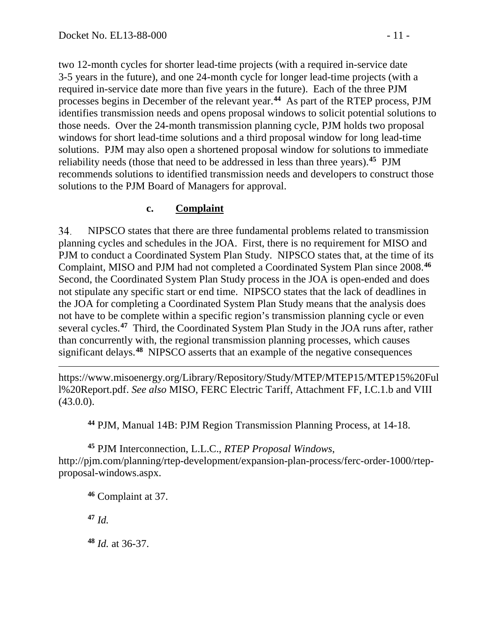two 12-month cycles for shorter lead-time projects (with a required in-service date 3-5 years in the future), and one 24-month cycle for longer lead-time projects (with a required in-service date more than five years in the future). Each of the three PJM processes begins in December of the relevant year.**[44](#page-10-0)** As part of the RTEP process, PJM identifies transmission needs and opens proposal windows to solicit potential solutions to those needs. Over the 24-month transmission planning cycle, PJM holds two proposal windows for short lead-time solutions and a third proposal window for long lead-time solutions. PJM may also open a shortened proposal window for solutions to immediate reliability needs (those that need to be addressed in less than three years).**[45](#page-10-1)** PJM recommends solutions to identified transmission needs and developers to construct those solutions to the PJM Board of Managers for approval.

#### **c. Complaint**

34. NIPSCO states that there are three fundamental problems related to transmission planning cycles and schedules in the JOA. First, there is no requirement for MISO and PJM to conduct a Coordinated System Plan Study. NIPSCO states that, at the time of its Complaint, MISO and PJM had not completed a Coordinated System Plan since 2008.**[46](#page-10-2)** Second, the Coordinated System Plan Study process in the JOA is open-ended and does not stipulate any specific start or end time. NIPSCO states that the lack of deadlines in the JOA for completing a Coordinated System Plan Study means that the analysis does not have to be complete within a specific region's transmission planning cycle or even several cycles.**[47](#page-10-3)** Third, the Coordinated System Plan Study in the JOA runs after, rather than concurrently with, the regional transmission planning processes, which causes significant delays.**[48](#page-10-4)** NIPSCO asserts that an example of the negative consequences

 $\overline{a}$ https://www.misoenergy.org/Library/Repository/Study/MTEP/MTEP15/MTEP15%20Ful l%20Report.pdf. *See also* MISO, FERC Electric Tariff, Attachment FF, I.C.1.b and VIII  $(43.0.0)$ .

**<sup>44</sup>** PJM, Manual 14B: PJM Region Transmission Planning Process, at 14-18.

<span id="page-10-2"></span><span id="page-10-1"></span><span id="page-10-0"></span>**<sup>45</sup>** PJM Interconnection, L.L.C., *RTEP Proposal Windows*, http://pjm.com/planning/rtep-development/expansion-plan-process/ferc-order-1000/rtepproposal-windows.aspx.

**<sup>46</sup>** Complaint at 37.

<span id="page-10-3"></span>**<sup>47</sup>** *Id.*

<span id="page-10-4"></span>**<sup>48</sup>** *Id.* at 36-37.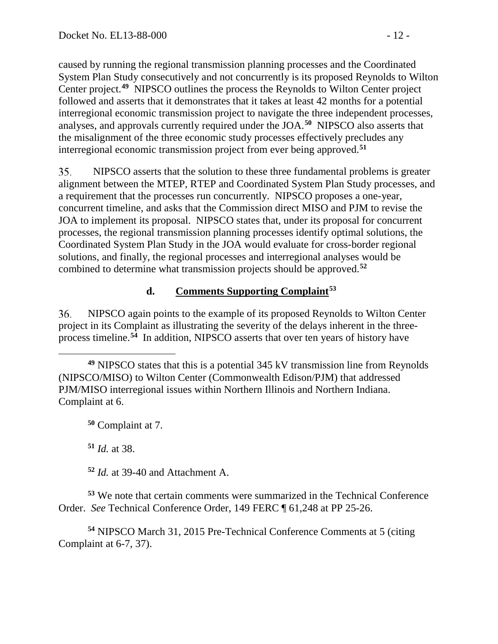caused by running the regional transmission planning processes and the Coordinated System Plan Study consecutively and not concurrently is its proposed Reynolds to Wilton Center project.**[49](#page-11-0)** NIPSCO outlines the process the Reynolds to Wilton Center project followed and asserts that it demonstrates that it takes at least 42 months for a potential interregional economic transmission project to navigate the three independent processes, analyses, and approvals currently required under the JOA.**[50](#page-11-1)** NIPSCO also asserts that the misalignment of the three economic study processes effectively precludes any interregional economic transmission project from ever being approved.**[51](#page-11-2)**

35. NIPSCO asserts that the solution to these three fundamental problems is greater alignment between the MTEP, RTEP and Coordinated System Plan Study processes, and a requirement that the processes run concurrently. NIPSCO proposes a one-year, concurrent timeline, and asks that the Commission direct MISO and PJM to revise the JOA to implement its proposal. NIPSCO states that, under its proposal for concurrent processes, the regional transmission planning processes identify optimal solutions, the Coordinated System Plan Study in the JOA would evaluate for cross-border regional solutions, and finally, the regional processes and interregional analyses would be combined to determine what transmission projects should be approved.**[52](#page-11-3)**

# **d. Comments Supporting Complaint[53](#page-11-4)**

NIPSCO again points to the example of its proposed Reynolds to Wilton Center 36. project in its Complaint as illustrating the severity of the delays inherent in the threeprocess timeline.**[54](#page-11-5)** In addition, NIPSCO asserts that over ten years of history have

<span id="page-11-1"></span>**<sup>50</sup>** Complaint at 7.

**<sup>51</sup>** *Id.* at 38.

**<sup>52</sup>** *Id.* at 39-40 and Attachment A.

<span id="page-11-4"></span><span id="page-11-3"></span><span id="page-11-2"></span>**<sup>53</sup>** We note that certain comments were summarized in the Technical Conference Order. *See* Technical Conference Order, 149 FERC ¶ 61,248 at PP 25-26.

<span id="page-11-5"></span>**<sup>54</sup>** NIPSCO March 31, 2015 Pre-Technical Conference Comments at 5 (citing Complaint at 6-7, 37).

<span id="page-11-0"></span> $\overline{a}$ **<sup>49</sup>** NIPSCO states that this is a potential 345 kV transmission line from Reynolds (NIPSCO/MISO) to Wilton Center (Commonwealth Edison/PJM) that addressed PJM/MISO interregional issues within Northern Illinois and Northern Indiana. Complaint at 6.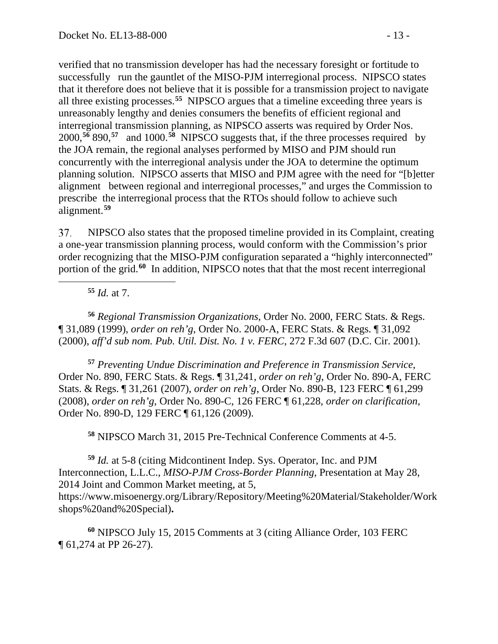verified that no transmission developer has had the necessary foresight or fortitude to successfully run the gauntlet of the MISO-PJM interregional process. NIPSCO states that it therefore does not believe that it is possible for a transmission project to navigate all three existing processes.**[55](#page-12-0)** NIPSCO argues that a timeline exceeding three years is unreasonably lengthy and denies consumers the benefits of efficient regional and interregional transmission planning, as NIPSCO asserts was required by Order Nos. 2000,**[56](#page-12-1)** 890,**[57](#page-12-2)** and 1000.**[58](#page-12-3)** NIPSCO suggests that, if the three processes required by the JOA remain, the regional analyses performed by MISO and PJM should run concurrently with the interregional analysis under the JOA to determine the optimum planning solution. NIPSCO asserts that MISO and PJM agree with the need for "[b]etter alignment between regional and interregional processes," and urges the Commission to prescribe the interregional process that the RTOs should follow to achieve such alignment.**[59](#page-12-4)**

37. NIPSCO also states that the proposed timeline provided in its Complaint, creating a one-year transmission planning process, would conform with the Commission's prior order recognizing that the MISO-PJM configuration separated a "highly interconnected" portion of the grid.**[60](#page-12-5)** In addition, NIPSCO notes that that the most recent interregional

**<sup>55</sup>** *Id.* at 7.

<span id="page-12-0"></span> $\overline{a}$ 

<span id="page-12-1"></span>**<sup>56</sup>** *Regional Transmission Organizations*, Order No. 2000, FERC Stats. & Regs. ¶ 31,089 (1999), *order on reh'g*, Order No. 2000-A, FERC Stats. & Regs. ¶ 31,092 (2000), *aff'd sub nom. Pub. Util. Dist. No. 1 v. FERC*, 272 F.3d 607 (D.C. Cir. 2001).

<span id="page-12-2"></span>**<sup>57</sup>** *Preventing Undue Discrimination and Preference in Transmission Service*, Order No. 890, FERC Stats. & Regs. ¶ 31,241, *order on reh'g*, Order No. 890-A, FERC Stats. & Regs. ¶ 31,261 (2007), *order on reh'g*, Order No. 890-B, 123 FERC ¶ 61,299 (2008), *order on reh'g*, Order No. 890-C, 126 FERC ¶ 61,228, *order on clarification*, Order No. 890-D, 129 FERC ¶ 61,126 (2009).

**<sup>58</sup>** NIPSCO March 31, 2015 Pre-Technical Conference Comments at 4-5.

<span id="page-12-4"></span><span id="page-12-3"></span>**<sup>59</sup>** *Id.* at 5-8 (citing Midcontinent Indep. Sys. Operator, Inc. and PJM Interconnection, L.L.C., *MISO-PJM Cross-Border Planning*, Presentation at May 28, 2014 Joint and Common Market meeting, at 5, https://www.misoenergy.org/Library/Repository/Meeting%20Material/Stakeholder/Work shops%20and%20Special)**.**

<span id="page-12-5"></span>**<sup>60</sup>** NIPSCO July 15, 2015 Comments at 3 (citing Alliance Order, 103 FERC ¶ 61,274 at PP 26-27).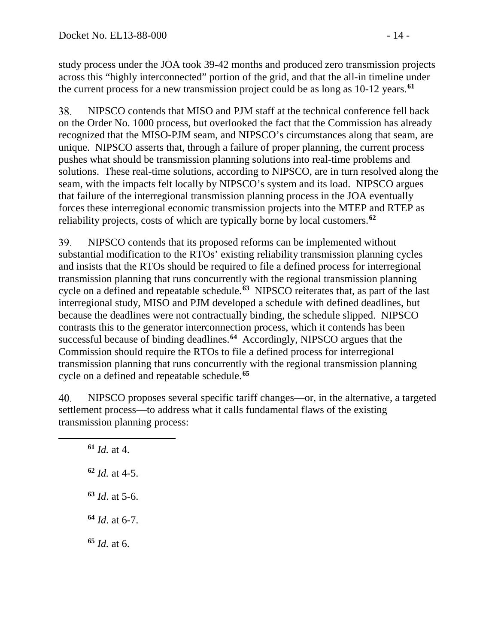study process under the JOA took 39-42 months and produced zero transmission projects across this "highly interconnected" portion of the grid, and that the all-in timeline under the current process for a new transmission project could be as long as 10-12 years.**[61](#page-13-0)**

38. NIPSCO contends that MISO and PJM staff at the technical conference fell back on the Order No. 1000 process, but overlooked the fact that the Commission has already recognized that the MISO-PJM seam, and NIPSCO's circumstances along that seam, are unique. NIPSCO asserts that, through a failure of proper planning, the current process pushes what should be transmission planning solutions into real-time problems and solutions. These real-time solutions, according to NIPSCO, are in turn resolved along the seam, with the impacts felt locally by NIPSCO's system and its load. NIPSCO argues that failure of the interregional transmission planning process in the JOA eventually forces these interregional economic transmission projects into the MTEP and RTEP as reliability projects, costs of which are typically borne by local customers.**[62](#page-13-1)**

39. NIPSCO contends that its proposed reforms can be implemented without substantial modification to the RTOs' existing reliability transmission planning cycles and insists that the RTOs should be required to file a defined process for interregional transmission planning that runs concurrently with the regional transmission planning cycle on a defined and repeatable schedule.**[63](#page-13-2)** NIPSCO reiterates that, as part of the last interregional study, MISO and PJM developed a schedule with defined deadlines, but because the deadlines were not contractually binding, the schedule slipped. NIPSCO contrasts this to the generator interconnection process, which it contends has been successful because of binding deadlines.**[64](#page-13-3)** Accordingly, NIPSCO argues that the Commission should require the RTOs to file a defined process for interregional transmission planning that runs concurrently with the regional transmission planning cycle on a defined and repeatable schedule.**[65](#page-13-4)**

40. NIPSCO proposes several specific tariff changes—or, in the alternative, a targeted settlement process—to address what it calls fundamental flaws of the existing transmission planning process:

 *Id.* at 4. *Id.* at 4-5. *Id*. at 5-6. *Id*. at 6-7. **<sup>65</sup>** *Id.* at 6.

<span id="page-13-4"></span><span id="page-13-3"></span><span id="page-13-2"></span><span id="page-13-1"></span><span id="page-13-0"></span> $\overline{a}$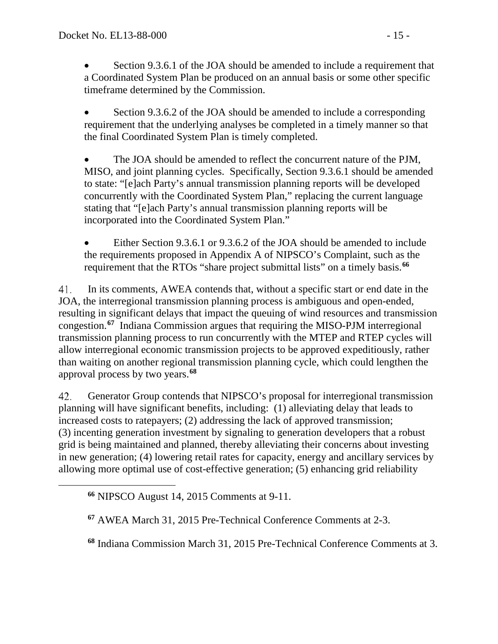• Section 9.3.6.1 of the JOA should be amended to include a requirement that a Coordinated System Plan be produced on an annual basis or some other specific timeframe determined by the Commission.

• Section 9.3.6.2 of the JOA should be amended to include a corresponding requirement that the underlying analyses be completed in a timely manner so that the final Coordinated System Plan is timely completed.

The JOA should be amended to reflect the concurrent nature of the PJM, MISO, and joint planning cycles. Specifically, Section 9.3.6.1 should be amended to state: "[e]ach Party's annual transmission planning reports will be developed concurrently with the Coordinated System Plan," replacing the current language stating that "[e]ach Party's annual transmission planning reports will be incorporated into the Coordinated System Plan."

Either Section 9.3.6.1 or 9.3.6.2 of the JOA should be amended to include the requirements proposed in Appendix A of NIPSCO's Complaint, such as the requirement that the RTOs "share project submittal lists" on a timely basis.**[66](#page-14-0)**

41. In its comments, AWEA contends that, without a specific start or end date in the JOA, the interregional transmission planning process is ambiguous and open-ended, resulting in significant delays that impact the queuing of wind resources and transmission congestion.**[67](#page-14-1)** Indiana Commission argues that requiring the MISO-PJM interregional transmission planning process to run concurrently with the MTEP and RTEP cycles will allow interregional economic transmission projects to be approved expeditiously, rather than waiting on another regional transmission planning cycle, which could lengthen the approval process by two years.**[68](#page-14-2)**

42. Generator Group contends that NIPSCO's proposal for interregional transmission planning will have significant benefits, including: (1) alleviating delay that leads to increased costs to ratepayers; (2) addressing the lack of approved transmission; (3) incenting generation investment by signaling to generation developers that a robust grid is being maintained and planned, thereby alleviating their concerns about investing in new generation; (4) lowering retail rates for capacity, energy and ancillary services by allowing more optimal use of cost-effective generation; (5) enhancing grid reliability

<span id="page-14-2"></span><span id="page-14-1"></span><span id="page-14-0"></span> $\overline{a}$ 

**<sup>68</sup>** Indiana Commission March 31, 2015 Pre-Technical Conference Comments at 3.

**<sup>66</sup>** NIPSCO August 14, 2015 Comments at 9-11.

**<sup>67</sup>** AWEA March 31, 2015 Pre-Technical Conference Comments at 2-3.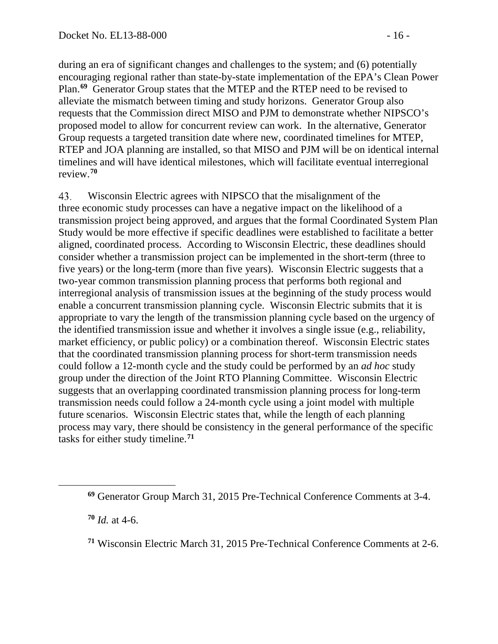during an era of significant changes and challenges to the system; and (6) potentially encouraging regional rather than state-by-state implementation of the EPA's Clean Power Plan.**[69](#page-15-0)** Generator Group states that the MTEP and the RTEP need to be revised to alleviate the mismatch between timing and study horizons. Generator Group also requests that the Commission direct MISO and PJM to demonstrate whether NIPSCO's proposed model to allow for concurrent review can work. In the alternative, Generator Group requests a targeted transition date where new, coordinated timelines for MTEP, RTEP and JOA planning are installed, so that MISO and PJM will be on identical internal timelines and will have identical milestones, which will facilitate eventual interregional review.**[70](#page-15-1)**

43. Wisconsin Electric agrees with NIPSCO that the misalignment of the three economic study processes can have a negative impact on the likelihood of a transmission project being approved, and argues that the formal Coordinated System Plan Study would be more effective if specific deadlines were established to facilitate a better aligned, coordinated process. According to Wisconsin Electric, these deadlines should consider whether a transmission project can be implemented in the short-term (three to five years) or the long-term (more than five years). Wisconsin Electric suggests that a two-year common transmission planning process that performs both regional and interregional analysis of transmission issues at the beginning of the study process would enable a concurrent transmission planning cycle. Wisconsin Electric submits that it is appropriate to vary the length of the transmission planning cycle based on the urgency of the identified transmission issue and whether it involves a single issue (e.g., reliability, market efficiency, or public policy) or a combination thereof. Wisconsin Electric states that the coordinated transmission planning process for short-term transmission needs could follow a 12-month cycle and the study could be performed by an *ad hoc* study group under the direction of the Joint RTO Planning Committee. Wisconsin Electric suggests that an overlapping coordinated transmission planning process for long-term transmission needs could follow a 24-month cycle using a joint model with multiple future scenarios. Wisconsin Electric states that, while the length of each planning process may vary, there should be consistency in the general performance of the specific tasks for either study timeline.**[71](#page-15-2)**

**<sup>70</sup>** *Id.* at 4-6.

<span id="page-15-2"></span><span id="page-15-1"></span><span id="page-15-0"></span> $\overline{a}$ 

**<sup>69</sup>** Generator Group March 31, 2015 Pre-Technical Conference Comments at 3-4.

**<sup>71</sup>** Wisconsin Electric March 31, 2015 Pre-Technical Conference Comments at 2-6.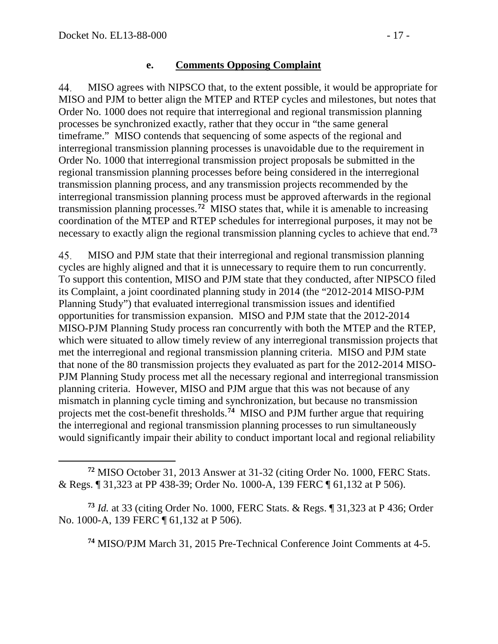#### **e. Comments Opposing Complaint**

44. MISO agrees with NIPSCO that, to the extent possible, it would be appropriate for MISO and PJM to better align the MTEP and RTEP cycles and milestones, but notes that Order No. 1000 does not require that interregional and regional transmission planning processes be synchronized exactly, rather that they occur in "the same general timeframe." MISO contends that sequencing of some aspects of the regional and interregional transmission planning processes is unavoidable due to the requirement in Order No. 1000 that interregional transmission project proposals be submitted in the regional transmission planning processes before being considered in the interregional transmission planning process, and any transmission projects recommended by the interregional transmission planning process must be approved afterwards in the regional transmission planning processes.**[72](#page-16-0)** MISO states that, while it is amenable to increasing coordination of the MTEP and RTEP schedules for interregional purposes, it may not be necessary to exactly align the regional transmission planning cycles to achieve that end.**[73](#page-16-1)**

45. MISO and PJM state that their interregional and regional transmission planning cycles are highly aligned and that it is unnecessary to require them to run concurrently. To support this contention, MISO and PJM state that they conducted, after NIPSCO filed its Complaint, a joint coordinated planning study in 2014 (the "2012-2014 MISO-PJM Planning Study") that evaluated interregional transmission issues and identified opportunities for transmission expansion. MISO and PJM state that the 2012-2014 MISO-PJM Planning Study process ran concurrently with both the MTEP and the RTEP, which were situated to allow timely review of any interregional transmission projects that met the interregional and regional transmission planning criteria. MISO and PJM state that none of the 80 transmission projects they evaluated as part for the 2012-2014 MISO-PJM Planning Study process met all the necessary regional and interregional transmission planning criteria. However, MISO and PJM argue that this was not because of any mismatch in planning cycle timing and synchronization, but because no transmission projects met the cost-benefit thresholds.**[74](#page-16-2)** MISO and PJM further argue that requiring the interregional and regional transmission planning processes to run simultaneously would significantly impair their ability to conduct important local and regional reliability

<span id="page-16-2"></span><span id="page-16-1"></span>**<sup>73</sup>** *Id.* at 33 (citing Order No. 1000, FERC Stats. & Regs. ¶ 31,323 at P 436; Order No. 1000-A, 139 FERC ¶ 61,132 at P 506).

**<sup>74</sup>** MISO/PJM March 31, 2015 Pre-Technical Conference Joint Comments at 4-5.

<span id="page-16-0"></span> $\overline{a}$ **<sup>72</sup>** MISO October 31, 2013 Answer at 31-32 (citing Order No. 1000, FERC Stats. & Regs. ¶ 31,323 at PP 438-39; Order No. 1000-A, 139 FERC ¶ 61,132 at P 506).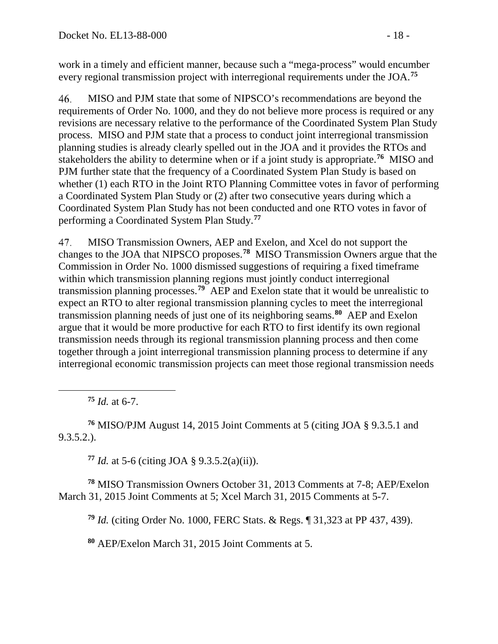work in a timely and efficient manner, because such a "mega-process" would encumber every regional transmission project with interregional requirements under the JOA.**[75](#page-17-0)**

46. MISO and PJM state that some of NIPSCO's recommendations are beyond the requirements of Order No. 1000, and they do not believe more process is required or any revisions are necessary relative to the performance of the Coordinated System Plan Study process. MISO and PJM state that a process to conduct joint interregional transmission planning studies is already clearly spelled out in the JOA and it provides the RTOs and stakeholders the ability to determine when or if a joint study is appropriate.**[76](#page-17-1)** MISO and PJM further state that the frequency of a Coordinated System Plan Study is based on whether (1) each RTO in the Joint RTO Planning Committee votes in favor of performing a Coordinated System Plan Study or (2) after two consecutive years during which a Coordinated System Plan Study has not been conducted and one RTO votes in favor of performing a Coordinated System Plan Study.**[77](#page-17-2)**

MISO Transmission Owners, AEP and Exelon, and Xcel do not support the 47. changes to the JOA that NIPSCO proposes.**[78](#page-17-3)** MISO Transmission Owners argue that the Commission in Order No. 1000 dismissed suggestions of requiring a fixed timeframe within which transmission planning regions must jointly conduct interregional transmission planning processes.**[79](#page-17-4)** AEP and Exelon state that it would be unrealistic to expect an RTO to alter regional transmission planning cycles to meet the interregional transmission planning needs of just one of its neighboring seams.**[80](#page-17-5)** AEP and Exelon argue that it would be more productive for each RTO to first identify its own regional transmission needs through its regional transmission planning process and then come together through a joint interregional transmission planning process to determine if any interregional economic transmission projects can meet those regional transmission needs

**<sup>75</sup>** *Id.* at 6-7.

<span id="page-17-0"></span> $\overline{a}$ 

<span id="page-17-1"></span>**<sup>76</sup>** MISO/PJM August 14, 2015 Joint Comments at 5 (citing JOA § 9.3.5.1 and 9.3.5.2.).

**<sup>77</sup>** *Id.* at 5-6 (citing JOA § 9.3.5.2(a)(ii)).

<span id="page-17-5"></span><span id="page-17-4"></span><span id="page-17-3"></span><span id="page-17-2"></span>**<sup>78</sup>** MISO Transmission Owners October 31, 2013 Comments at 7-8; AEP/Exelon March 31, 2015 Joint Comments at 5; Xcel March 31, 2015 Comments at 5-7.

**<sup>79</sup>** *Id.* (citing Order No. 1000, FERC Stats. & Regs. ¶ 31,323 at PP 437, 439).

**<sup>80</sup>** AEP/Exelon March 31, 2015 Joint Comments at 5.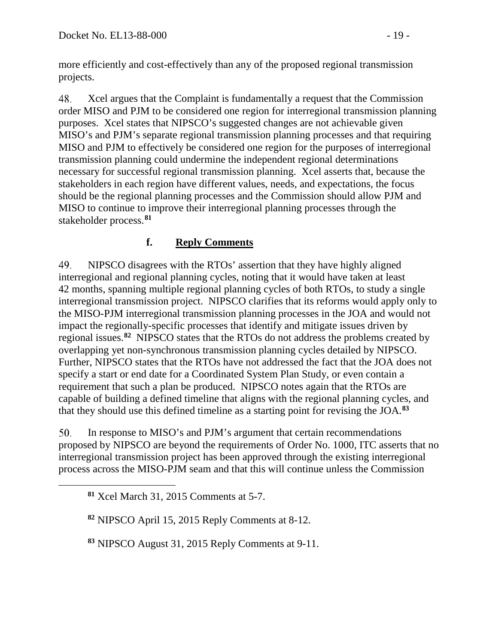more efficiently and cost-effectively than any of the proposed regional transmission projects.

48. Xcel argues that the Complaint is fundamentally a request that the Commission order MISO and PJM to be considered one region for interregional transmission planning purposes. Xcel states that NIPSCO's suggested changes are not achievable given MISO's and PJM's separate regional transmission planning processes and that requiring MISO and PJM to effectively be considered one region for the purposes of interregional transmission planning could undermine the independent regional determinations necessary for successful regional transmission planning. Xcel asserts that, because the stakeholders in each region have different values, needs, and expectations, the focus should be the regional planning processes and the Commission should allow PJM and MISO to continue to improve their interregional planning processes through the stakeholder process.**[81](#page-18-0)**

## **f. Reply Comments**

49. NIPSCO disagrees with the RTOs' assertion that they have highly aligned interregional and regional planning cycles, noting that it would have taken at least 42 months, spanning multiple regional planning cycles of both RTOs, to study a single interregional transmission project. NIPSCO clarifies that its reforms would apply only to the MISO-PJM interregional transmission planning processes in the JOA and would not impact the regionally-specific processes that identify and mitigate issues driven by regional issues.**[82](#page-18-1)** NIPSCO states that the RTOs do not address the problems created by overlapping yet non-synchronous transmission planning cycles detailed by NIPSCO. Further, NIPSCO states that the RTOs have not addressed the fact that the JOA does not specify a start or end date for a Coordinated System Plan Study, or even contain a requirement that such a plan be produced. NIPSCO notes again that the RTOs are capable of building a defined timeline that aligns with the regional planning cycles, and that they should use this defined timeline as a starting point for revising the JOA.**[83](#page-18-2)**

50. In response to MISO's and PJM's argument that certain recommendations proposed by NIPSCO are beyond the requirements of Order No. 1000, ITC asserts that no interregional transmission project has been approved through the existing interregional process across the MISO-PJM seam and that this will continue unless the Commission

<span id="page-18-2"></span><span id="page-18-1"></span><span id="page-18-0"></span> $\overline{a}$ 

**<sup>82</sup>** NIPSCO April 15, 2015 Reply Comments at 8-12.

**<sup>83</sup>** NIPSCO August 31, 2015 Reply Comments at 9-11.

**<sup>81</sup>** Xcel March 31, 2015 Comments at 5-7.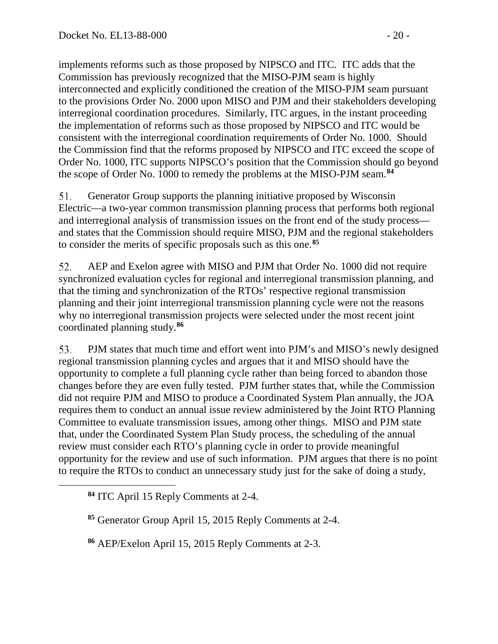implements reforms such as those proposed by NIPSCO and ITC. ITC adds that the Commission has previously recognized that the MISO-PJM seam is highly interconnected and explicitly conditioned the creation of the MISO-PJM seam pursuant to the provisions Order No. 2000 upon MISO and PJM and their stakeholders developing interregional coordination procedures. Similarly, ITC argues, in the instant proceeding the implementation of reforms such as those proposed by NIPSCO and ITC would be consistent with the interregional coordination requirements of Order No. 1000. Should the Commission find that the reforms proposed by NIPSCO and ITC exceed the scope of Order No. 1000, ITC supports NIPSCO's position that the Commission should go beyond the scope of Order No. 1000 to remedy the problems at the MISO-PJM seam.**[84](#page-19-0)**

51. Generator Group supports the planning initiative proposed by Wisconsin Electric—a two-year common transmission planning process that performs both regional and interregional analysis of transmission issues on the front end of the study process and states that the Commission should require MISO, PJM and the regional stakeholders to consider the merits of specific proposals such as this one.**[85](#page-19-1)**

52. AEP and Exelon agree with MISO and PJM that Order No. 1000 did not require synchronized evaluation cycles for regional and interregional transmission planning, and that the timing and synchronization of the RTOs' respective regional transmission planning and their joint interregional transmission planning cycle were not the reasons why no interregional transmission projects were selected under the most recent joint coordinated planning study.**[86](#page-19-2)**

53. PJM states that much time and effort went into PJM's and MISO's newly designed regional transmission planning cycles and argues that it and MISO should have the opportunity to complete a full planning cycle rather than being forced to abandon those changes before they are even fully tested. PJM further states that, while the Commission did not require PJM and MISO to produce a Coordinated System Plan annually, the JOA requires them to conduct an annual issue review administered by the Joint RTO Planning Committee to evaluate transmission issues, among other things. MISO and PJM state that, under the Coordinated System Plan Study process, the scheduling of the annual review must consider each RTO's planning cycle in order to provide meaningful opportunity for the review and use of such information. PJM argues that there is no point to require the RTOs to conduct an unnecessary study just for the sake of doing a study,

<span id="page-19-2"></span><span id="page-19-1"></span><span id="page-19-0"></span> $\overline{a}$ 

**<sup>86</sup>** AEP/Exelon April 15, 2015 Reply Comments at 2-3.

**<sup>84</sup>** ITC April 15 Reply Comments at 2-4.

**<sup>85</sup>** Generator Group April 15, 2015 Reply Comments at 2-4.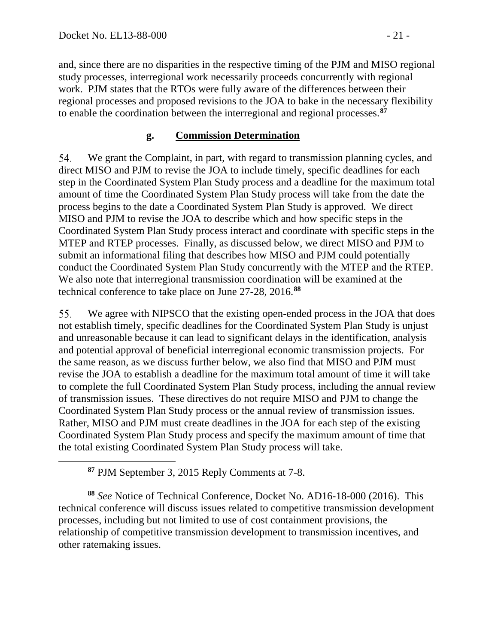<span id="page-20-0"></span> $\overline{a}$ 

and, since there are no disparities in the respective timing of the PJM and MISO regional study processes, interregional work necessarily proceeds concurrently with regional work. PJM states that the RTOs were fully aware of the differences between their regional processes and proposed revisions to the JOA to bake in the necessary flexibility to enable the coordination between the interregional and regional processes.**[87](#page-20-0)**

### **g. Commission Determination**

We grant the Complaint, in part, with regard to transmission planning cycles, and 54. direct MISO and PJM to revise the JOA to include timely, specific deadlines for each step in the Coordinated System Plan Study process and a deadline for the maximum total amount of time the Coordinated System Plan Study process will take from the date the process begins to the date a Coordinated System Plan Study is approved. We direct MISO and PJM to revise the JOA to describe which and how specific steps in the Coordinated System Plan Study process interact and coordinate with specific steps in the MTEP and RTEP processes. Finally, as discussed below, we direct MISO and PJM to submit an informational filing that describes how MISO and PJM could potentially conduct the Coordinated System Plan Study concurrently with the MTEP and the RTEP. We also note that interregional transmission coordination will be examined at the technical conference to take place on June 27-28, 2016.**[88](#page-20-1)**

55. We agree with NIPSCO that the existing open-ended process in the JOA that does not establish timely, specific deadlines for the Coordinated System Plan Study is unjust and unreasonable because it can lead to significant delays in the identification, analysis and potential approval of beneficial interregional economic transmission projects. For the same reason, as we discuss further below, we also find that MISO and PJM must revise the JOA to establish a deadline for the maximum total amount of time it will take to complete the full Coordinated System Plan Study process, including the annual review of transmission issues. These directives do not require MISO and PJM to change the Coordinated System Plan Study process or the annual review of transmission issues. Rather, MISO and PJM must create deadlines in the JOA for each step of the existing Coordinated System Plan Study process and specify the maximum amount of time that the total existing Coordinated System Plan Study process will take.

<span id="page-20-1"></span>**<sup>88</sup>** *See* Notice of Technical Conference, Docket No. AD16-18-000 (2016). This technical conference will discuss issues related to competitive transmission development processes, including but not limited to use of cost containment provisions, the relationship of competitive transmission development to transmission incentives, and other ratemaking issues.

**<sup>87</sup>** PJM September 3, 2015 Reply Comments at 7-8.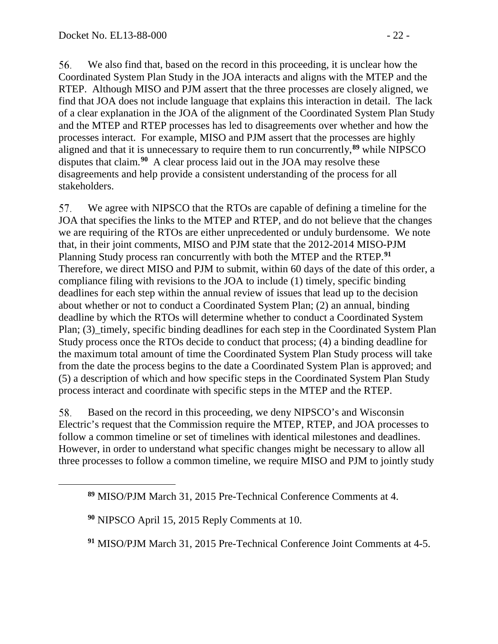56. We also find that, based on the record in this proceeding, it is unclear how the Coordinated System Plan Study in the JOA interacts and aligns with the MTEP and the RTEP. Although MISO and PJM assert that the three processes are closely aligned, we find that JOA does not include language that explains this interaction in detail. The lack of a clear explanation in the JOA of the alignment of the Coordinated System Plan Study and the MTEP and RTEP processes has led to disagreements over whether and how the processes interact. For example, MISO and PJM assert that the processes are highly aligned and that it is unnecessary to require them to run concurrently,**[89](#page-21-0)** while NIPSCO disputes that claim.**[90](#page-21-1)** A clear process laid out in the JOA may resolve these disagreements and help provide a consistent understanding of the process for all stakeholders.

57. We agree with NIPSCO that the RTOs are capable of defining a timeline for the JOA that specifies the links to the MTEP and RTEP, and do not believe that the changes we are requiring of the RTOs are either unprecedented or unduly burdensome. We note that, in their joint comments, MISO and PJM state that the 2012-2014 MISO-PJM Planning Study process ran concurrently with both the MTEP and the RTEP.**[91](#page-21-2)** Therefore, we direct MISO and PJM to submit, within 60 days of the date of this order, a compliance filing with revisions to the JOA to include (1) timely, specific binding deadlines for each step within the annual review of issues that lead up to the decision about whether or not to conduct a Coordinated System Plan; (2) an annual, binding deadline by which the RTOs will determine whether to conduct a Coordinated System Plan; (3) timely, specific binding deadlines for each step in the Coordinated System Plan Study process once the RTOs decide to conduct that process; (4) a binding deadline for the maximum total amount of time the Coordinated System Plan Study process will take from the date the process begins to the date a Coordinated System Plan is approved; and (5) a description of which and how specific steps in the Coordinated System Plan Study process interact and coordinate with specific steps in the MTEP and the RTEP.

58. Based on the record in this proceeding, we deny NIPSCO's and Wisconsin Electric's request that the Commission require the MTEP, RTEP, and JOA processes to follow a common timeline or set of timelines with identical milestones and deadlines. However, in order to understand what specific changes might be necessary to allow all three processes to follow a common timeline, we require MISO and PJM to jointly study

<span id="page-21-2"></span><span id="page-21-1"></span><span id="page-21-0"></span> $\overline{a}$ 

**<sup>91</sup>** MISO/PJM March 31, 2015 Pre-Technical Conference Joint Comments at 4-5.

**<sup>89</sup>** MISO/PJM March 31, 2015 Pre-Technical Conference Comments at 4.

**<sup>90</sup>** NIPSCO April 15, 2015 Reply Comments at 10.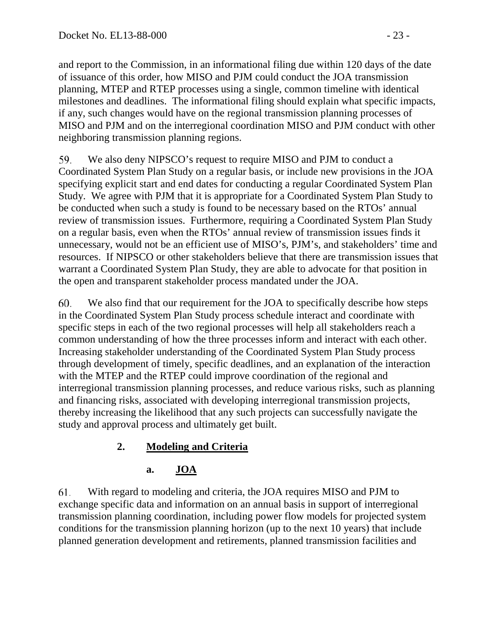and report to the Commission, in an informational filing due within 120 days of the date of issuance of this order, how MISO and PJM could conduct the JOA transmission planning, MTEP and RTEP processes using a single, common timeline with identical milestones and deadlines. The informational filing should explain what specific impacts, if any, such changes would have on the regional transmission planning processes of MISO and PJM and on the interregional coordination MISO and PJM conduct with other neighboring transmission planning regions.

59. We also deny NIPSCO's request to require MISO and PJM to conduct a Coordinated System Plan Study on a regular basis, or include new provisions in the JOA specifying explicit start and end dates for conducting a regular Coordinated System Plan Study. We agree with PJM that it is appropriate for a Coordinated System Plan Study to be conducted when such a study is found to be necessary based on the RTOs' annual review of transmission issues. Furthermore, requiring a Coordinated System Plan Study on a regular basis, even when the RTOs' annual review of transmission issues finds it unnecessary, would not be an efficient use of MISO's, PJM's, and stakeholders' time and resources. If NIPSCO or other stakeholders believe that there are transmission issues that warrant a Coordinated System Plan Study, they are able to advocate for that position in the open and transparent stakeholder process mandated under the JOA.

We also find that our requirement for the JOA to specifically describe how steps 60. in the Coordinated System Plan Study process schedule interact and coordinate with specific steps in each of the two regional processes will help all stakeholders reach a common understanding of how the three processes inform and interact with each other. Increasing stakeholder understanding of the Coordinated System Plan Study process through development of timely, specific deadlines, and an explanation of the interaction with the MTEP and the RTEP could improve coordination of the regional and interregional transmission planning processes, and reduce various risks, such as planning and financing risks, associated with developing interregional transmission projects, thereby increasing the likelihood that any such projects can successfully navigate the study and approval process and ultimately get built.

# **2. Modeling and Criteria**

### **a. JOA**

61. With regard to modeling and criteria, the JOA requires MISO and PJM to exchange specific data and information on an annual basis in support of interregional transmission planning coordination, including power flow models for projected system conditions for the transmission planning horizon (up to the next 10 years) that include planned generation development and retirements, planned transmission facilities and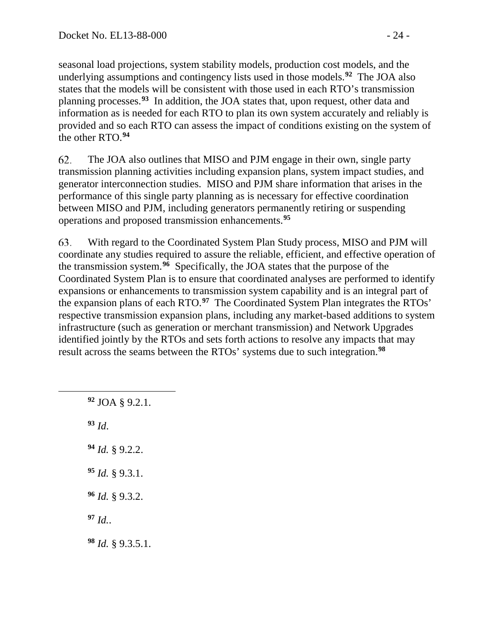seasonal load projections, system stability models, production cost models, and the underlying assumptions and contingency lists used in those models.**[92](#page-23-0)** The JOA also states that the models will be consistent with those used in each RTO's transmission planning processes.**[93](#page-23-1)** In addition, the JOA states that, upon request, other data and information as is needed for each RTO to plan its own system accurately and reliably is provided and so each RTO can assess the impact of conditions existing on the system of the other RTO.**[94](#page-23-2)**

62. The JOA also outlines that MISO and PJM engage in their own, single party transmission planning activities including expansion plans, system impact studies, and generator interconnection studies. MISO and PJM share information that arises in the performance of this single party planning as is necessary for effective coordination between MISO and PJM, including generators permanently retiring or suspending operations and proposed transmission enhancements.**[95](#page-23-3)**

63. With regard to the Coordinated System Plan Study process, MISO and PJM will coordinate any studies required to assure the reliable, efficient, and effective operation of the transmission system. **[96](#page-23-4)** Specifically, the JOA states that the purpose of the Coordinated System Plan is to ensure that coordinated analyses are performed to identify expansions or enhancements to transmission system capability and is an integral part of the expansion plans of each RTO.**[97](#page-23-5)** The Coordinated System Plan integrates the RTOs' respective transmission expansion plans, including any market-based additions to system infrastructure (such as generation or merchant transmission) and Network Upgrades identified jointly by the RTOs and sets forth actions to resolve any impacts that may result across the seams between the RTOs' systems due to such integration.**[98](#page-23-6)**

**<sup>92</sup>** JOA § 9.2.1. **<sup>93</sup>** *Id*.

<span id="page-23-2"></span><span id="page-23-1"></span><span id="page-23-0"></span> $\overline{a}$ 

- **<sup>94</sup>** *Id.* § 9.2.2.
- <span id="page-23-3"></span>**<sup>95</sup>** *Id.* § 9.3.1.
- <span id="page-23-4"></span>**<sup>96</sup>** *Id.* § 9.3.2.
- <span id="page-23-5"></span>**<sup>97</sup>** *Id.*.
- <span id="page-23-6"></span>**<sup>98</sup>** *Id.* § 9.3.5.1.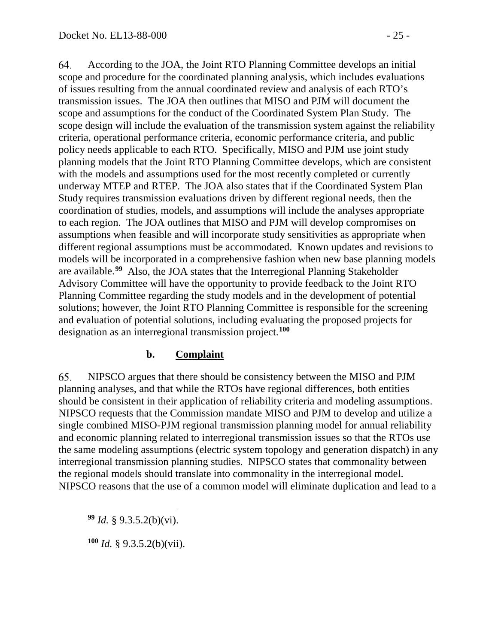64. According to the JOA, the Joint RTO Planning Committee develops an initial scope and procedure for the coordinated planning analysis, which includes evaluations of issues resulting from the annual coordinated review and analysis of each RTO's transmission issues. The JOA then outlines that MISO and PJM will document the scope and assumptions for the conduct of the Coordinated System Plan Study. The scope design will include the evaluation of the transmission system against the reliability criteria, operational performance criteria, economic performance criteria, and public policy needs applicable to each RTO. Specifically, MISO and PJM use joint study planning models that the Joint RTO Planning Committee develops, which are consistent with the models and assumptions used for the most recently completed or currently underway MTEP and RTEP. The JOA also states that if the Coordinated System Plan Study requires transmission evaluations driven by different regional needs, then the coordination of studies, models, and assumptions will include the analyses appropriate to each region. The JOA outlines that MISO and PJM will develop compromises on assumptions when feasible and will incorporate study sensitivities as appropriate when different regional assumptions must be accommodated. Known updates and revisions to models will be incorporated in a comprehensive fashion when new base planning models are available.**[99](#page-24-0)** Also, the JOA states that the Interregional Planning Stakeholder Advisory Committee will have the opportunity to provide feedback to the Joint RTO Planning Committee regarding the study models and in the development of potential solutions; however, the Joint RTO Planning Committee is responsible for the screening and evaluation of potential solutions, including evaluating the proposed projects for designation as an interregional transmission project.**[100](#page-24-1)**

### **b. Complaint**

65. NIPSCO argues that there should be consistency between the MISO and PJM planning analyses, and that while the RTOs have regional differences, both entities should be consistent in their application of reliability criteria and modeling assumptions. NIPSCO requests that the Commission mandate MISO and PJM to develop and utilize a single combined MISO-PJM regional transmission planning model for annual reliability and economic planning related to interregional transmission issues so that the RTOs use the same modeling assumptions (electric system topology and generation dispatch) in any interregional transmission planning studies. NIPSCO states that commonality between the regional models should translate into commonality in the interregional model. NIPSCO reasons that the use of a common model will eliminate duplication and lead to a

**<sup>99</sup>** *Id.* § 9.3.5.2(b)(vi).

<span id="page-24-1"></span><span id="page-24-0"></span> $\overline{a}$ 

**<sup>100</sup>** *Id.* § 9.3.5.2(b)(vii).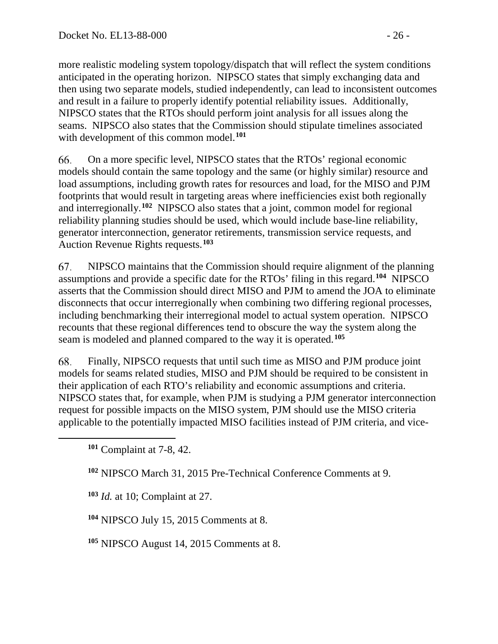more realistic modeling system topology/dispatch that will reflect the system conditions anticipated in the operating horizon. NIPSCO states that simply exchanging data and then using two separate models, studied independently, can lead to inconsistent outcomes and result in a failure to properly identify potential reliability issues. Additionally, NIPSCO states that the RTOs should perform joint analysis for all issues along the seams. NIPSCO also states that the Commission should stipulate timelines associated with development of this common model.**[101](#page-25-0)**

66. On a more specific level, NIPSCO states that the RTOs' regional economic models should contain the same topology and the same (or highly similar) resource and load assumptions, including growth rates for resources and load, for the MISO and PJM footprints that would result in targeting areas where inefficiencies exist both regionally and interregionally.**[102](#page-25-1)** NIPSCO also states that a joint, common model for regional reliability planning studies should be used, which would include base-line reliability, generator interconnection, generator retirements, transmission service requests, and Auction Revenue Rights requests.**[103](#page-25-2)** 

67. NIPSCO maintains that the Commission should require alignment of the planning assumptions and provide a specific date for the RTOs' filing in this regard.**[104](#page-25-3)** NIPSCO asserts that the Commission should direct MISO and PJM to amend the JOA to eliminate disconnects that occur interregionally when combining two differing regional processes, including benchmarking their interregional model to actual system operation. NIPSCO recounts that these regional differences tend to obscure the way the system along the seam is modeled and planned compared to the way it is operated.**[105](#page-25-4)**

68. Finally, NIPSCO requests that until such time as MISO and PJM produce joint models for seams related studies, MISO and PJM should be required to be consistent in their application of each RTO's reliability and economic assumptions and criteria. NIPSCO states that, for example, when PJM is studying a PJM generator interconnection request for possible impacts on the MISO system, PJM should use the MISO criteria applicable to the potentially impacted MISO facilities instead of PJM criteria, and vice-

<span id="page-25-2"></span><span id="page-25-1"></span><span id="page-25-0"></span> $\overline{a}$ 

**<sup>102</sup>** NIPSCO March 31, 2015 Pre-Technical Conference Comments at 9.

**<sup>103</sup>** *Id.* at 10; Complaint at 27.

<span id="page-25-3"></span>**<sup>104</sup>** NIPSCO July 15, 2015 Comments at 8.

<span id="page-25-4"></span>**<sup>105</sup>** NIPSCO August 14, 2015 Comments at 8.

**<sup>101</sup>** Complaint at 7-8, 42.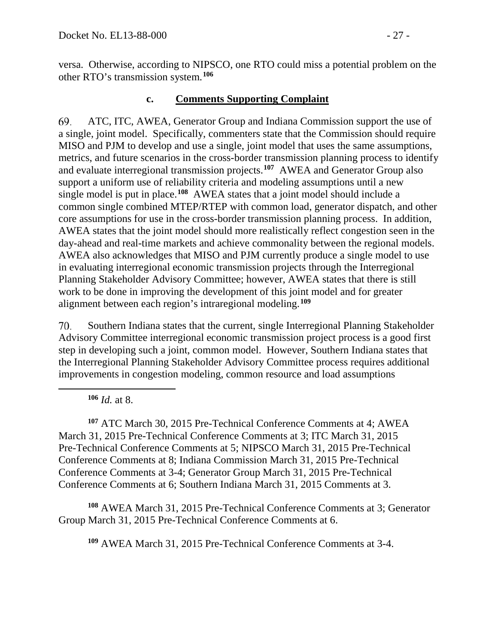versa. Otherwise, according to NIPSCO, one RTO could miss a potential problem on the other RTO's transmission system.**[106](#page-26-0)**

#### **c. Comments Supporting Complaint**

69. ATC, ITC, AWEA, Generator Group and Indiana Commission support the use of a single, joint model. Specifically, commenters state that the Commission should require MISO and PJM to develop and use a single, joint model that uses the same assumptions, metrics, and future scenarios in the cross-border transmission planning process to identify and evaluate interregional transmission projects.**[107](#page-26-1)** AWEA and Generator Group also support a uniform use of reliability criteria and modeling assumptions until a new single model is put in place.**[108](#page-26-2)** AWEA states that a joint model should include a common single combined MTEP/RTEP with common load, generator dispatch, and other core assumptions for use in the cross-border transmission planning process. In addition, AWEA states that the joint model should more realistically reflect congestion seen in the day-ahead and real-time markets and achieve commonality between the regional models. AWEA also acknowledges that MISO and PJM currently produce a single model to use in evaluating interregional economic transmission projects through the Interregional Planning Stakeholder Advisory Committee; however, AWEA states that there is still work to be done in improving the development of this joint model and for greater alignment between each region's intraregional modeling. **[109](#page-26-3)**

70. Southern Indiana states that the current, single Interregional Planning Stakeholder Advisory Committee interregional economic transmission project process is a good first step in developing such a joint, common model. However, Southern Indiana states that the Interregional Planning Stakeholder Advisory Committee process requires additional improvements in congestion modeling, common resource and load assumptions

**<sup>106</sup>** *Id.* at 8.

<span id="page-26-0"></span> $\overline{a}$ 

<span id="page-26-1"></span>**<sup>107</sup>** ATC March 30, 2015 Pre-Technical Conference Comments at 4; AWEA March 31, 2015 Pre-Technical Conference Comments at 3; ITC March 31, 2015 Pre-Technical Conference Comments at 5; NIPSCO March 31, 2015 Pre-Technical Conference Comments at 8; Indiana Commission March 31, 2015 Pre-Technical Conference Comments at 3-4; Generator Group March 31, 2015 Pre-Technical Conference Comments at 6; Southern Indiana March 31, 2015 Comments at 3.

<span id="page-26-3"></span><span id="page-26-2"></span>**<sup>108</sup>** AWEA March 31, 2015 Pre-Technical Conference Comments at 3; Generator Group March 31, 2015 Pre-Technical Conference Comments at 6.

**<sup>109</sup>** AWEA March 31, 2015 Pre-Technical Conference Comments at 3-4.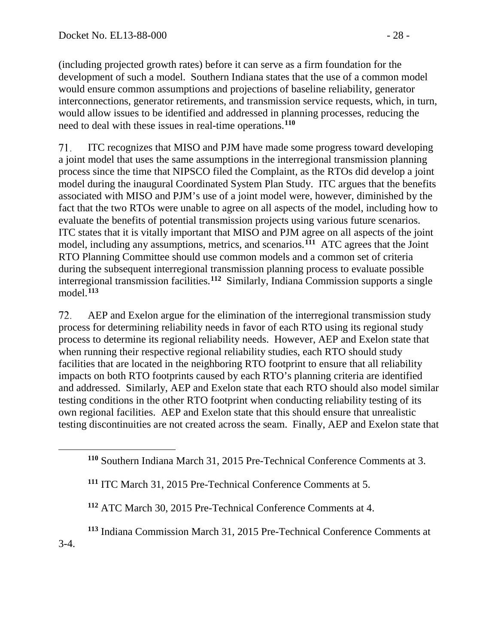<span id="page-27-1"></span><span id="page-27-0"></span> $\overline{a}$ 

(including projected growth rates) before it can serve as a firm foundation for the development of such a model. Southern Indiana states that the use of a common model would ensure common assumptions and projections of baseline reliability, generator interconnections, generator retirements, and transmission service requests, which, in turn, would allow issues to be identified and addressed in planning processes, reducing the need to deal with these issues in real-time operations.**[110](#page-27-0)**

71. ITC recognizes that MISO and PJM have made some progress toward developing a joint model that uses the same assumptions in the interregional transmission planning process since the time that NIPSCO filed the Complaint, as the RTOs did develop a joint model during the inaugural Coordinated System Plan Study. ITC argues that the benefits associated with MISO and PJM's use of a joint model were, however, diminished by the fact that the two RTOs were unable to agree on all aspects of the model, including how to evaluate the benefits of potential transmission projects using various future scenarios. ITC states that it is vitally important that MISO and PJM agree on all aspects of the joint model, including any assumptions, metrics, and scenarios.**[111](#page-27-1)** ATC agrees that the Joint RTO Planning Committee should use common models and a common set of criteria during the subsequent interregional transmission planning process to evaluate possible interregional transmission facilities.**[112](#page-27-2)** Similarly, Indiana Commission supports a single model.**[113](#page-27-3)**

72. AEP and Exelon argue for the elimination of the interregional transmission study process for determining reliability needs in favor of each RTO using its regional study process to determine its regional reliability needs. However, AEP and Exelon state that when running their respective regional reliability studies, each RTO should study facilities that are located in the neighboring RTO footprint to ensure that all reliability impacts on both RTO footprints caused by each RTO's planning criteria are identified and addressed. Similarly, AEP and Exelon state that each RTO should also model similar testing conditions in the other RTO footprint when conducting reliability testing of its own regional facilities. AEP and Exelon state that this should ensure that unrealistic testing discontinuities are not created across the seam. Finally, AEP and Exelon state that

- **<sup>111</sup>** ITC March 31, 2015 Pre-Technical Conference Comments at 5.
- **<sup>112</sup>** ATC March 30, 2015 Pre-Technical Conference Comments at 4.
- <span id="page-27-3"></span><span id="page-27-2"></span>**<sup>113</sup>** Indiana Commission March 31, 2015 Pre-Technical Conference Comments at 3-4.

**<sup>110</sup>** Southern Indiana March 31, 2015 Pre-Technical Conference Comments at 3.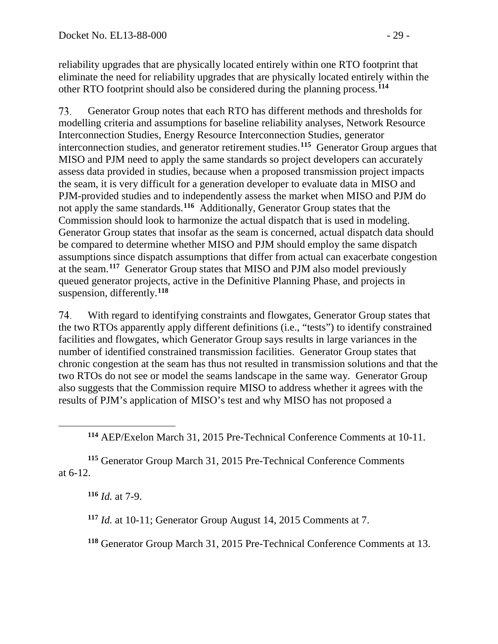reliability upgrades that are physically located entirely within one RTO footprint that eliminate the need for reliability upgrades that are physically located entirely within the other RTO footprint should also be considered during the planning process.**[114](#page-28-0)**

73. Generator Group notes that each RTO has different methods and thresholds for modelling criteria and assumptions for baseline reliability analyses, Network Resource Interconnection Studies, Energy Resource Interconnection Studies, generator interconnection studies, and generator retirement studies.**[115](#page-28-1)** Generator Group argues that MISO and PJM need to apply the same standards so project developers can accurately assess data provided in studies, because when a proposed transmission project impacts the seam, it is very difficult for a generation developer to evaluate data in MISO and PJM-provided studies and to independently assess the market when MISO and PJM do not apply the same standards. **[116](#page-28-2)** Additionally, Generator Group states that the Commission should look to harmonize the actual dispatch that is used in modeling. Generator Group states that insofar as the seam is concerned, actual dispatch data should be compared to determine whether MISO and PJM should employ the same dispatch assumptions since dispatch assumptions that differ from actual can exacerbate congestion at the seam.**[117](#page-28-3)** Generator Group states that MISO and PJM also model previously queued generator projects, active in the Definitive Planning Phase, and projects in suspension, differently.**[118](#page-28-4)**

74. With regard to identifying constraints and flowgates, Generator Group states that the two RTOs apparently apply different definitions (i.e., "tests") to identify constrained facilities and flowgates, which Generator Group says results in large variances in the number of identified constrained transmission facilities. Generator Group states that chronic congestion at the seam has thus not resulted in transmission solutions and that the two RTOs do not see or model the seams landscape in the same way. Generator Group also suggests that the Commission require MISO to address whether it agrees with the results of PJM's application of MISO's test and why MISO has not proposed a

**<sup>114</sup>** AEP/Exelon March 31, 2015 Pre-Technical Conference Comments at 10-11.

<span id="page-28-3"></span><span id="page-28-2"></span><span id="page-28-1"></span>**<sup>115</sup>** Generator Group March 31, 2015 Pre-Technical Conference Comments at 6-12.

**<sup>116</sup>** *Id.* at 7-9.

<span id="page-28-0"></span> $\overline{a}$ 

**<sup>117</sup>** *Id.* at 10-11; Generator Group August 14, 2015 Comments at 7.

<span id="page-28-4"></span>**<sup>118</sup>** Generator Group March 31, 2015 Pre-Technical Conference Comments at 13.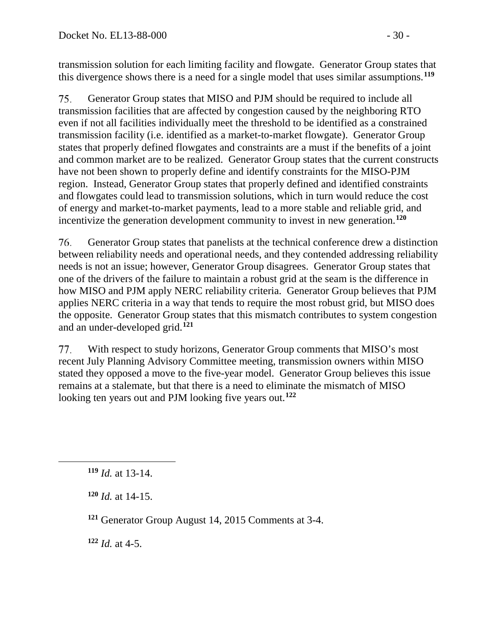transmission solution for each limiting facility and flowgate. Generator Group states that this divergence shows there is a need for a single model that uses similar assumptions.**[119](#page-29-0)**

75. Generator Group states that MISO and PJM should be required to include all transmission facilities that are affected by congestion caused by the neighboring RTO even if not all facilities individually meet the threshold to be identified as a constrained transmission facility (i.e. identified as a market-to-market flowgate). Generator Group states that properly defined flowgates and constraints are a must if the benefits of a joint and common market are to be realized. Generator Group states that the current constructs have not been shown to properly define and identify constraints for the MISO-PJM region. Instead, Generator Group states that properly defined and identified constraints and flowgates could lead to transmission solutions, which in turn would reduce the cost of energy and market-to-market payments, lead to a more stable and reliable grid, and incentivize the generation development community to invest in new generation.**[120](#page-29-1)**

76. Generator Group states that panelists at the technical conference drew a distinction between reliability needs and operational needs, and they contended addressing reliability needs is not an issue; however, Generator Group disagrees. Generator Group states that one of the drivers of the failure to maintain a robust grid at the seam is the difference in how MISO and PJM apply NERC reliability criteria. Generator Group believes that PJM applies NERC criteria in a way that tends to require the most robust grid, but MISO does the opposite. Generator Group states that this mismatch contributes to system congestion and an under-developed grid.**[121](#page-29-2)**

77. With respect to study horizons, Generator Group comments that MISO's most recent July Planning Advisory Committee meeting, transmission owners within MISO stated they opposed a move to the five-year model. Generator Group believes this issue remains at a stalemate, but that there is a need to eliminate the mismatch of MISO looking ten years out and PJM looking five years out.**[122](#page-29-3)**

<span id="page-29-2"></span><span id="page-29-1"></span><span id="page-29-0"></span> $\overline{a}$ 

<span id="page-29-3"></span>**<sup>122</sup>** *Id.* at 4-5.

**<sup>119</sup>** *Id.* at 13-14.

**<sup>120</sup>** *Id.* at 14-15.

**<sup>121</sup>** Generator Group August 14, 2015 Comments at 3-4.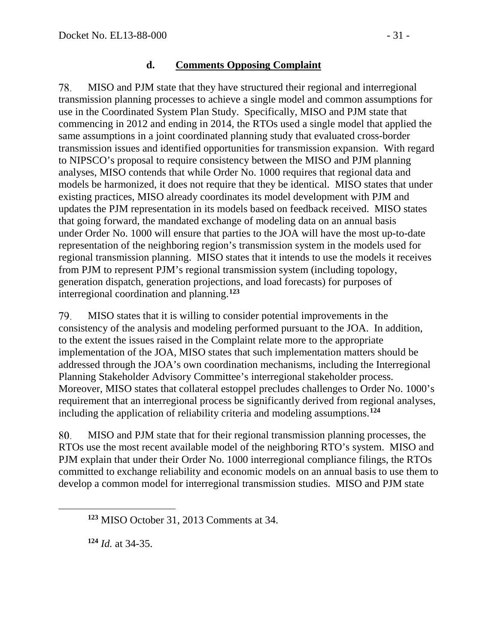#### **d. Comments Opposing Complaint**

78. MISO and PJM state that they have structured their regional and interregional transmission planning processes to achieve a single model and common assumptions for use in the Coordinated System Plan Study. Specifically, MISO and PJM state that commencing in 2012 and ending in 2014, the RTOs used a single model that applied the same assumptions in a joint coordinated planning study that evaluated cross-border transmission issues and identified opportunities for transmission expansion. With regard to NIPSCO's proposal to require consistency between the MISO and PJM planning analyses, MISO contends that while Order No. 1000 requires that regional data and models be harmonized, it does not require that they be identical. MISO states that under existing practices, MISO already coordinates its model development with PJM and updates the PJM representation in its models based on feedback received. MISO states that going forward, the mandated exchange of modeling data on an annual basis under Order No. 1000 will ensure that parties to the JOA will have the most up-to-date representation of the neighboring region's transmission system in the models used for regional transmission planning. MISO states that it intends to use the models it receives from PJM to represent PJM's regional transmission system (including topology, generation dispatch, generation projections, and load forecasts) for purposes of interregional coordination and planning.**[123](#page-30-0)**

79. MISO states that it is willing to consider potential improvements in the consistency of the analysis and modeling performed pursuant to the JOA. In addition, to the extent the issues raised in the Complaint relate more to the appropriate implementation of the JOA, MISO states that such implementation matters should be addressed through the JOA's own coordination mechanisms, including the Interregional Planning Stakeholder Advisory Committee's interregional stakeholder process. Moreover, MISO states that collateral estoppel precludes challenges to Order No. 1000's requirement that an interregional process be significantly derived from regional analyses, including the application of reliability criteria and modeling assumptions.**[124](#page-30-1)**

80. MISO and PJM state that for their regional transmission planning processes, the RTOs use the most recent available model of the neighboring RTO's system. MISO and PJM explain that under their Order No. 1000 interregional compliance filings, the RTOs committed to exchange reliability and economic models on an annual basis to use them to develop a common model for interregional transmission studies. MISO and PJM state

**<sup>124</sup>** *Id.* at 34-35.

<span id="page-30-1"></span><span id="page-30-0"></span> $\overline{a}$ 

**<sup>123</sup>** MISO October 31, 2013 Comments at 34.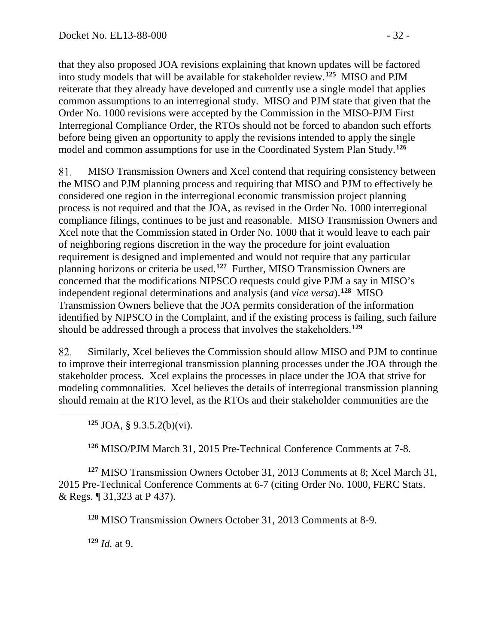that they also proposed JOA revisions explaining that known updates will be factored into study models that will be available for stakeholder review.**[125](#page-31-0)** MISO and PJM reiterate that they already have developed and currently use a single model that applies common assumptions to an interregional study. MISO and PJM state that given that the Order No. 1000 revisions were accepted by the Commission in the MISO-PJM First Interregional Compliance Order, the RTOs should not be forced to abandon such efforts before being given an opportunity to apply the revisions intended to apply the single model and common assumptions for use in the Coordinated System Plan Study. **[126](#page-31-1)**

81. MISO Transmission Owners and Xcel contend that requiring consistency between the MISO and PJM planning process and requiring that MISO and PJM to effectively be considered one region in the interregional economic transmission project planning process is not required and that the JOA, as revised in the Order No. 1000 interregional compliance filings, continues to be just and reasonable. MISO Transmission Owners and Xcel note that the Commission stated in Order No. 1000 that it would leave to each pair of neighboring regions discretion in the way the procedure for joint evaluation requirement is designed and implemented and would not require that any particular planning horizons or criteria be used.**[127](#page-31-2)** Further, MISO Transmission Owners are concerned that the modifications NIPSCO requests could give PJM a say in MISO's independent regional determinations and analysis (and *vice versa*). **[128](#page-31-3)** MISO Transmission Owners believe that the JOA permits consideration of the information identified by NIPSCO in the Complaint, and if the existing process is failing, such failure should be addressed through a process that involves the stakeholders.**[129](#page-31-4)**

82. Similarly, Xcel believes the Commission should allow MISO and PJM to continue to improve their interregional transmission planning processes under the JOA through the stakeholder process. Xcel explains the processes in place under the JOA that strive for modeling commonalities. Xcel believes the details of interregional transmission planning should remain at the RTO level, as the RTOs and their stakeholder communities are the

**<sup>125</sup>** JOA, § 9.3.5.2(b)(vi).

**<sup>126</sup>** MISO/PJM March 31, 2015 Pre-Technical Conference Comments at 7-8.

<span id="page-31-3"></span><span id="page-31-2"></span><span id="page-31-1"></span>**<sup>127</sup>** MISO Transmission Owners October 31, 2013 Comments at 8; Xcel March 31, 2015 Pre-Technical Conference Comments at 6-7 (citing Order No. 1000, FERC Stats. & Regs. ¶ 31,323 at P 437).

**<sup>128</sup>** MISO Transmission Owners October 31, 2013 Comments at 8-9.

<span id="page-31-4"></span>**<sup>129</sup>** *Id.* at 9.

<span id="page-31-0"></span> $\overline{a}$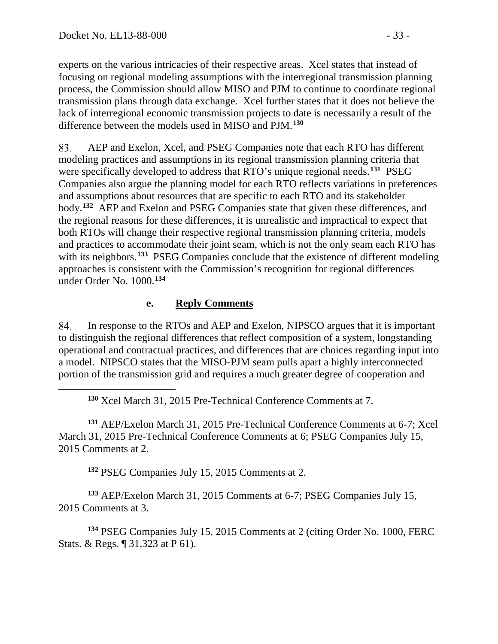<span id="page-32-0"></span> $\overline{a}$ 

experts on the various intricacies of their respective areas. Xcel states that instead of focusing on regional modeling assumptions with the interregional transmission planning process, the Commission should allow MISO and PJM to continue to coordinate regional transmission plans through data exchange. Xcel further states that it does not believe the lack of interregional economic transmission projects to date is necessarily a result of the difference between the models used in MISO and PJM.**[130](#page-32-0)**

83. AEP and Exelon, Xcel, and PSEG Companies note that each RTO has different modeling practices and assumptions in its regional transmission planning criteria that were specifically developed to address that RTO's unique regional needs.**[131](#page-32-1)** PSEG Companies also argue the planning model for each RTO reflects variations in preferences and assumptions about resources that are specific to each RTO and its stakeholder body.**[132](#page-32-2)** AEP and Exelon and PSEG Companies state that given these differences, and the regional reasons for these differences, it is unrealistic and impractical to expect that both RTOs will change their respective regional transmission planning criteria, models and practices to accommodate their joint seam, which is not the only seam each RTO has with its neighbors.<sup>[133](#page-32-3)</sup> PSEG Companies conclude that the existence of different modeling approaches is consistent with the Commission's recognition for regional differences under Order No. 1000.**[134](#page-32-4)**

### **e. Reply Comments**

84. In response to the RTOs and AEP and Exelon, NIPSCO argues that it is important to distinguish the regional differences that reflect composition of a system, longstanding operational and contractual practices, and differences that are choices regarding input into a model. NIPSCO states that the MISO-PJM seam pulls apart a highly interconnected portion of the transmission grid and requires a much greater degree of cooperation and

**<sup>130</sup>** Xcel March 31, 2015 Pre-Technical Conference Comments at 7.

<span id="page-32-1"></span>**<sup>131</sup>** AEP/Exelon March 31, 2015 Pre-Technical Conference Comments at 6-7; Xcel March 31, 2015 Pre-Technical Conference Comments at 6; PSEG Companies July 15, 2015 Comments at 2.

**<sup>132</sup>** PSEG Companies July 15, 2015 Comments at 2.

<span id="page-32-3"></span><span id="page-32-2"></span>**<sup>133</sup>** AEP/Exelon March 31, 2015 Comments at 6-7; PSEG Companies July 15, 2015 Comments at 3.

<span id="page-32-4"></span>**<sup>134</sup>** PSEG Companies July 15, 2015 Comments at 2 (citing Order No. 1000, FERC Stats. & Regs. ¶ 31,323 at P 61).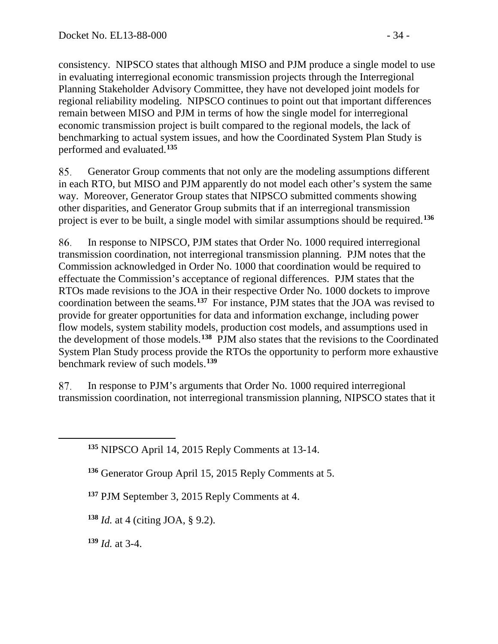consistency. NIPSCO states that although MISO and PJM produce a single model to use in evaluating interregional economic transmission projects through the Interregional Planning Stakeholder Advisory Committee, they have not developed joint models for regional reliability modeling. NIPSCO continues to point out that important differences remain between MISO and PJM in terms of how the single model for interregional economic transmission project is built compared to the regional models, the lack of benchmarking to actual system issues, and how the Coordinated System Plan Study is performed and evaluated.**[135](#page-33-0)**

85. Generator Group comments that not only are the modeling assumptions different in each RTO, but MISO and PJM apparently do not model each other's system the same way. Moreover, Generator Group states that NIPSCO submitted comments showing other disparities, and Generator Group submits that if an interregional transmission project is ever to be built, a single model with similar assumptions should be required.**[136](#page-33-1)**

86. In response to NIPSCO, PJM states that Order No. 1000 required interregional transmission coordination, not interregional transmission planning. PJM notes that the Commission acknowledged in Order No. 1000 that coordination would be required to effectuate the Commission's acceptance of regional differences. PJM states that the RTOs made revisions to the JOA in their respective Order No. 1000 dockets to improve coordination between the seams.**[137](#page-33-2)** For instance, PJM states that the JOA was revised to provide for greater opportunities for data and information exchange, including power flow models, system stability models, production cost models, and assumptions used in the development of those models.**[138](#page-33-3)** PJM also states that the revisions to the Coordinated System Plan Study process provide the RTOs the opportunity to perform more exhaustive benchmark review of such models.**[139](#page-33-4)**

87. In response to PJM's arguments that Order No. 1000 required interregional transmission coordination, not interregional transmission planning, NIPSCO states that it

**<sup>135</sup>** NIPSCO April 14, 2015 Reply Comments at 13-14.

**<sup>136</sup>** Generator Group April 15, 2015 Reply Comments at 5.

**<sup>137</sup>** PJM September 3, 2015 Reply Comments at 4.

<span id="page-33-3"></span>**<sup>138</sup>** *Id.* at 4 (citing JOA, § 9.2).

<span id="page-33-4"></span>**<sup>139</sup>** *Id.* at 3-4.

<span id="page-33-2"></span><span id="page-33-1"></span><span id="page-33-0"></span> $\overline{a}$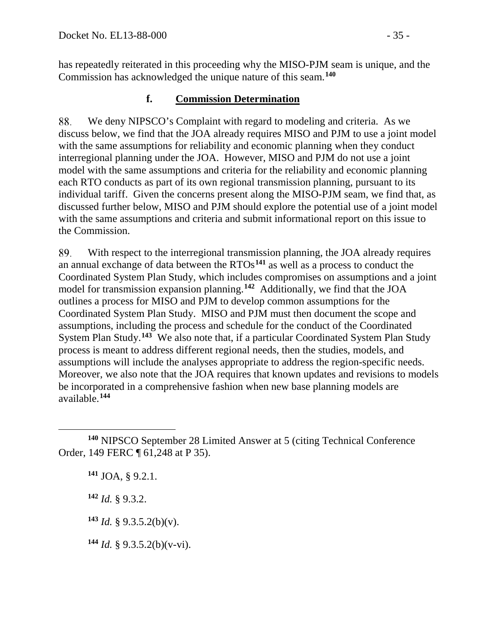has repeatedly reiterated in this proceeding why the MISO-PJM seam is unique, and the Commission has acknowledged the unique nature of this seam.**[140](#page-34-0)**

### **f. Commission Determination**

88. We deny NIPSCO's Complaint with regard to modeling and criteria. As we discuss below, we find that the JOA already requires MISO and PJM to use a joint model with the same assumptions for reliability and economic planning when they conduct interregional planning under the JOA. However, MISO and PJM do not use a joint model with the same assumptions and criteria for the reliability and economic planning each RTO conducts as part of its own regional transmission planning, pursuant to its individual tariff. Given the concerns present along the MISO-PJM seam, we find that, as discussed further below, MISO and PJM should explore the potential use of a joint model with the same assumptions and criteria and submit informational report on this issue to the Commission.

89. With respect to the interregional transmission planning, the JOA already requires an annual exchange of data between the RTOs**[141](#page-34-1)** as well as a process to conduct the Coordinated System Plan Study, which includes compromises on assumptions and a joint model for transmission expansion planning.**[142](#page-34-2)** Additionally, we find that the JOA outlines a process for MISO and PJM to develop common assumptions for the Coordinated System Plan Study. MISO and PJM must then document the scope and assumptions, including the process and schedule for the conduct of the Coordinated System Plan Study.**[143](#page-34-3)** We also note that, if a particular Coordinated System Plan Study process is meant to address different regional needs, then the studies, models, and assumptions will include the analyses appropriate to address the region-specific needs. Moreover, we also note that the JOA requires that known updates and revisions to models be incorporated in a comprehensive fashion when new base planning models are available.**[144](#page-34-4)**

**<sup>141</sup>** JOA, § 9.2.1.

<span id="page-34-2"></span>**<sup>142</sup>** *Id.* § 9.3.2.

<span id="page-34-3"></span> $143$  *Id.* § 9.3.5.2(b)(v).

<span id="page-34-4"></span>**<sup>144</sup>** *Id.* § 9.3.5.2(b)(v-vi).

<span id="page-34-1"></span><span id="page-34-0"></span> $\overline{a}$ **<sup>140</sup>** NIPSCO September 28 Limited Answer at 5 (citing Technical Conference Order, 149 FERC ¶ 61,248 at P 35).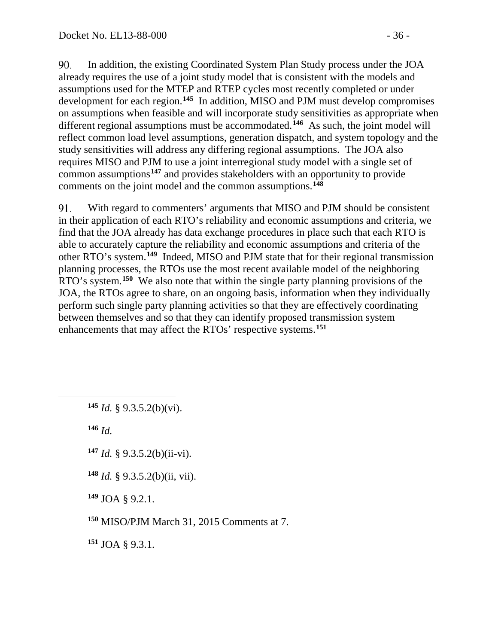90. In addition, the existing Coordinated System Plan Study process under the JOA already requires the use of a joint study model that is consistent with the models and assumptions used for the MTEP and RTEP cycles most recently completed or under development for each region.**[145](#page-35-0)** In addition, MISO and PJM must develop compromises on assumptions when feasible and will incorporate study sensitivities as appropriate when different regional assumptions must be accommodated.<sup>[146](#page-35-1)</sup> As such, the joint model will reflect common load level assumptions, generation dispatch, and system topology and the study sensitivities will address any differing regional assumptions. The JOA also requires MISO and PJM to use a joint interregional study model with a single set of common assumptions**[147](#page-35-2)** and provides stakeholders with an opportunity to provide comments on the joint model and the common assumptions.**[148](#page-35-3)**

91. With regard to commenters' arguments that MISO and PJM should be consistent in their application of each RTO's reliability and economic assumptions and criteria, we find that the JOA already has data exchange procedures in place such that each RTO is able to accurately capture the reliability and economic assumptions and criteria of the other RTO's system.**[149](#page-35-4)** Indeed, MISO and PJM state that for their regional transmission planning processes, the RTOs use the most recent available model of the neighboring RTO's system.**[150](#page-35-5)** We also note that within the single party planning provisions of the JOA, the RTOs agree to share, on an ongoing basis, information when they individually perform such single party planning activities so that they are effectively coordinating between themselves and so that they can identify proposed transmission system enhancements that may affect the RTOs' respective systems.**[151](#page-35-6)**

**<sup>145</sup>** *Id.* § 9.3.5.2(b)(vi).

**<sup>146</sup>** *Id.*

<span id="page-35-2"></span><span id="page-35-1"></span><span id="page-35-0"></span> $\overline{a}$ 

- **<sup>147</sup>** *Id.* § 9.3.5.2(b)(ii-vi).
- <span id="page-35-3"></span>**<sup>148</sup>** *Id.* § 9.3.5.2(b)(ii, vii).

<span id="page-35-4"></span>**<sup>149</sup>** JOA § 9.2.1.

<span id="page-35-5"></span>**<sup>150</sup>** MISO/PJM March 31, 2015 Comments at 7.

<span id="page-35-6"></span>**<sup>151</sup>** JOA § 9.3.1.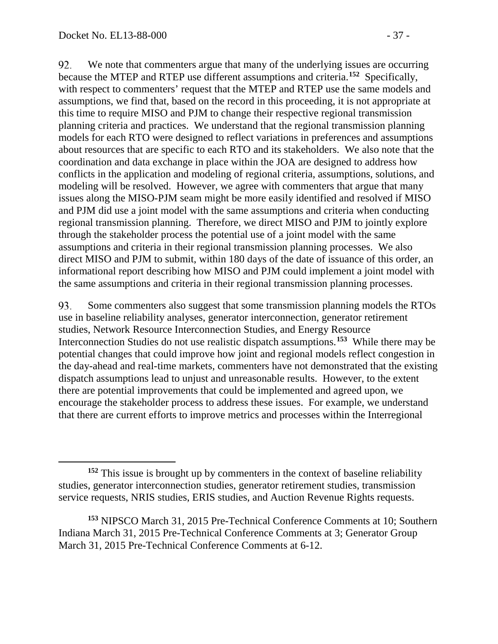92. We note that commenters argue that many of the underlying issues are occurring because the MTEP and RTEP use different assumptions and criteria.**[152](#page-36-0)** Specifically, with respect to commenters' request that the MTEP and RTEP use the same models and assumptions, we find that, based on the record in this proceeding, it is not appropriate at this time to require MISO and PJM to change their respective regional transmission planning criteria and practices. We understand that the regional transmission planning models for each RTO were designed to reflect variations in preferences and assumptions about resources that are specific to each RTO and its stakeholders. We also note that the coordination and data exchange in place within the JOA are designed to address how conflicts in the application and modeling of regional criteria, assumptions, solutions, and modeling will be resolved. However, we agree with commenters that argue that many issues along the MISO-PJM seam might be more easily identified and resolved if MISO and PJM did use a joint model with the same assumptions and criteria when conducting regional transmission planning. Therefore, we direct MISO and PJM to jointly explore through the stakeholder process the potential use of a joint model with the same assumptions and criteria in their regional transmission planning processes. We also direct MISO and PJM to submit, within 180 days of the date of issuance of this order, an informational report describing how MISO and PJM could implement a joint model with the same assumptions and criteria in their regional transmission planning processes.

Some commenters also suggest that some transmission planning models the RTOs 93. use in baseline reliability analyses, generator interconnection, generator retirement studies, Network Resource Interconnection Studies, and Energy Resource Interconnection Studies do not use realistic dispatch assumptions.**[153](#page-36-1)** While there may be potential changes that could improve how joint and regional models reflect congestion in the day-ahead and real-time markets, commenters have not demonstrated that the existing dispatch assumptions lead to unjust and unreasonable results. However, to the extent there are potential improvements that could be implemented and agreed upon, we encourage the stakeholder process to address these issues. For example, we understand that there are current efforts to improve metrics and processes within the Interregional

<span id="page-36-0"></span> $\overline{a}$ **<sup>152</sup>** This issue is brought up by commenters in the context of baseline reliability studies, generator interconnection studies, generator retirement studies, transmission service requests, NRIS studies, ERIS studies, and Auction Revenue Rights requests.

<span id="page-36-1"></span>**<sup>153</sup>** NIPSCO March 31, 2015 Pre-Technical Conference Comments at 10; Southern Indiana March 31, 2015 Pre-Technical Conference Comments at 3; Generator Group March 31, 2015 Pre-Technical Conference Comments at 6-12.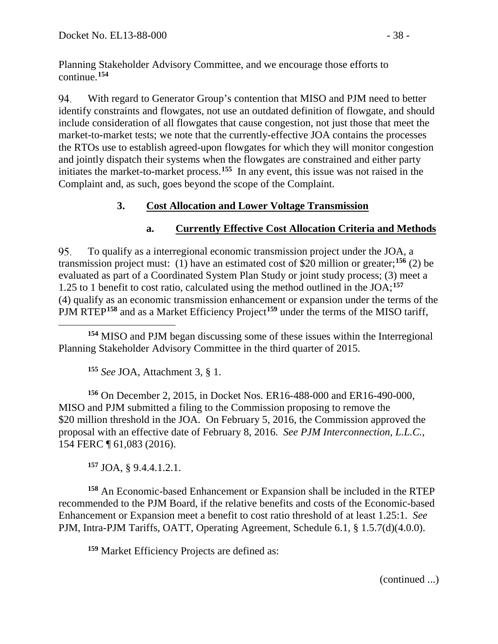Planning Stakeholder Advisory Committee, and we encourage those efforts to continue.**[154](#page-37-0)**

94. With regard to Generator Group's contention that MISO and PJM need to better identify constraints and flowgates, not use an outdated definition of flowgate, and should include consideration of all flowgates that cause congestion, not just those that meet the market-to-market tests; we note that the currently-effective JOA contains the processes the RTOs use to establish agreed-upon flowgates for which they will monitor congestion and jointly dispatch their systems when the flowgates are constrained and either party initiates the market-to-market process.**[155](#page-37-1)** In any event, this issue was not raised in the Complaint and, as such, goes beyond the scope of the Complaint.

## **3. Cost Allocation and Lower Voltage Transmission**

## <span id="page-37-6"></span>**a. Currently Effective Cost Allocation Criteria and Methods**

95. To qualify as a interregional economic transmission project under the JOA, a transmission project must: (1) have an estimated cost of \$20 million or greater;**[156](#page-37-2)** (2) be evaluated as part of a Coordinated System Plan Study or joint study process; (3) meet a 1.25 to 1 benefit to cost ratio, calculated using the method outlined in the JOA;**[157](#page-37-3)** (4) qualify as an economic transmission enhancement or expansion under the terms of the PJM RTEP**[158](#page-37-4)** and as a Market Efficiency Project**[159](#page-37-5)** under the terms of the MISO tariff,

<span id="page-37-0"></span> $\overline{a}$ **<sup>154</sup>** MISO and PJM began discussing some of these issues within the Interregional Planning Stakeholder Advisory Committee in the third quarter of 2015.

**<sup>155</sup>** *See* JOA, Attachment 3, § 1.

<span id="page-37-2"></span><span id="page-37-1"></span>**<sup>156</sup>** On December 2, 2015, in Docket Nos. ER16-488-000 and ER16-490-000, MISO and PJM submitted a filing to the Commission proposing to remove the \$20 million threshold in the JOA. On February 5, 2016, the Commission approved the proposal with an effective date of February 8, 2016. *See PJM Interconnection, L.L.C.*, 154 FERC ¶ 61,083 (2016).

**<sup>157</sup>** JOA, § 9.4.4.1.2.1.

<span id="page-37-5"></span><span id="page-37-4"></span><span id="page-37-3"></span>**<sup>158</sup>** An Economic-based Enhancement or Expansion shall be included in the RTEP recommended to the PJM Board, if the relative benefits and costs of the Economic-based Enhancement or Expansion meet a benefit to cost ratio threshold of at least 1.25:1. *See* PJM, Intra-PJM Tariffs, OATT, Operating Agreement, Schedule 6.1, § 1.5.7(d)(4.0.0).

**<sup>159</sup>** Market Efficiency Projects are defined as:

(continued ...)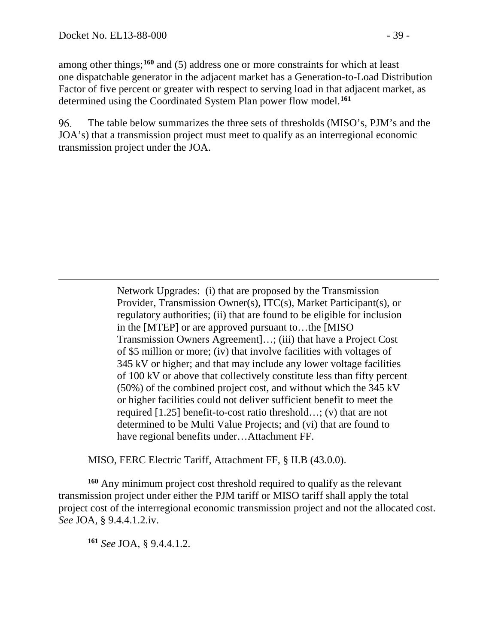among other things;**[160](#page-38-0)** and (5) address one or more constraints for which at least one dispatchable generator in the adjacent market has a Generation-to-Load Distribution Factor of five percent or greater with respect to serving load in that adjacent market, as determined using the Coordinated System Plan power flow model.**[161](#page-38-1)**

96. The table below summarizes the three sets of thresholds (MISO's, PJM's and the JOA's) that a transmission project must meet to qualify as an interregional economic transmission project under the JOA.

> Network Upgrades: (i) that are proposed by the Transmission Provider, Transmission Owner(s), ITC(s), Market Participant(s), or regulatory authorities; (ii) that are found to be eligible for inclusion in the [MTEP] or are approved pursuant to…the [MISO Transmission Owners Agreement]…; (iii) that have a Project Cost of \$5 million or more; (iv) that involve facilities with voltages of 345 kV or higher; and that may include any lower voltage facilities of 100 kV or above that collectively constitute less than fifty percent (50%) of the combined project cost, and without which the 345 kV or higher facilities could not deliver sufficient benefit to meet the required [1.25] benefit-to-cost ratio threshold…; (v) that are not determined to be Multi Value Projects; and (vi) that are found to have regional benefits under…Attachment FF.

MISO, FERC Electric Tariff, Attachment FF, § II.B (43.0.0).

<span id="page-38-1"></span><span id="page-38-0"></span>**<sup>160</sup>** Any minimum project cost threshold required to qualify as the relevant transmission project under either the PJM tariff or MISO tariff shall apply the total project cost of the interregional economic transmission project and not the allocated cost. *See* JOA, § 9.4.4.1.2.iv.

**<sup>161</sup>** *See* JOA, § 9.4.4.1.2.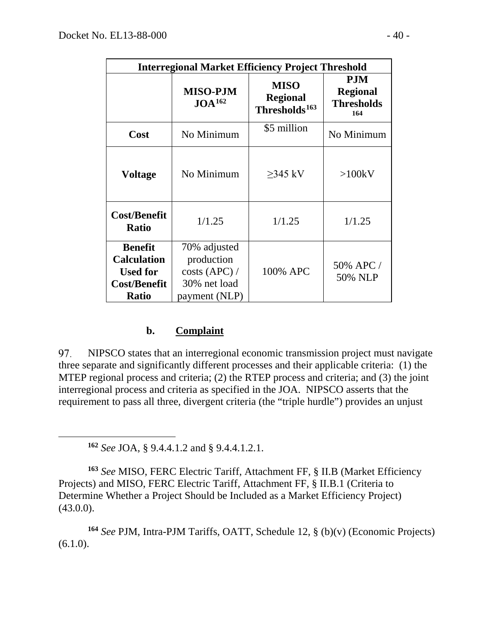| <b>Interregional Market Efficiency Project Threshold</b>                                       |                                                                              |                                                             |                                                           |
|------------------------------------------------------------------------------------------------|------------------------------------------------------------------------------|-------------------------------------------------------------|-----------------------------------------------------------|
|                                                                                                | <b>MISO-PJM</b><br>JOA <sup>162</sup>                                        | <b>MISO</b><br><b>Regional</b><br>Thresholds <sup>163</sup> | <b>PJM</b><br><b>Regional</b><br><b>Thresholds</b><br>164 |
| Cost                                                                                           | No Minimum                                                                   | \$5 million                                                 | No Minimum                                                |
| <b>Voltage</b>                                                                                 | No Minimum                                                                   | $\geq$ 345 kV                                               | >100kV                                                    |
| <b>Cost/Benefit</b><br><b>Ratio</b>                                                            | 1/1.25                                                                       | 1/1.25                                                      | 1/1.25                                                    |
| <b>Benefit</b><br><b>Calculation</b><br><b>Used for</b><br><b>Cost/Benefit</b><br><b>Ratio</b> | 70% adjusted<br>production<br>costs (APC) /<br>30% net load<br>payment (NLP) | 100% APC                                                    | 50% APC /<br>50% NLP                                      |

#### **b. Complaint**

97. NIPSCO states that an interregional economic transmission project must navigate three separate and significantly different processes and their applicable criteria: (1) the MTEP regional process and criteria; (2) the RTEP process and criteria; and (3) the joint interregional process and criteria as specified in the JOA. NIPSCO asserts that the requirement to pass all three, divergent criteria (the "triple hurdle") provides an unjust

**<sup>162</sup>** *See* JOA, § 9.4.4.1.2 and § 9.4.4.1.2.1.

<span id="page-39-0"></span> $\overline{a}$ 

<span id="page-39-1"></span>**<sup>163</sup>** *See* MISO, FERC Electric Tariff, Attachment FF, § II.B (Market Efficiency Projects) and MISO, FERC Electric Tariff, Attachment FF, § II.B.1 (Criteria to Determine Whether a Project Should be Included as a Market Efficiency Project) (43.0.0).

<span id="page-39-2"></span>**<sup>164</sup>** *See* PJM, Intra-PJM Tariffs, OATT, Schedule 12, § (b)(v) (Economic Projects)  $(6.1.0).$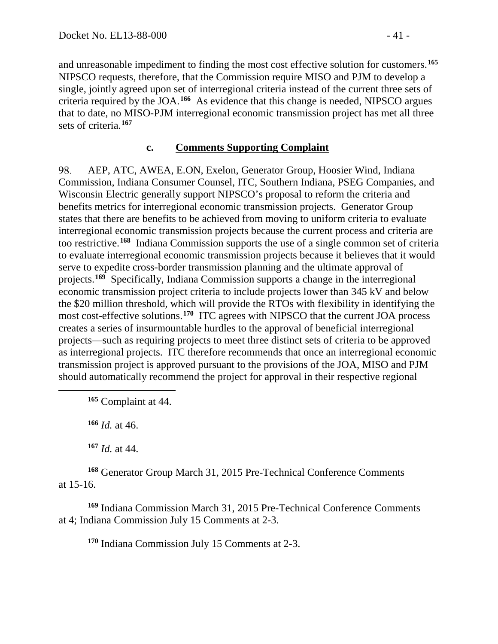and unreasonable impediment to finding the most cost effective solution for customers.**[165](#page-40-0)** NIPSCO requests, therefore, that the Commission require MISO and PJM to develop a single, jointly agreed upon set of interregional criteria instead of the current three sets of criteria required by the JOA.**[166](#page-40-1)** As evidence that this change is needed, NIPSCO argues that to date, no MISO-PJM interregional economic transmission project has met all three sets of criteria.**[167](#page-40-2)**

### **c. Comments Supporting Complaint**

98. AEP, ATC, AWEA, E.ON, Exelon, Generator Group, Hoosier Wind, Indiana Commission, Indiana Consumer Counsel, ITC, Southern Indiana, PSEG Companies, and Wisconsin Electric generally support NIPSCO's proposal to reform the criteria and benefits metrics for interregional economic transmission projects. Generator Group states that there are benefits to be achieved from moving to uniform criteria to evaluate interregional economic transmission projects because the current process and criteria are too restrictive.**[168](#page-40-3)** Indiana Commission supports the use of a single common set of criteria to evaluate interregional economic transmission projects because it believes that it would serve to expedite cross-border transmission planning and the ultimate approval of projects.**[169](#page-40-4)** Specifically, Indiana Commission supports a change in the interregional economic transmission project criteria to include projects lower than 345 kV and below the \$20 million threshold, which will provide the RTOs with flexibility in identifying the most cost-effective solutions.**[170](#page-40-5)** ITC agrees with NIPSCO that the current JOA process creates a series of insurmountable hurdles to the approval of beneficial interregional projects—such as requiring projects to meet three distinct sets of criteria to be approved as interregional projects. ITC therefore recommends that once an interregional economic transmission project is approved pursuant to the provisions of the JOA, MISO and PJM should automatically recommend the project for approval in their respective regional

**<sup>165</sup>** Complaint at 44.

**<sup>166</sup>** *Id.* at 46.

<span id="page-40-1"></span><span id="page-40-0"></span> $\overline{a}$ 

**<sup>167</sup>** *Id.* at 44.

<span id="page-40-3"></span><span id="page-40-2"></span>**<sup>168</sup>** Generator Group March 31, 2015 Pre-Technical Conference Comments at 15-16.

<span id="page-40-5"></span><span id="page-40-4"></span>**<sup>169</sup>** Indiana Commission March 31, 2015 Pre-Technical Conference Comments at 4; Indiana Commission July 15 Comments at 2-3.

**<sup>170</sup>** Indiana Commission July 15 Comments at 2-3.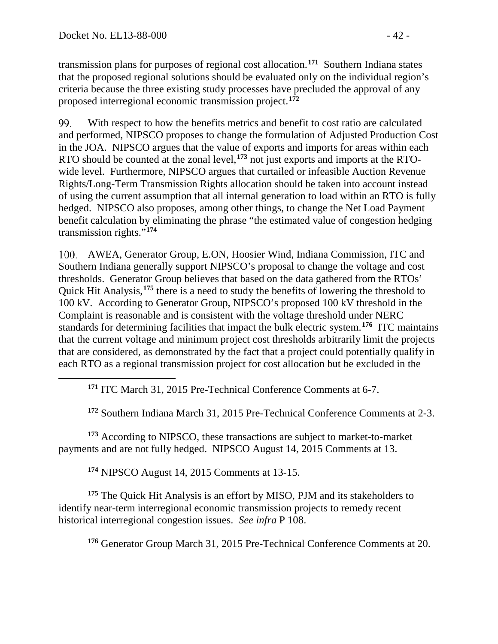transmission plans for purposes of regional cost allocation.**[171](#page-41-0)** Southern Indiana states that the proposed regional solutions should be evaluated only on the individual region's criteria because the three existing study processes have precluded the approval of any proposed interregional economic transmission project.**[172](#page-41-1)**

99. With respect to how the benefits metrics and benefit to cost ratio are calculated and performed, NIPSCO proposes to change the formulation of Adjusted Production Cost in the JOA. NIPSCO argues that the value of exports and imports for areas within each RTO should be counted at the zonal level,**[173](#page-41-2)** not just exports and imports at the RTOwide level. Furthermore, NIPSCO argues that curtailed or infeasible Auction Revenue Rights/Long-Term Transmission Rights allocation should be taken into account instead of using the current assumption that all internal generation to load within an RTO is fully hedged. NIPSCO also proposes, among other things, to change the Net Load Payment benefit calculation by eliminating the phrase "the estimated value of congestion hedging transmission rights."**[174](#page-41-3)**

AWEA, Generator Group, E.ON, Hoosier Wind, Indiana Commission, ITC and Southern Indiana generally support NIPSCO's proposal to change the voltage and cost thresholds. Generator Group believes that based on the data gathered from the RTOs' Quick Hit Analysis,**[175](#page-41-4)** there is a need to study the benefits of lowering the threshold to 100 kV. According to Generator Group, NIPSCO's proposed 100 kV threshold in the Complaint is reasonable and is consistent with the voltage threshold under NERC standards for determining facilities that impact the bulk electric system.**[176](#page-41-5)** ITC maintains that the current voltage and minimum project cost thresholds arbitrarily limit the projects that are considered, as demonstrated by the fact that a project could potentially qualify in each RTO as a regional transmission project for cost allocation but be excluded in the

**<sup>171</sup>** ITC March 31, 2015 Pre-Technical Conference Comments at 6-7.

**<sup>172</sup>** Southern Indiana March 31, 2015 Pre-Technical Conference Comments at 2-3.

<span id="page-41-2"></span><span id="page-41-1"></span><span id="page-41-0"></span>**<sup>173</sup>** According to NIPSCO, these transactions are subject to market-to-market payments and are not fully hedged. NIPSCO August 14, 2015 Comments at 13.

**<sup>174</sup>** NIPSCO August 14, 2015 Comments at 13-15.

<span id="page-41-5"></span><span id="page-41-4"></span><span id="page-41-3"></span>**<sup>175</sup>** The Quick Hit Analysis is an effort by MISO, PJM and its stakeholders to identify near-term interregional economic transmission projects to remedy recent historical interregional congestion issues. *See infra* P [108.](#page-45-0)

**<sup>176</sup>** Generator Group March 31, 2015 Pre-Technical Conference Comments at 20.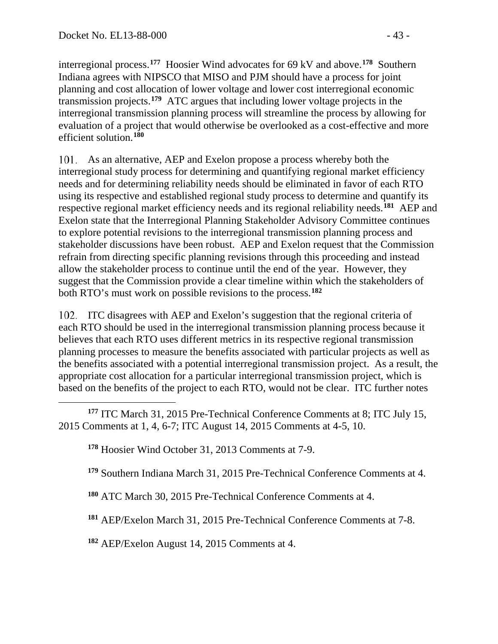interregional process.**[177](#page-42-0)** Hoosier Wind advocates for 69 kV and above.**[178](#page-42-1)** Southern Indiana agrees with NIPSCO that MISO and PJM should have a process for joint planning and cost allocation of lower voltage and lower cost interregional economic transmission projects.**[179](#page-42-2)** ATC argues that including lower voltage projects in the interregional transmission planning process will streamline the process by allowing for evaluation of a project that would otherwise be overlooked as a cost-effective and more efficient solution.**[180](#page-42-3)**

As an alternative, AEP and Exelon propose a process whereby both the interregional study process for determining and quantifying regional market efficiency needs and for determining reliability needs should be eliminated in favor of each RTO using its respective and established regional study process to determine and quantify its respective regional market efficiency needs and its regional reliability needs.**[181](#page-42-4)** AEP and Exelon state that the Interregional Planning Stakeholder Advisory Committee continues to explore potential revisions to the interregional transmission planning process and stakeholder discussions have been robust. AEP and Exelon request that the Commission refrain from directing specific planning revisions through this proceeding and instead allow the stakeholder process to continue until the end of the year. However, they suggest that the Commission provide a clear timeline within which the stakeholders of both RTO's must work on possible revisions to the process.**[182](#page-42-5)**

ITC disagrees with AEP and Exelon's suggestion that the regional criteria of each RTO should be used in the interregional transmission planning process because it believes that each RTO uses different metrics in its respective regional transmission planning processes to measure the benefits associated with particular projects as well as the benefits associated with a potential interregional transmission project. As a result, the appropriate cost allocation for a particular interregional transmission project, which is based on the benefits of the project to each RTO, would not be clear. ITC further notes

<span id="page-42-1"></span><span id="page-42-0"></span> $\overline{a}$ **<sup>177</sup>** ITC March 31, 2015 Pre-Technical Conference Comments at 8; ITC July 15, 2015 Comments at 1, 4, 6-7; ITC August 14, 2015 Comments at 4-5, 10.

**<sup>178</sup>** Hoosier Wind October 31, 2013 Comments at 7-9.

<span id="page-42-2"></span>**<sup>179</sup>** Southern Indiana March 31, 2015 Pre-Technical Conference Comments at 4.

<span id="page-42-3"></span>**<sup>180</sup>** ATC March 30, 2015 Pre-Technical Conference Comments at 4.

<span id="page-42-4"></span>**<sup>181</sup>** AEP/Exelon March 31, 2015 Pre-Technical Conference Comments at 7-8.

<span id="page-42-5"></span>**<sup>182</sup>** AEP/Exelon August 14, 2015 Comments at 4.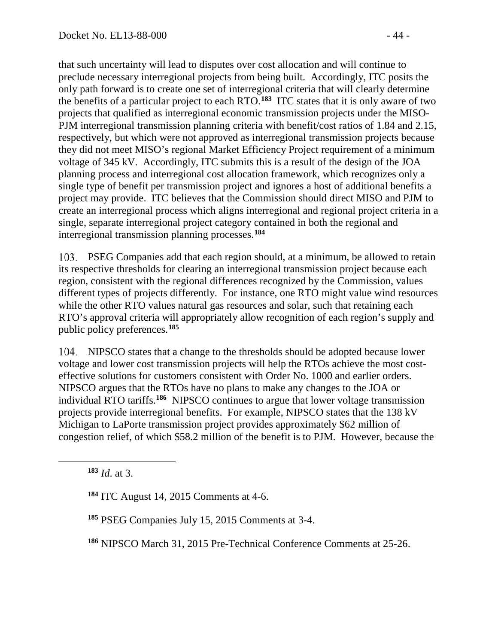that such uncertainty will lead to disputes over cost allocation and will continue to preclude necessary interregional projects from being built. Accordingly, ITC posits the only path forward is to create one set of interregional criteria that will clearly determine the benefits of a particular project to each RTO.**[183](#page-43-0)** ITC states that it is only aware of two projects that qualified as interregional economic transmission projects under the MISO-PJM interregional transmission planning criteria with benefit/cost ratios of 1.84 and 2.15, respectively, but which were not approved as interregional transmission projects because they did not meet MISO's regional Market Efficiency Project requirement of a minimum voltage of 345 kV. Accordingly, ITC submits this is a result of the design of the JOA planning process and interregional cost allocation framework, which recognizes only a single type of benefit per transmission project and ignores a host of additional benefits a project may provide. ITC believes that the Commission should direct MISO and PJM to create an interregional process which aligns interregional and regional project criteria in a single, separate interregional project category contained in both the regional and interregional transmission planning processes.**[184](#page-43-1)**

PSEG Companies add that each region should, at a minimum, be allowed to retain its respective thresholds for clearing an interregional transmission project because each region, consistent with the regional differences recognized by the Commission, values different types of projects differently. For instance, one RTO might value wind resources while the other RTO values natural gas resources and solar, such that retaining each RTO's approval criteria will appropriately allow recognition of each region's supply and public policy preferences.**[185](#page-43-2)**

NIPSCO states that a change to the thresholds should be adopted because lower voltage and lower cost transmission projects will help the RTOs achieve the most costeffective solutions for customers consistent with Order No. 1000 and earlier orders. NIPSCO argues that the RTOs have no plans to make any changes to the JOA or individual RTO tariffs.**[186](#page-43-3)** NIPSCO continues to argue that lower voltage transmission projects provide interregional benefits. For example, NIPSCO states that the 138 kV Michigan to LaPorte transmission project provides approximately \$62 million of congestion relief, of which \$58.2 million of the benefit is to PJM. However, because the

<span id="page-43-2"></span><span id="page-43-1"></span><span id="page-43-0"></span> $\overline{a}$ 

**<sup>184</sup>** ITC August 14, 2015 Comments at 4-6.

**<sup>185</sup>** PSEG Companies July 15, 2015 Comments at 3-4.

<span id="page-43-3"></span>**<sup>186</sup>** NIPSCO March 31, 2015 Pre-Technical Conference Comments at 25-26.

**<sup>183</sup>** *Id*. at 3.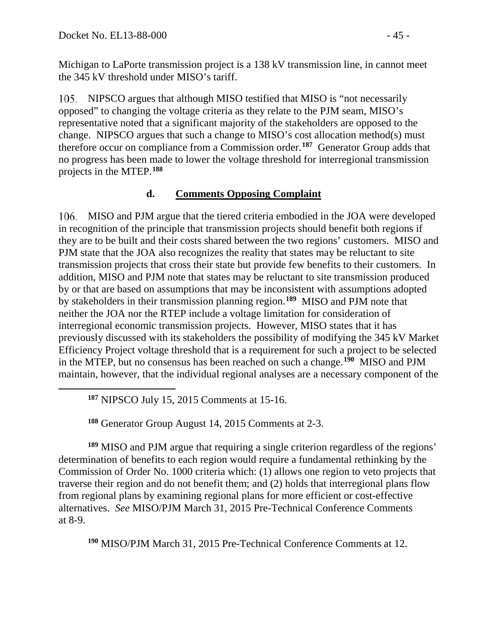Michigan to LaPorte transmission project is a 138 kV transmission line, in cannot meet the 345 kV threshold under MISO's tariff.

NIPSCO argues that although MISO testified that MISO is "not necessarily opposed" to changing the voltage criteria as they relate to the PJM seam, MISO's representative noted that a significant majority of the stakeholders are opposed to the change. NIPSCO argues that such a change to MISO's cost allocation method(s) must therefore occur on compliance from a Commission order.**[187](#page-44-0)** Generator Group adds that no progress has been made to lower the voltage threshold for interregional transmission projects in the MTEP. **[188](#page-44-1)**

## **d. Comments Opposing Complaint**

MISO and PJM argue that the tiered criteria embodied in the JOA were developed in recognition of the principle that transmission projects should benefit both regions if they are to be built and their costs shared between the two regions' customers. MISO and PJM state that the JOA also recognizes the reality that states may be reluctant to site transmission projects that cross their state but provide few benefits to their customers. In addition, MISO and PJM note that states may be reluctant to site transmission produced by or that are based on assumptions that may be inconsistent with assumptions adopted by stakeholders in their transmission planning region.**[189](#page-44-2)** MISO and PJM note that neither the JOA nor the RTEP include a voltage limitation for consideration of interregional economic transmission projects. However, MISO states that it has previously discussed with its stakeholders the possibility of modifying the 345 kV Market Efficiency Project voltage threshold that is a requirement for such a project to be selected in the MTEP, but no consensus has been reached on such a change.**[190](#page-44-3)** MISO and PJM maintain, however, that the individual regional analyses are a necessary component of the

**<sup>187</sup>** NIPSCO July 15, 2015 Comments at 15-16.

**<sup>188</sup>** Generator Group August 14, 2015 Comments at 2-3.

<span id="page-44-2"></span><span id="page-44-1"></span><span id="page-44-0"></span>**<sup>189</sup>** MISO and PJM argue that requiring a single criterion regardless of the regions' determination of benefits to each region would require a fundamental rethinking by the Commission of Order No. 1000 criteria which: (1) allows one region to veto projects that traverse their region and do not benefit them; and (2) holds that interregional plans flow from regional plans by examining regional plans for more efficient or cost-effective alternatives. *See* MISO/PJM March 31, 2015 Pre-Technical Conference Comments at 8-9.

<span id="page-44-3"></span>**<sup>190</sup>** MISO/PJM March 31, 2015 Pre-Technical Conference Comments at 12.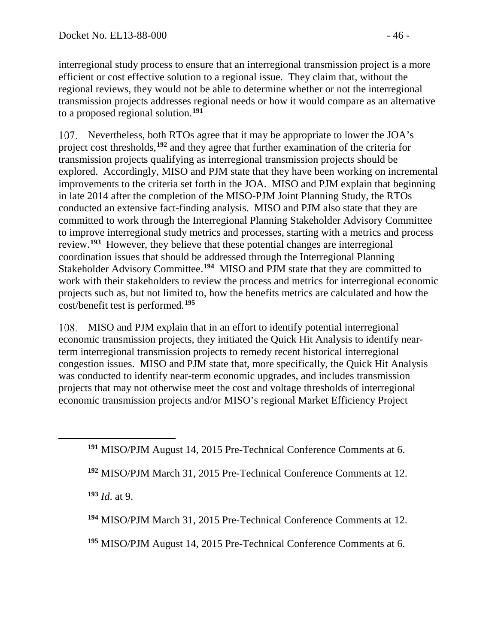interregional study process to ensure that an interregional transmission project is a more efficient or cost effective solution to a regional issue. They claim that, without the regional reviews, they would not be able to determine whether or not the interregional transmission projects addresses regional needs or how it would compare as an alternative to a proposed regional solution.**[191](#page-45-1)**

107. Nevertheless, both RTOs agree that it may be appropriate to lower the JOA's project cost thresholds,**[192](#page-45-2)** and they agree that further examination of the criteria for transmission projects qualifying as interregional transmission projects should be explored. Accordingly, MISO and PJM state that they have been working on incremental improvements to the criteria set forth in the JOA. MISO and PJM explain that beginning in late 2014 after the completion of the MISO-PJM Joint Planning Study, the RTOs conducted an extensive fact-finding analysis. MISO and PJM also state that they are committed to work through the Interregional Planning Stakeholder Advisory Committee to improve interregional study metrics and processes, starting with a metrics and process review. **[193](#page-45-3)** However, they believe that these potential changes are interregional coordination issues that should be addressed through the Interregional Planning Stakeholder Advisory Committee.**[194](#page-45-4)** MISO and PJM state that they are committed to work with their stakeholders to review the process and metrics for interregional economic projects such as, but not limited to, how the benefits metrics are calculated and how the cost/benefit test is performed.**[195](#page-45-5)**

<span id="page-45-0"></span>MISO and PJM explain that in an effort to identify potential interregional economic transmission projects, they initiated the Quick Hit Analysis to identify nearterm interregional transmission projects to remedy recent historical interregional congestion issues. MISO and PJM state that, more specifically, the Quick Hit Analysis was conducted to identify near-term economic upgrades, and includes transmission projects that may not otherwise meet the cost and voltage thresholds of interregional economic transmission projects and/or MISO's regional Market Efficiency Project

**<sup>193</sup>** *Id*. at 9.

<span id="page-45-3"></span><span id="page-45-2"></span><span id="page-45-1"></span> $\overline{a}$ 

<span id="page-45-4"></span>**<sup>194</sup>** MISO/PJM March 31, 2015 Pre-Technical Conference Comments at 12.

<span id="page-45-5"></span>**<sup>195</sup>** MISO/PJM August 14, 2015 Pre-Technical Conference Comments at 6.

**<sup>191</sup>** MISO/PJM August 14, 2015 Pre-Technical Conference Comments at 6.

**<sup>192</sup>** MISO/PJM March 31, 2015 Pre-Technical Conference Comments at 12.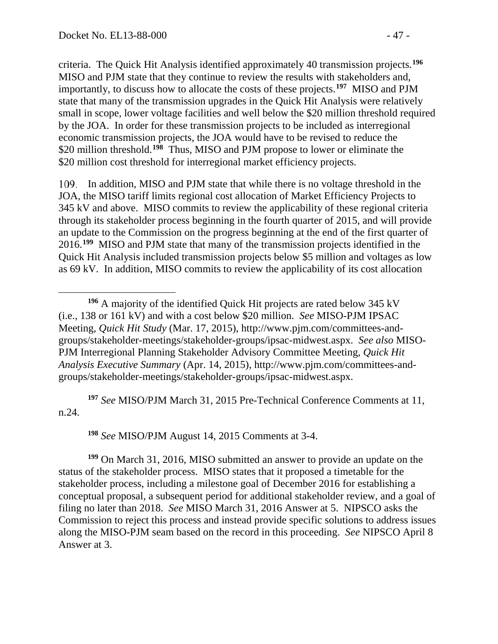<span id="page-46-4"></span>criteria. The Quick Hit Analysis identified approximately 40 transmission projects.**[196](#page-46-0)** MISO and PJM state that they continue to review the results with stakeholders and, importantly, to discuss how to allocate the costs of these projects.**[197](#page-46-1)** MISO and PJM state that many of the transmission upgrades in the Quick Hit Analysis were relatively small in scope, lower voltage facilities and well below the \$20 million threshold required by the JOA. In order for these transmission projects to be included as interregional economic transmission projects, the JOA would have to be revised to reduce the \$20 million threshold.**[198](#page-46-2)** Thus, MISO and PJM propose to lower or eliminate the \$20 million cost threshold for interregional market efficiency projects.

In addition, MISO and PJM state that while there is no voltage threshold in the JOA, the MISO tariff limits regional cost allocation of Market Efficiency Projects to 345 kV and above. MISO commits to review the applicability of these regional criteria through its stakeholder process beginning in the fourth quarter of 2015, and will provide an update to the Commission on the progress beginning at the end of the first quarter of 2016.**[199](#page-46-3)** MISO and PJM state that many of the transmission projects identified in the Quick Hit Analysis included transmission projects below \$5 million and voltages as low as 69 kV. In addition, MISO commits to review the applicability of its cost allocation

<span id="page-46-1"></span>**<sup>197</sup>** *See* MISO/PJM March 31, 2015 Pre-Technical Conference Comments at 11, n.24.

**<sup>198</sup>** *See* MISO/PJM August 14, 2015 Comments at 3-4.

<span id="page-46-3"></span><span id="page-46-2"></span>**<sup>199</sup>** On March 31, 2016, MISO submitted an answer to provide an update on the status of the stakeholder process. MISO states that it proposed a timetable for the stakeholder process, including a milestone goal of December 2016 for establishing a conceptual proposal, a subsequent period for additional stakeholder review, and a goal of filing no later than 2018. *See* MISO March 31, 2016 Answer at 5. NIPSCO asks the Commission to reject this process and instead provide specific solutions to address issues along the MISO-PJM seam based on the record in this proceeding. *See* NIPSCO April 8 Answer at 3.

<span id="page-46-0"></span>**<sup>196</sup>** A majority of the identified Quick Hit projects are rated below 345 kV (i.e., 138 or 161 kV) and with a cost below \$20 million. *See* MISO-PJM IPSAC Meeting, *Quick Hit Study* (Mar. 17, 2015), http://www.pjm.com/committees-andgroups/stakeholder-meetings/stakeholder-groups/ipsac-midwest.aspx. *See also* MISO-PJM Interregional Planning Stakeholder Advisory Committee Meeting, *Quick Hit Analysis Executive Summary* (Apr. 14, 2015), http://www.pjm.com/committees-andgroups/stakeholder-meetings/stakeholder-groups/ipsac-midwest.aspx.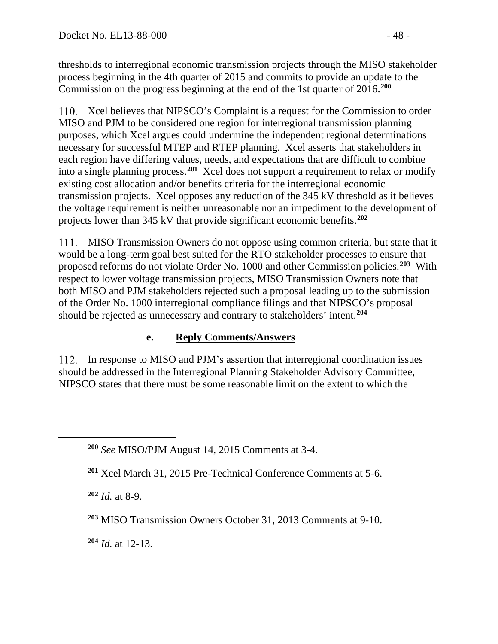thresholds to interregional economic transmission projects through the MISO stakeholder process beginning in the 4th quarter of 2015 and commits to provide an update to the Commission on the progress beginning at the end of the 1st quarter of 2016.**[200](#page-47-0)**

Xcel believes that NIPSCO's Complaint is a request for the Commission to order MISO and PJM to be considered one region for interregional transmission planning purposes, which Xcel argues could undermine the independent regional determinations necessary for successful MTEP and RTEP planning. Xcel asserts that stakeholders in each region have differing values, needs, and expectations that are difficult to combine into a single planning process.**[201](#page-47-1)** Xcel does not support a requirement to relax or modify existing cost allocation and/or benefits criteria for the interregional economic transmission projects. Xcel opposes any reduction of the 345 kV threshold as it believes the voltage requirement is neither unreasonable nor an impediment to the development of projects lower than 345 kV that provide significant economic benefits.**[202](#page-47-2)**

MISO Transmission Owners do not oppose using common criteria, but state that it would be a long-term goal best suited for the RTO stakeholder processes to ensure that proposed reforms do not violate Order No. 1000 and other Commission policies.**[203](#page-47-3)** With respect to lower voltage transmission projects, MISO Transmission Owners note that both MISO and PJM stakeholders rejected such a proposal leading up to the submission of the Order No. 1000 interregional compliance filings and that NIPSCO's proposal should be rejected as unnecessary and contrary to stakeholders' intent.**[204](#page-47-4)**

## **e. Reply Comments/Answers**

In response to MISO and PJM's assertion that interregional coordination issues should be addressed in the Interregional Planning Stakeholder Advisory Committee, NIPSCO states that there must be some reasonable limit on the extent to which the

**<sup>202</sup>** *Id.* at 8-9.

<span id="page-47-2"></span><span id="page-47-1"></span><span id="page-47-0"></span> $\overline{a}$ 

<span id="page-47-4"></span>**<sup>204</sup>** *Id.* at 12-13.

**<sup>200</sup>** *See* MISO/PJM August 14, 2015 Comments at 3-4.

**<sup>201</sup>** Xcel March 31, 2015 Pre-Technical Conference Comments at 5-6.

<span id="page-47-3"></span>**<sup>203</sup>** MISO Transmission Owners October 31, 2013 Comments at 9-10.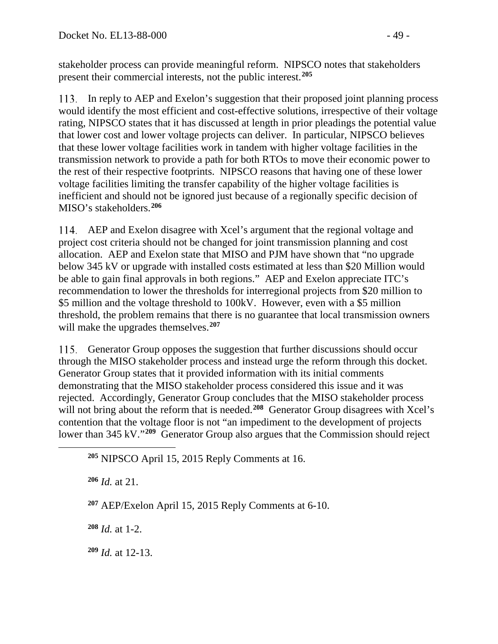stakeholder process can provide meaningful reform. NIPSCO notes that stakeholders present their commercial interests, not the public interest.**[205](#page-48-0)**

In reply to AEP and Exelon's suggestion that their proposed joint planning process would identify the most efficient and cost-effective solutions, irrespective of their voltage rating, NIPSCO states that it has discussed at length in prior pleadings the potential value that lower cost and lower voltage projects can deliver. In particular, NIPSCO believes that these lower voltage facilities work in tandem with higher voltage facilities in the transmission network to provide a path for both RTOs to move their economic power to the rest of their respective footprints. NIPSCO reasons that having one of these lower voltage facilities limiting the transfer capability of the higher voltage facilities is inefficient and should not be ignored just because of a regionally specific decision of MISO's stakeholders.**[206](#page-48-1)**

AEP and Exelon disagree with Xcel's argument that the regional voltage and project cost criteria should not be changed for joint transmission planning and cost allocation. AEP and Exelon state that MISO and PJM have shown that "no upgrade below 345 kV or upgrade with installed costs estimated at less than \$20 Million would be able to gain final approvals in both regions." AEP and Exelon appreciate ITC's recommendation to lower the thresholds for interregional projects from \$20 million to \$5 million and the voltage threshold to 100kV. However, even with a \$5 million threshold, the problem remains that there is no guarantee that local transmission owners will make the upgrades themselves.**[207](#page-48-2)**

Generator Group opposes the suggestion that further discussions should occur 115. through the MISO stakeholder process and instead urge the reform through this docket. Generator Group states that it provided information with its initial comments demonstrating that the MISO stakeholder process considered this issue and it was rejected. Accordingly, Generator Group concludes that the MISO stakeholder process will not bring about the reform that is needed.<sup>[208](#page-48-3)</sup> Generator Group disagrees with Xcel's contention that the voltage floor is not "an impediment to the development of projects lower than 345 kV."<sup>[209](#page-48-4)</sup> Generator Group also argues that the Commission should reject

**<sup>205</sup>** NIPSCO April 15, 2015 Reply Comments at 16.

**<sup>206</sup>** *Id.* at 21.

<span id="page-48-2"></span><span id="page-48-1"></span><span id="page-48-0"></span> $\overline{a}$ 

**<sup>207</sup>** AEP/Exelon April 15, 2015 Reply Comments at 6-10.

<span id="page-48-3"></span>**<sup>208</sup>** *Id.* at 1-2.

<span id="page-48-4"></span>**<sup>209</sup>** *Id.* at 12-13.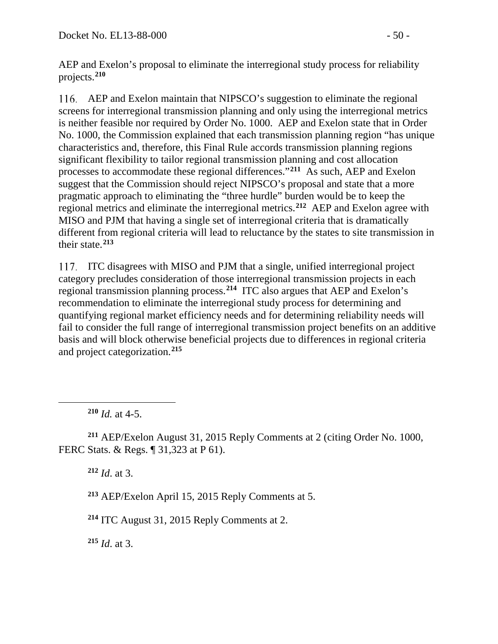AEP and Exelon's proposal to eliminate the interregional study process for reliability projects.**[210](#page-49-0)**

AEP and Exelon maintain that NIPSCO's suggestion to eliminate the regional screens for interregional transmission planning and only using the interregional metrics is neither feasible nor required by Order No. 1000. AEP and Exelon state that in Order No. 1000, the Commission explained that each transmission planning region "has unique characteristics and, therefore, this Final Rule accords transmission planning regions significant flexibility to tailor regional transmission planning and cost allocation processes to accommodate these regional differences."**[211](#page-49-1)** As such, AEP and Exelon suggest that the Commission should reject NIPSCO's proposal and state that a more pragmatic approach to eliminating the "three hurdle" burden would be to keep the regional metrics and eliminate the interregional metrics.**[212](#page-49-2)** AEP and Exelon agree with MISO and PJM that having a single set of interregional criteria that is dramatically different from regional criteria will lead to reluctance by the states to site transmission in their state.**[213](#page-49-3)**

ITC disagrees with MISO and PJM that a single, unified interregional project category precludes consideration of those interregional transmission projects in each regional transmission planning process.**[214](#page-49-4)** ITC also argues that AEP and Exelon's recommendation to eliminate the interregional study process for determining and quantifying regional market efficiency needs and for determining reliability needs will fail to consider the full range of interregional transmission project benefits on an additive basis and will block otherwise beneficial projects due to differences in regional criteria and project categorization.**[215](#page-49-5)**

**<sup>210</sup>** *Id.* at 4-5.

<span id="page-49-0"></span> $\overline{a}$ 

<span id="page-49-3"></span><span id="page-49-2"></span><span id="page-49-1"></span>**<sup>211</sup>** AEP/Exelon August 31, 2015 Reply Comments at 2 (citing Order No. 1000, FERC Stats. & Regs. ¶ 31,323 at P 61).

**<sup>212</sup>** *Id*. at 3.

**<sup>213</sup>** AEP/Exelon April 15, 2015 Reply Comments at 5.

<span id="page-49-4"></span>**<sup>214</sup>** ITC August 31, 2015 Reply Comments at 2.

<span id="page-49-5"></span>**<sup>215</sup>** *Id*. at 3.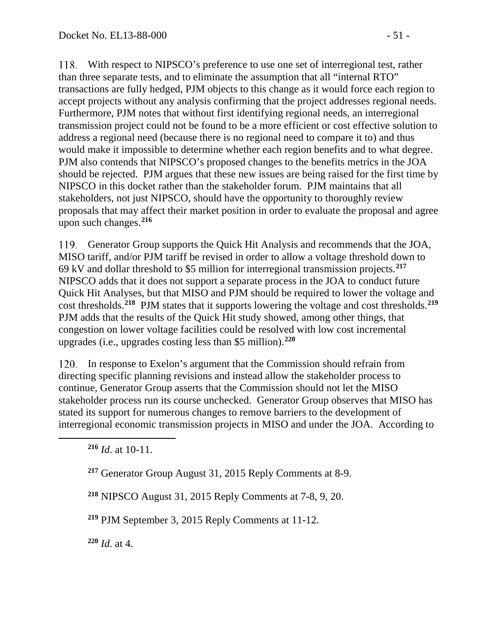With respect to NIPSCO's preference to use one set of interregional test, rather than three separate tests, and to eliminate the assumption that all "internal RTO" transactions are fully hedged, PJM objects to this change as it would force each region to accept projects without any analysis confirming that the project addresses regional needs. Furthermore, PJM notes that without first identifying regional needs, an interregional transmission project could not be found to be a more efficient or cost effective solution to address a regional need (because there is no regional need to compare it to) and thus would make it impossible to determine whether each region benefits and to what degree. PJM also contends that NIPSCO's proposed changes to the benefits metrics in the JOA should be rejected. PJM argues that these new issues are being raised for the first time by NIPSCO in this docket rather than the stakeholder forum. PJM maintains that all stakeholders, not just NIPSCO, should have the opportunity to thoroughly review proposals that may affect their market position in order to evaluate the proposal and agree upon such changes.**[216](#page-50-0)**

Generator Group supports the Quick Hit Analysis and recommends that the JOA, MISO tariff, and/or PJM tariff be revised in order to allow a voltage threshold down to 69 kV and dollar threshold to \$5 million for interregional transmission projects.**[217](#page-50-1)** NIPSCO adds that it does not support a separate process in the JOA to conduct future Quick Hit Analyses, but that MISO and PJM should be required to lower the voltage and cost thresholds.**[218](#page-50-2)** PJM states that it supports lowering the voltage and cost thresholds.**[219](#page-50-3)** PJM adds that the results of the Quick Hit study showed, among other things, that congestion on lower voltage facilities could be resolved with low cost incremental upgrades (i.e., upgrades costing less than \$5 million).**[220](#page-50-4)**

120. In response to Exelon's argument that the Commission should refrain from directing specific planning revisions and instead allow the stakeholder process to continue, Generator Group asserts that the Commission should not let the MISO stakeholder process run its course unchecked. Generator Group observes that MISO has stated its support for numerous changes to remove barriers to the development of interregional economic transmission projects in MISO and under the JOA. According to

<span id="page-50-2"></span><span id="page-50-1"></span><span id="page-50-0"></span> $\overline{a}$ 

**<sup>218</sup>** NIPSCO August 31, 2015 Reply Comments at 7-8, 9, 20.

<span id="page-50-3"></span>**<sup>219</sup>** PJM September 3, 2015 Reply Comments at 11-12.

<span id="page-50-4"></span>**<sup>220</sup>** *Id.* at 4.

**<sup>216</sup>** *Id*. at 10-11.

**<sup>217</sup>** Generator Group August 31, 2015 Reply Comments at 8-9.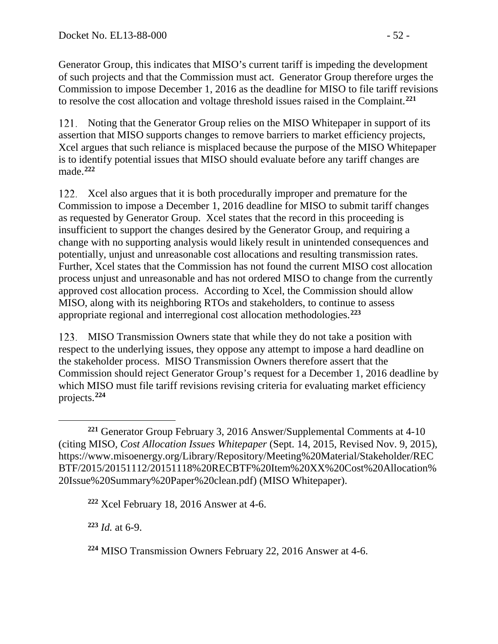Generator Group, this indicates that MISO's current tariff is impeding the development of such projects and that the Commission must act. Generator Group therefore urges the Commission to impose December 1, 2016 as the deadline for MISO to file tariff revisions to resolve the cost allocation and voltage threshold issues raised in the Complaint.**[221](#page-51-0)**

121. Noting that the Generator Group relies on the MISO Whitepaper in support of its assertion that MISO supports changes to remove barriers to market efficiency projects, Xcel argues that such reliance is misplaced because the purpose of the MISO Whitepaper is to identify potential issues that MISO should evaluate before any tariff changes are made.**[222](#page-51-1)**

122. Xcel also argues that it is both procedurally improper and premature for the Commission to impose a December 1, 2016 deadline for MISO to submit tariff changes as requested by Generator Group. Xcel states that the record in this proceeding is insufficient to support the changes desired by the Generator Group, and requiring a change with no supporting analysis would likely result in unintended consequences and potentially, unjust and unreasonable cost allocations and resulting transmission rates. Further, Xcel states that the Commission has not found the current MISO cost allocation process unjust and unreasonable and has not ordered MISO to change from the currently approved cost allocation process. According to Xcel, the Commission should allow MISO, along with its neighboring RTOs and stakeholders, to continue to assess appropriate regional and interregional cost allocation methodologies.**[223](#page-51-2)**

MISO Transmission Owners state that while they do not take a position with respect to the underlying issues, they oppose any attempt to impose a hard deadline on the stakeholder process. MISO Transmission Owners therefore assert that the Commission should reject Generator Group's request for a December 1, 2016 deadline by which MISO must file tariff revisions revising criteria for evaluating market efficiency projects.**[224](#page-51-3)**

<span id="page-51-1"></span>**<sup>222</sup>** Xcel February 18, 2016 Answer at 4-6.

<span id="page-51-2"></span>**<sup>223</sup>** *Id.* at 6-9.

<span id="page-51-3"></span>**<sup>224</sup>** MISO Transmission Owners February 22, 2016 Answer at 4-6.

<span id="page-51-0"></span> $\overline{a}$ **<sup>221</sup>** Generator Group February 3, 2016 Answer/Supplemental Comments at 4-10 (citing MISO*, Cost Allocation Issues Whitepaper* (Sept. 14, 2015, Revised Nov. 9, 2015), https://www.misoenergy.org/Library/Repository/Meeting%20Material/Stakeholder/REC BTF/2015/20151112/20151118%20RECBTF%20Item%20XX%20Cost%20Allocation% 20Issue%20Summary%20Paper%20clean.pdf) (MISO Whitepaper).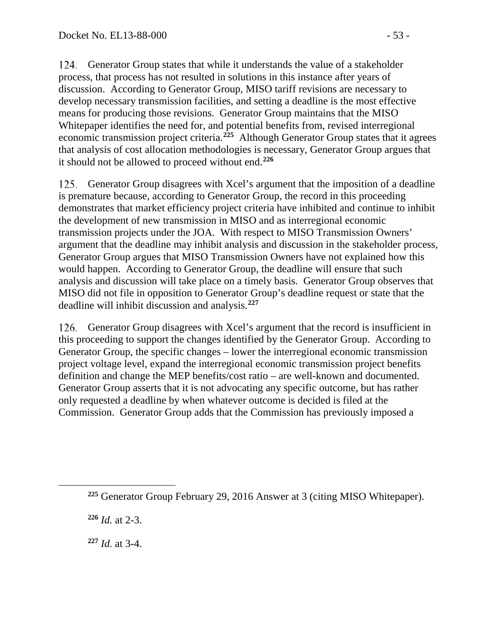124. Generator Group states that while it understands the value of a stakeholder process, that process has not resulted in solutions in this instance after years of discussion. According to Generator Group, MISO tariff revisions are necessary to develop necessary transmission facilities, and setting a deadline is the most effective means for producing those revisions. Generator Group maintains that the MISO Whitepaper identifies the need for, and potential benefits from, revised interregional economic transmission project criteria.**[225](#page-52-0)** Although Generator Group states that it agrees that analysis of cost allocation methodologies is necessary, Generator Group argues that it should not be allowed to proceed without end.**[226](#page-52-1)**

125. Generator Group disagrees with Xcel's argument that the imposition of a deadline is premature because, according to Generator Group, the record in this proceeding demonstrates that market efficiency project criteria have inhibited and continue to inhibit the development of new transmission in MISO and as interregional economic transmission projects under the JOA. With respect to MISO Transmission Owners' argument that the deadline may inhibit analysis and discussion in the stakeholder process, Generator Group argues that MISO Transmission Owners have not explained how this would happen. According to Generator Group, the deadline will ensure that such analysis and discussion will take place on a timely basis. Generator Group observes that MISO did not file in opposition to Generator Group's deadline request or state that the deadline will inhibit discussion and analysis.**[227](#page-52-2)**

Generator Group disagrees with Xcel's argument that the record is insufficient in this proceeding to support the changes identified by the Generator Group. According to Generator Group, the specific changes – lower the interregional economic transmission project voltage level, expand the interregional economic transmission project benefits definition and change the MEP benefits/cost ratio – are well-known and documented. Generator Group asserts that it is not advocating any specific outcome, but has rather only requested a deadline by when whatever outcome is decided is filed at the Commission. Generator Group adds that the Commission has previously imposed a

**<sup>226</sup>** *Id.* at 2-3.

<span id="page-52-2"></span><span id="page-52-1"></span><span id="page-52-0"></span> $\overline{a}$ 

**<sup>227</sup>** *Id.* at 3-4.

**<sup>225</sup>** Generator Group February 29, 2016 Answer at 3 (citing MISO Whitepaper).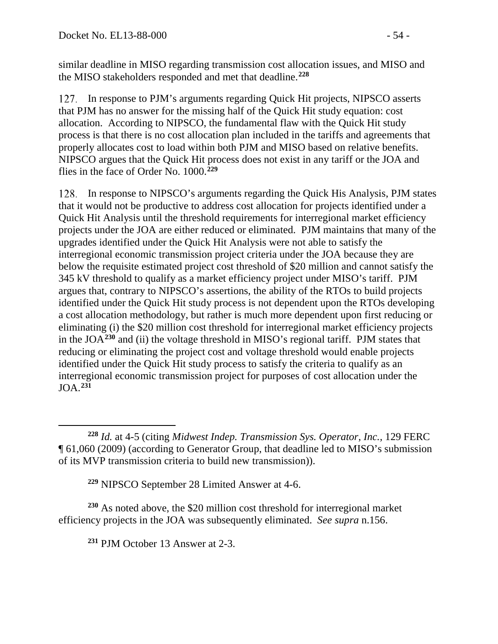similar deadline in MISO regarding transmission cost allocation issues, and MISO and the MISO stakeholders responded and met that deadline.**[228](#page-53-0)**

127. In response to PJM's arguments regarding Quick Hit projects, NIPSCO asserts that PJM has no answer for the missing half of the Quick Hit study equation: cost allocation. According to NIPSCO, the fundamental flaw with the Quick Hit study process is that there is no cost allocation plan included in the tariffs and agreements that properly allocates cost to load within both PJM and MISO based on relative benefits. NIPSCO argues that the Quick Hit process does not exist in any tariff or the JOA and flies in the face of Order No. 1000.**[229](#page-53-1)**

In response to NIPSCO's arguments regarding the Quick His Analysis, PJM states that it would not be productive to address cost allocation for projects identified under a Quick Hit Analysis until the threshold requirements for interregional market efficiency projects under the JOA are either reduced or eliminated. PJM maintains that many of the upgrades identified under the Quick Hit Analysis were not able to satisfy the interregional economic transmission project criteria under the JOA because they are below the requisite estimated project cost threshold of \$20 million and cannot satisfy the 345 kV threshold to qualify as a market efficiency project under MISO's tariff. PJM argues that, contrary to NIPSCO's assertions, the ability of the RTOs to build projects identified under the Quick Hit study process is not dependent upon the RTOs developing a cost allocation methodology, but rather is much more dependent upon first reducing or eliminating (i) the \$20 million cost threshold for interregional market efficiency projects in the JOA**[230](#page-53-2)** and (ii) the voltage threshold in MISO's regional tariff. PJM states that reducing or eliminating the project cost and voltage threshold would enable projects identified under the Quick Hit study process to satisfy the criteria to qualify as an interregional economic transmission project for purposes of cost allocation under the JOA.**[231](#page-53-3)**

**<sup>229</sup>** NIPSCO September 28 Limited Answer at 4-6.

<span id="page-53-3"></span><span id="page-53-2"></span><span id="page-53-1"></span>**<sup>230</sup>** As noted above, the \$20 million cost threshold for interregional market efficiency projects in the JOA was subsequently eliminated. *See supra* n[.156.](#page-37-6)

**<sup>231</sup>** PJM October 13 Answer at 2-3.

<span id="page-53-0"></span> $\overline{a}$ **<sup>228</sup>** *Id.* at 4-5 (citing *Midwest Indep. Transmission Sys. Operator, Inc.,* 129 FERC ¶ 61,060 (2009) (according to Generator Group, that deadline led to MISO's submission of its MVP transmission criteria to build new transmission)).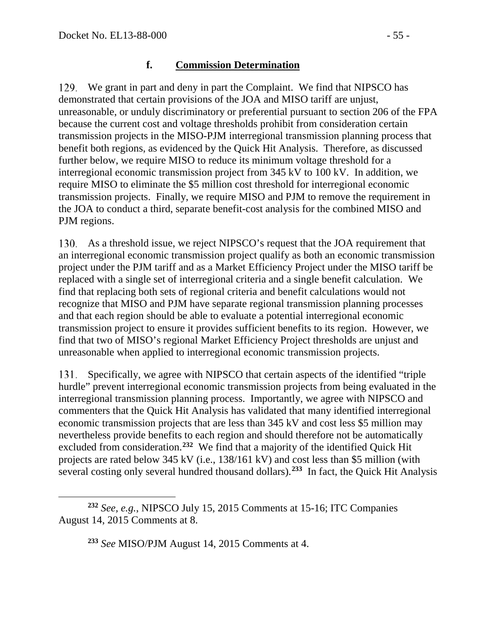## **f. Commission Determination**

We grant in part and deny in part the Complaint. We find that NIPSCO has demonstrated that certain provisions of the JOA and MISO tariff are unjust, unreasonable, or unduly discriminatory or preferential pursuant to section 206 of the FPA because the current cost and voltage thresholds prohibit from consideration certain transmission projects in the MISO-PJM interregional transmission planning process that benefit both regions, as evidenced by the Quick Hit Analysis. Therefore, as discussed further below, we require MISO to reduce its minimum voltage threshold for a interregional economic transmission project from 345 kV to 100 kV. In addition, we require MISO to eliminate the \$5 million cost threshold for interregional economic transmission projects. Finally, we require MISO and PJM to remove the requirement in the JOA to conduct a third, separate benefit-cost analysis for the combined MISO and PJM regions.

As a threshold issue, we reject NIPSCO's request that the JOA requirement that an interregional economic transmission project qualify as both an economic transmission project under the PJM tariff and as a Market Efficiency Project under the MISO tariff be replaced with a single set of interregional criteria and a single benefit calculation. We find that replacing both sets of regional criteria and benefit calculations would not recognize that MISO and PJM have separate regional transmission planning processes and that each region should be able to evaluate a potential interregional economic transmission project to ensure it provides sufficient benefits to its region. However, we find that two of MISO's regional Market Efficiency Project thresholds are unjust and unreasonable when applied to interregional economic transmission projects.

131. Specifically, we agree with NIPSCO that certain aspects of the identified "triple hurdle" prevent interregional economic transmission projects from being evaluated in the interregional transmission planning process. Importantly, we agree with NIPSCO and commenters that the Quick Hit Analysis has validated that many identified interregional economic transmission projects that are less than 345 kV and cost less \$5 million may nevertheless provide benefits to each region and should therefore not be automatically excluded from consideration.**[232](#page-54-0)** We find that a majority of the identified Quick Hit projects are rated below 345 kV (i.e., 138/161 kV) and cost less than \$5 million (with several costing only several hundred thousand dollars).**[233](#page-54-1)** In fact, the Quick Hit Analysis

**<sup>233</sup>** *See* MISO/PJM August 14, 2015 Comments at 4.

<span id="page-54-1"></span><span id="page-54-0"></span> $\overline{a}$ **<sup>232</sup>** *See, e.g.*, NIPSCO July 15, 2015 Comments at 15-16; ITC Companies August 14, 2015 Comments at 8.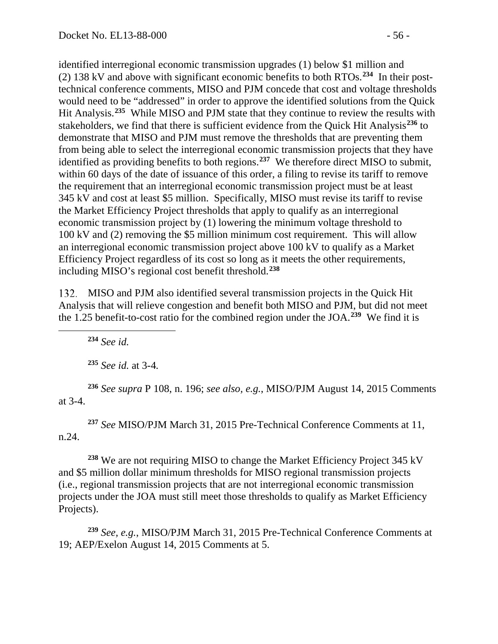identified interregional economic transmission upgrades (1) below \$1 million and (2) 138 kV and above with significant economic benefits to both RTOs.**[234](#page-55-0)** In their posttechnical conference comments, MISO and PJM concede that cost and voltage thresholds would need to be "addressed" in order to approve the identified solutions from the Quick Hit Analysis.**[235](#page-55-1)** While MISO and PJM state that they continue to review the results with stakeholders, we find that there is sufficient evidence from the Quick Hit Analysis**[236](#page-55-2)** to demonstrate that MISO and PJM must remove the thresholds that are preventing them from being able to select the interregional economic transmission projects that they have identified as providing benefits to both regions.**[237](#page-55-3)** We therefore direct MISO to submit, within 60 days of the date of issuance of this order, a filing to revise its tariff to remove the requirement that an interregional economic transmission project must be at least 345 kV and cost at least \$5 million. Specifically, MISO must revise its tariff to revise the Market Efficiency Project thresholds that apply to qualify as an interregional economic transmission project by (1) lowering the minimum voltage threshold to 100 kV and (2) removing the \$5 million minimum cost requirement. This will allow an interregional economic transmission project above 100 kV to qualify as a Market Efficiency Project regardless of its cost so long as it meets the other requirements, including MISO's regional cost benefit threshold.**[238](#page-55-4)**

MISO and PJM also identified several transmission projects in the Quick Hit Analysis that will relieve congestion and benefit both MISO and PJM, but did not meet the 1.25 benefit-to-cost ratio for the combined region under the JOA.**[239](#page-55-5)** We find it is

**<sup>234</sup>** *See id.*

<span id="page-55-0"></span> $\overline{a}$ 

**<sup>235</sup>** *See id.* at 3-4*.*

<span id="page-55-2"></span><span id="page-55-1"></span>**<sup>236</sup>** *See supra* P [108,](#page-45-0) n. [196;](#page-46-4) *see also, e.g.*, MISO/PJM August 14, 2015 Comments at 3-4.

<span id="page-55-3"></span>**<sup>237</sup>** *See* MISO/PJM March 31, 2015 Pre-Technical Conference Comments at 11, n.24.

<span id="page-55-4"></span>**<sup>238</sup>** We are not requiring MISO to change the Market Efficiency Project 345 kV and \$5 million dollar minimum thresholds for MISO regional transmission projects (i.e., regional transmission projects that are not interregional economic transmission projects under the JOA must still meet those thresholds to qualify as Market Efficiency Projects).

<span id="page-55-5"></span>**<sup>239</sup>** *See, e.g.*, MISO/PJM March 31, 2015 Pre-Technical Conference Comments at 19; AEP/Exelon August 14, 2015 Comments at 5.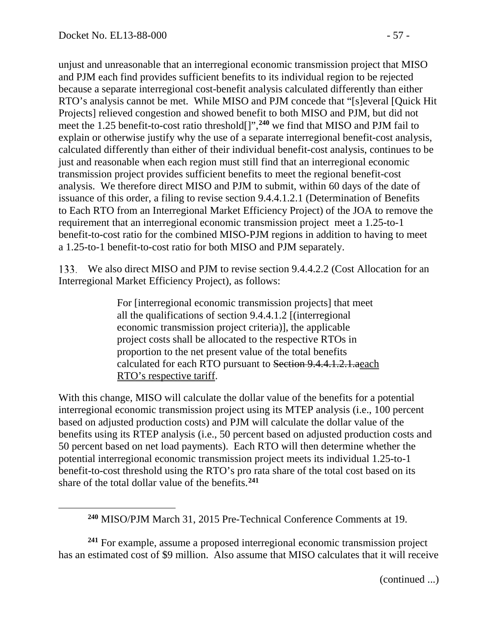unjust and unreasonable that an interregional economic transmission project that MISO and PJM each find provides sufficient benefits to its individual region to be rejected because a separate interregional cost-benefit analysis calculated differently than either RTO's analysis cannot be met. While MISO and PJM concede that "[s]everal [Quick Hit Projects] relieved congestion and showed benefit to both MISO and PJM, but did not meet the 1.25 benefit-to-cost ratio threshold[]",**[240](#page-56-0)** we find that MISO and PJM fail to explain or otherwise justify why the use of a separate interregional benefit-cost analysis, calculated differently than either of their individual benefit-cost analysis, continues to be just and reasonable when each region must still find that an interregional economic transmission project provides sufficient benefits to meet the regional benefit-cost analysis. We therefore direct MISO and PJM to submit, within 60 days of the date of issuance of this order, a filing to revise section 9.4.4.1.2.1 (Determination of Benefits to Each RTO from an Interregional Market Efficiency Project) of the JOA to remove the requirement that an interregional economic transmission project meet a 1.25-to-1 benefit-to-cost ratio for the combined MISO-PJM regions in addition to having to meet a 1.25-to-1 benefit-to-cost ratio for both MISO and PJM separately.

We also direct MISO and PJM to revise section 9.4.4.2.2 (Cost Allocation for an Interregional Market Efficiency Project), as follows:

> For [interregional economic transmission projects] that meet all the qualifications of section 9.4.4.1.2 [(interregional economic transmission project criteria)], the applicable project costs shall be allocated to the respective RTOs in proportion to the net present value of the total benefits calculated for each RTO pursuant to Section 9.4.4.1.2.1.aeach RTO's respective tariff.

With this change, MISO will calculate the dollar value of the benefits for a potential interregional economic transmission project using its MTEP analysis (i.e., 100 percent based on adjusted production costs) and PJM will calculate the dollar value of the benefits using its RTEP analysis (i.e., 50 percent based on adjusted production costs and 50 percent based on net load payments). Each RTO will then determine whether the potential interregional economic transmission project meets its individual 1.25-to-1 benefit-to-cost threshold using the RTO's pro rata share of the total cost based on its share of the total dollar value of the benefits. **[241](#page-56-1)**

<span id="page-56-1"></span><span id="page-56-0"></span>**<sup>241</sup>** For example, assume a proposed interregional economic transmission project has an estimated cost of \$9 million. Also assume that MISO calculates that it will receive

(continued ...)

**<sup>240</sup>** MISO/PJM March 31, 2015 Pre-Technical Conference Comments at 19.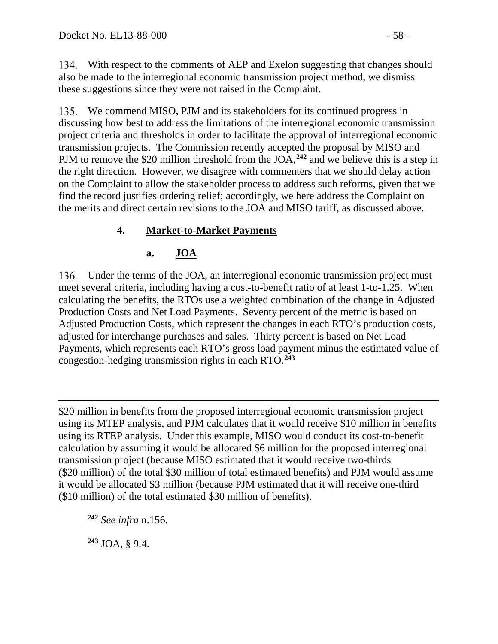With respect to the comments of AEP and Exelon suggesting that changes should also be made to the interregional economic transmission project method, we dismiss these suggestions since they were not raised in the Complaint.

We commend MISO, PJM and its stakeholders for its continued progress in discussing how best to address the limitations of the interregional economic transmission project criteria and thresholds in order to facilitate the approval of interregional economic transmission projects. The Commission recently accepted the proposal by MISO and PJM to remove the \$20 million threshold from the JOA, **[242](#page-57-0)** and we believe this is a step in the right direction. However, we disagree with commenters that we should delay action on the Complaint to allow the stakeholder process to address such reforms, given that we find the record justifies ordering relief; accordingly, we here address the Complaint on the merits and direct certain revisions to the JOA and MISO tariff, as discussed above.

# **4. Market-to-Market Payments**

## **a. JOA**

Under the terms of the JOA, an interregional economic transmission project must meet several criteria, including having a cost-to-benefit ratio of at least 1-to-1.25. When calculating the benefits, the RTOs use a weighted combination of the change in Adjusted Production Costs and Net Load Payments. Seventy percent of the metric is based on Adjusted Production Costs, which represent the changes in each RTO's production costs, adjusted for interchange purchases and sales. Thirty percent is based on Net Load Payments, which represents each RTO's gross load payment minus the estimated value of congestion-hedging transmission rights in each RTO.**[243](#page-57-1)**

 $\overline{a}$ \$20 million in benefits from the proposed interregional economic transmission project using its MTEP analysis, and PJM calculates that it would receive \$10 million in benefits using its RTEP analysis. Under this example, MISO would conduct its cost-to-benefit calculation by assuming it would be allocated \$6 million for the proposed interregional transmission project (because MISO estimated that it would receive two-thirds (\$20 million) of the total \$30 million of total estimated benefits) and PJM would assume it would be allocated \$3 million (because PJM estimated that it will receive one-third (\$10 million) of the total estimated \$30 million of benefits).

<span id="page-57-0"></span>**<sup>242</sup>** *See infra* n[.156.](#page-37-6)

<span id="page-57-1"></span>**<sup>243</sup>** JOA, § 9.4.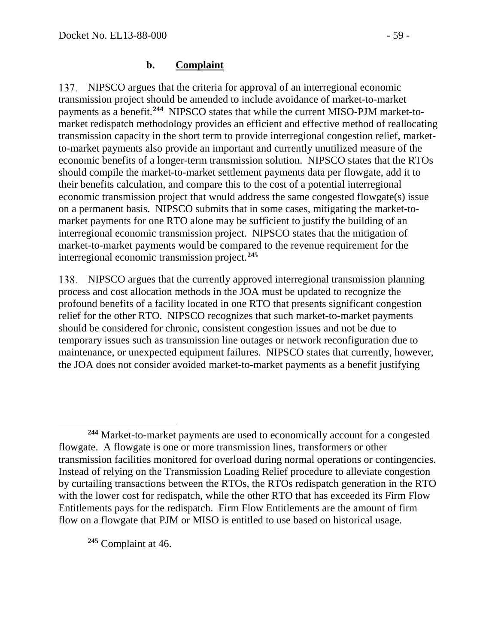### **b. Complaint**

137. NIPSCO argues that the criteria for approval of an interregional economic transmission project should be amended to include avoidance of market-to-market payments as a benefit.**[244](#page-58-0)** NIPSCO states that while the current MISO-PJM market-tomarket redispatch methodology provides an efficient and effective method of reallocating transmission capacity in the short term to provide interregional congestion relief, marketto-market payments also provide an important and currently unutilized measure of the economic benefits of a longer-term transmission solution. NIPSCO states that the RTOs should compile the market-to-market settlement payments data per flowgate, add it to their benefits calculation, and compare this to the cost of a potential interregional economic transmission project that would address the same congested flowgate(s) issue on a permanent basis. NIPSCO submits that in some cases, mitigating the market-tomarket payments for one RTO alone may be sufficient to justify the building of an interregional economic transmission project. NIPSCO states that the mitigation of market-to-market payments would be compared to the revenue requirement for the interregional economic transmission project. **[245](#page-58-1)**

NIPSCO argues that the currently approved interregional transmission planning process and cost allocation methods in the JOA must be updated to recognize the profound benefits of a facility located in one RTO that presents significant congestion relief for the other RTO. NIPSCO recognizes that such market-to-market payments should be considered for chronic, consistent congestion issues and not be due to temporary issues such as transmission line outages or network reconfiguration due to maintenance, or unexpected equipment failures. NIPSCO states that currently, however, the JOA does not consider avoided market-to-market payments as a benefit justifying

<span id="page-58-1"></span>**<sup>245</sup>** Complaint at 46.

 $\overline{a}$ 

<span id="page-58-0"></span>**<sup>244</sup>** Market-to-market payments are used to economically account for a congested flowgate. A flowgate is one or more transmission lines, transformers or other transmission facilities monitored for overload during normal operations or contingencies. Instead of relying on the Transmission Loading Relief procedure to alleviate congestion by curtailing transactions between the RTOs, the RTOs redispatch generation in the RTO with the lower cost for redispatch, while the other RTO that has exceeded its Firm Flow Entitlements pays for the redispatch. Firm Flow Entitlements are the amount of firm flow on a flowgate that PJM or MISO is entitled to use based on historical usage.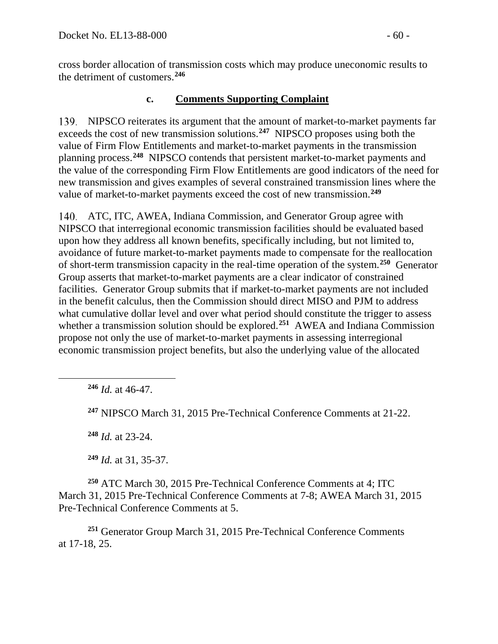cross border allocation of transmission costs which may produce uneconomic results to the detriment of customers.**[246](#page-59-0)**

## **c. Comments Supporting Complaint**

NIPSCO reiterates its argument that the amount of market-to-market payments far exceeds the cost of new transmission solutions.**[247](#page-59-1)** NIPSCO proposes using both the value of Firm Flow Entitlements and market-to-market payments in the transmission planning process.**[248](#page-59-2)** NIPSCO contends that persistent market-to-market payments and the value of the corresponding Firm Flow Entitlements are good indicators of the need for new transmission and gives examples of several constrained transmission lines where the value of market-to-market payments exceed the cost of new transmission.**[249](#page-59-3)**

ATC, ITC, AWEA, Indiana Commission, and Generator Group agree with NIPSCO that interregional economic transmission facilities should be evaluated based upon how they address all known benefits, specifically including, but not limited to, avoidance of future market-to-market payments made to compensate for the reallocation of short-term transmission capacity in the real-time operation of the system.**[250](#page-59-4)** Generator Group asserts that market-to-market payments are a clear indicator of constrained facilities. Generator Group submits that if market-to-market payments are not included in the benefit calculus, then the Commission should direct MISO and PJM to address what cumulative dollar level and over what period should constitute the trigger to assess whether a transmission solution should be explored.<sup>[251](#page-59-5)</sup> AWEA and Indiana Commission propose not only the use of market-to-market payments in assessing interregional economic transmission project benefits, but also the underlying value of the allocated

**<sup>246</sup>** *Id.* at 46-47.

<span id="page-59-1"></span><span id="page-59-0"></span> $\overline{a}$ 

**<sup>247</sup>** NIPSCO March 31, 2015 Pre-Technical Conference Comments at 21-22.

**<sup>248</sup>** *Id.* at 23-24.

**<sup>249</sup>** *Id.* at 31, 35-37.

<span id="page-59-4"></span><span id="page-59-3"></span><span id="page-59-2"></span>**<sup>250</sup>** ATC March 30, 2015 Pre-Technical Conference Comments at 4; ITC March 31, 2015 Pre-Technical Conference Comments at 7-8; AWEA March 31, 2015 Pre-Technical Conference Comments at 5.

<span id="page-59-5"></span>**<sup>251</sup>** Generator Group March 31, 2015 Pre-Technical Conference Comments at 17-18, 25.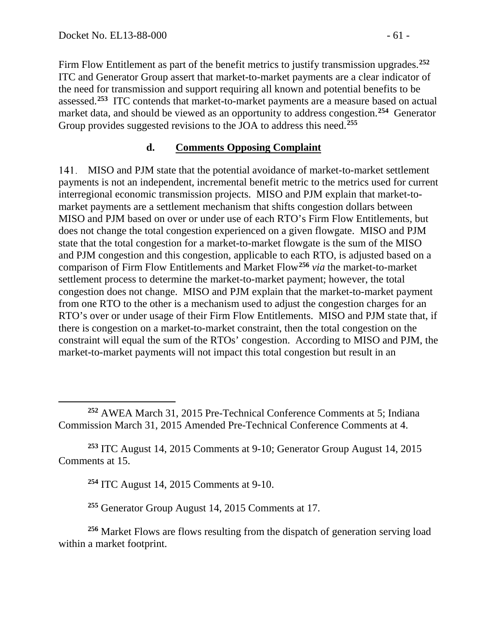Firm Flow Entitlement as part of the benefit metrics to justify transmission upgrades.**[252](#page-60-0)** ITC and Generator Group assert that market-to-market payments are a clear indicator of the need for transmission and support requiring all known and potential benefits to be assessed.**[253](#page-60-1)** ITC contends that market-to-market payments are a measure based on actual market data, and should be viewed as an opportunity to address congestion.**[254](#page-60-2)** Generator Group provides suggested revisions to the JOA to address this need.**[255](#page-60-3)**

#### **d. Comments Opposing Complaint**

MISO and PJM state that the potential avoidance of market-to-market settlement payments is not an independent, incremental benefit metric to the metrics used for current interregional economic transmission projects. MISO and PJM explain that market-tomarket payments are a settlement mechanism that shifts congestion dollars between MISO and PJM based on over or under use of each RTO's Firm Flow Entitlements, but does not change the total congestion experienced on a given flowgate. MISO and PJM state that the total congestion for a market-to-market flowgate is the sum of the MISO and PJM congestion and this congestion, applicable to each RTO, is adjusted based on a comparison of Firm Flow Entitlements and Market Flow**[256](#page-60-4)** *via* the market-to-market settlement process to determine the market-to-market payment; however, the total congestion does not change. MISO and PJM explain that the market-to-market payment from one RTO to the other is a mechanism used to adjust the congestion charges for an RTO's over or under usage of their Firm Flow Entitlements. MISO and PJM state that, if there is congestion on a market-to-market constraint, then the total congestion on the constraint will equal the sum of the RTOs' congestion. According to MISO and PJM, the market-to-market payments will not impact this total congestion but result in an

<span id="page-60-0"></span>**<sup>252</sup>** AWEA March 31, 2015 Pre-Technical Conference Comments at 5; Indiana Commission March 31, 2015 Amended Pre-Technical Conference Comments at 4.

<span id="page-60-2"></span><span id="page-60-1"></span>**<sup>253</sup>** ITC August 14, 2015 Comments at 9-10; Generator Group August 14, 2015 Comments at 15.

**<sup>254</sup>** ITC August 14, 2015 Comments at 9-10.

**<sup>255</sup>** Generator Group August 14, 2015 Comments at 17.

<span id="page-60-4"></span><span id="page-60-3"></span>**<sup>256</sup>** Market Flows are flows resulting from the dispatch of generation serving load within a market footprint.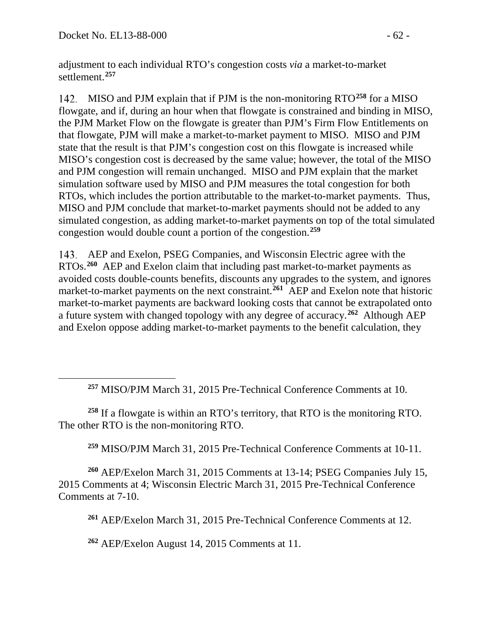adjustment to each individual RTO's congestion costs *via* a market-to-market settlement.**[257](#page-61-0)**

142. MISO and PJM explain that if PJM is the non-monitoring RTO<sup>[258](#page-61-1)</sup> for a MISO flowgate, and if, during an hour when that flowgate is constrained and binding in MISO, the PJM Market Flow on the flowgate is greater than PJM's Firm Flow Entitlements on that flowgate, PJM will make a market-to-market payment to MISO. MISO and PJM state that the result is that PJM's congestion cost on this flowgate is increased while MISO's congestion cost is decreased by the same value; however, the total of the MISO and PJM congestion will remain unchanged. MISO and PJM explain that the market simulation software used by MISO and PJM measures the total congestion for both RTOs, which includes the portion attributable to the market-to-market payments. Thus, MISO and PJM conclude that market-to-market payments should not be added to any simulated congestion, as adding market-to-market payments on top of the total simulated congestion would double count a portion of the congestion.**[259](#page-61-2)**

AEP and Exelon, PSEG Companies, and Wisconsin Electric agree with the RTOs.**[260](#page-61-3)** AEP and Exelon claim that including past market-to-market payments as avoided costs double-counts benefits, discounts any upgrades to the system, and ignores market-to-market payments on the next constraint.**[261](#page-61-4)** AEP and Exelon note that historic market-to-market payments are backward looking costs that cannot be extrapolated onto a future system with changed topology with any degree of accuracy.**[262](#page-61-5)** Although AEP and Exelon oppose adding market-to-market payments to the benefit calculation, they

**<sup>257</sup>** MISO/PJM March 31, 2015 Pre-Technical Conference Comments at 10.

<span id="page-61-1"></span><span id="page-61-0"></span>**<sup>258</sup>** If a flowgate is within an RTO's territory, that RTO is the monitoring RTO. The other RTO is the non-monitoring RTO.

**<sup>259</sup>** MISO/PJM March 31, 2015 Pre-Technical Conference Comments at 10-11.

<span id="page-61-4"></span><span id="page-61-3"></span><span id="page-61-2"></span>**<sup>260</sup>** AEP/Exelon March 31, 2015 Comments at 13-14; PSEG Companies July 15, 2015 Comments at 4; Wisconsin Electric March 31, 2015 Pre-Technical Conference Comments at 7-10.

**<sup>261</sup>** AEP/Exelon March 31, 2015 Pre-Technical Conference Comments at 12.

<span id="page-61-5"></span>**<sup>262</sup>** AEP/Exelon August 14, 2015 Comments at 11.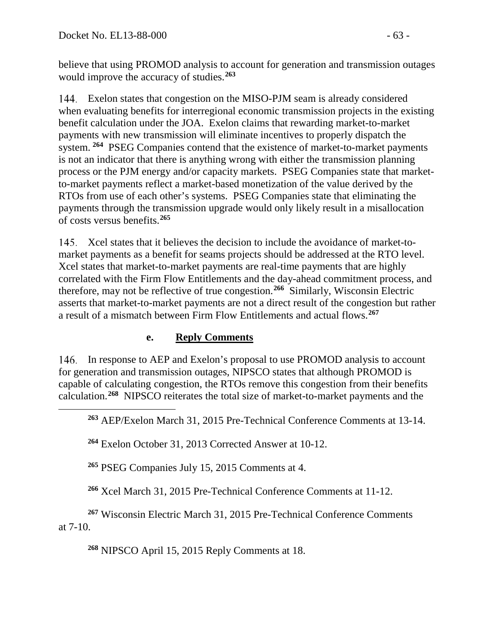believe that using PROMOD analysis to account for generation and transmission outages would improve the accuracy of studies.**[263](#page-62-0)**

Exelon states that congestion on the MISO-PJM seam is already considered when evaluating benefits for interregional economic transmission projects in the existing benefit calculation under the JOA. Exelon claims that rewarding market-to-market payments with new transmission will eliminate incentives to properly dispatch the system. **[264](#page-62-1)** PSEG Companies contend that the existence of market-to-market payments is not an indicator that there is anything wrong with either the transmission planning process or the PJM energy and/or capacity markets. PSEG Companies state that marketto-market payments reflect a market-based monetization of the value derived by the RTOs from use of each other's systems. PSEG Companies state that eliminating the payments through the transmission upgrade would only likely result in a misallocation of costs versus benefits.**[265](#page-62-2)**

145. Xcel states that it believes the decision to include the avoidance of market-tomarket payments as a benefit for seams projects should be addressed at the RTO level. Xcel states that market-to-market payments are real-time payments that are highly correlated with the Firm Flow Entitlements and the day-ahead commitment process, and therefore, may not be reflective of true congestion.**[266](#page-62-3)** Similarly, Wisconsin Electric asserts that market-to-market payments are not a direct result of the congestion but rather a result of a mismatch between Firm Flow Entitlements and actual flows.**[267](#page-62-4)**

### **e. Reply Comments**

<span id="page-62-0"></span>In response to AEP and Exelon's proposal to use PROMOD analysis to account for generation and transmission outages, NIPSCO states that although PROMOD is capable of calculating congestion, the RTOs remove this congestion from their benefits calculation. **[268](#page-62-5)** NIPSCO reiterates the total size of market-to-market payments and the

**<sup>263</sup>** AEP/Exelon March 31, 2015 Pre-Technical Conference Comments at 13-14.

<span id="page-62-1"></span>**<sup>264</sup>** Exelon October 31, 2013 Corrected Answer at 10-12.

**<sup>265</sup>** PSEG Companies July 15, 2015 Comments at 4.

**<sup>266</sup>** Xcel March 31, 2015 Pre-Technical Conference Comments at 11-12.

<span id="page-62-5"></span><span id="page-62-4"></span><span id="page-62-3"></span><span id="page-62-2"></span>**<sup>267</sup>** Wisconsin Electric March 31, 2015 Pre-Technical Conference Comments at 7-10.

**<sup>268</sup>** NIPSCO April 15, 2015 Reply Comments at 18.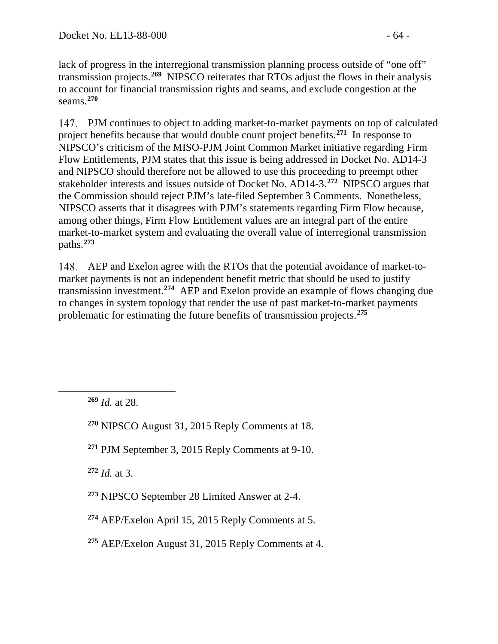lack of progress in the interregional transmission planning process outside of "one off" transmission projects. **[269](#page-63-0)** NIPSCO reiterates that RTOs adjust the flows in their analysis to account for financial transmission rights and seams, and exclude congestion at the seams.**[270](#page-63-1)**

PJM continues to object to adding market-to-market payments on top of calculated project benefits because that would double count project benefits.**[271](#page-63-2)** In response to NIPSCO's criticism of the MISO-PJM Joint Common Market initiative regarding Firm Flow Entitlements, PJM states that this issue is being addressed in Docket No. AD14-3 and NIPSCO should therefore not be allowed to use this proceeding to preempt other stakeholder interests and issues outside of Docket No. AD14-3.**[272](#page-63-3)** NIPSCO argues that the Commission should reject PJM's late-filed September 3 Comments. Nonetheless, NIPSCO asserts that it disagrees with PJM's statements regarding Firm Flow because, among other things, Firm Flow Entitlement values are an integral part of the entire market-to-market system and evaluating the overall value of interregional transmission paths.**[273](#page-63-4)**

AEP and Exelon agree with the RTOs that the potential avoidance of market-tomarket payments is not an independent benefit metric that should be used to justify transmission investment.**[274](#page-63-5)** AEP and Exelon provide an example of flows changing due to changes in system topology that render the use of past market-to-market payments problematic for estimating the future benefits of transmission projects.**[275](#page-63-6)**

<span id="page-63-2"></span><span id="page-63-1"></span><span id="page-63-0"></span> $\overline{a}$ 

<span id="page-63-3"></span>**<sup>272</sup>** *Id.* at 3.

- <span id="page-63-4"></span>**<sup>273</sup>** NIPSCO September 28 Limited Answer at 2-4.
- <span id="page-63-5"></span>**<sup>274</sup>** AEP/Exelon April 15, 2015 Reply Comments at 5.
- <span id="page-63-6"></span>**<sup>275</sup>** AEP/Exelon August 31, 2015 Reply Comments at 4.

**<sup>269</sup>** *Id.* at 28.

**<sup>270</sup>** NIPSCO August 31, 2015 Reply Comments at 18.

**<sup>271</sup>** PJM September 3, 2015 Reply Comments at 9-10.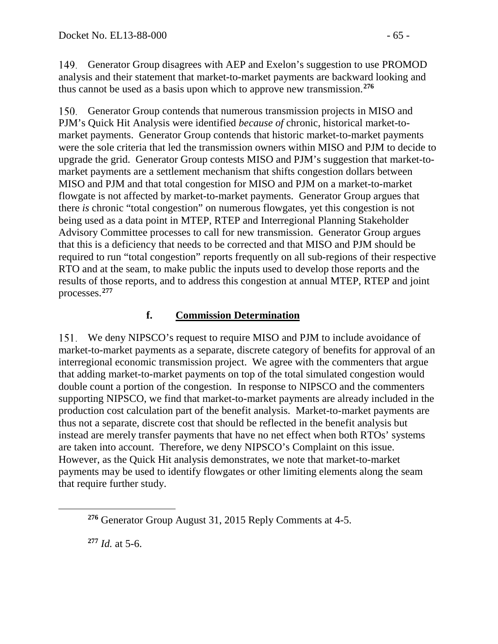149. Generator Group disagrees with AEP and Exelon's suggestion to use PROMOD analysis and their statement that market-to-market payments are backward looking and thus cannot be used as a basis upon which to approve new transmission.**[276](#page-64-0)**

150. Generator Group contends that numerous transmission projects in MISO and PJM's Quick Hit Analysis were identified *because of* chronic, historical market-tomarket payments. Generator Group contends that historic market-to-market payments were the sole criteria that led the transmission owners within MISO and PJM to decide to upgrade the grid. Generator Group contests MISO and PJM's suggestion that market-tomarket payments are a settlement mechanism that shifts congestion dollars between MISO and PJM and that total congestion for MISO and PJM on a market-to-market flowgate is not affected by market-to-market payments. Generator Group argues that there *is* chronic "total congestion" on numerous flowgates, yet this congestion is not being used as a data point in MTEP, RTEP and Interregional Planning Stakeholder Advisory Committee processes to call for new transmission. Generator Group argues that this is a deficiency that needs to be corrected and that MISO and PJM should be required to run "total congestion" reports frequently on all sub-regions of their respective RTO and at the seam, to make public the inputs used to develop those reports and the results of those reports, and to address this congestion at annual MTEP, RTEP and joint processes.**[277](#page-64-1)**

## **f. Commission Determination**

We deny NIPSCO's request to require MISO and PJM to include avoidance of market-to-market payments as a separate, discrete category of benefits for approval of an interregional economic transmission project. We agree with the commenters that argue that adding market-to-market payments on top of the total simulated congestion would double count a portion of the congestion. In response to NIPSCO and the commenters supporting NIPSCO, we find that market-to-market payments are already included in the production cost calculation part of the benefit analysis. Market-to-market payments are thus not a separate, discrete cost that should be reflected in the benefit analysis but instead are merely transfer payments that have no net effect when both RTOs' systems are taken into account. Therefore, we deny NIPSCO's Complaint on this issue. However, as the Quick Hit analysis demonstrates, we note that market-to-market payments may be used to identify flowgates or other limiting elements along the seam that require further study.

**<sup>277</sup>** *Id.* at 5-6.

<span id="page-64-1"></span><span id="page-64-0"></span> $\overline{a}$ 

**<sup>276</sup>** Generator Group August 31, 2015 Reply Comments at 4-5.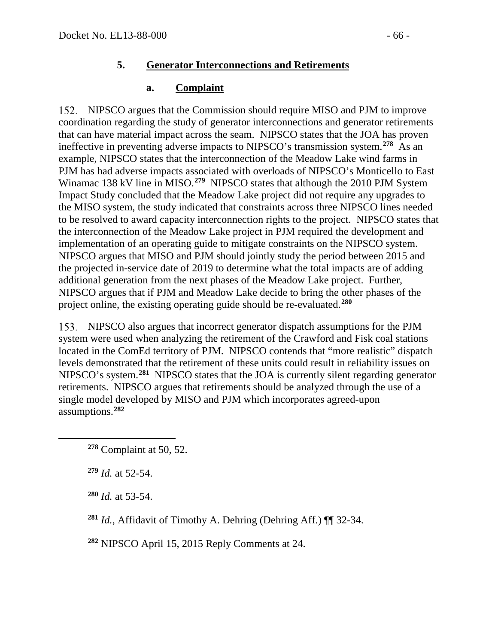### **5. Generator Interconnections and Retirements**

## **a. Complaint**

152. NIPSCO argues that the Commission should require MISO and PJM to improve coordination regarding the study of generator interconnections and generator retirements that can have material impact across the seam. NIPSCO states that the JOA has proven ineffective in preventing adverse impacts to NIPSCO's transmission system.**[278](#page-65-0)** As an example, NIPSCO states that the interconnection of the Meadow Lake wind farms in PJM has had adverse impacts associated with overloads of NIPSCO's Monticello to East Winamac 138 kV line in MISO.**[279](#page-65-1)** NIPSCO states that although the 2010 PJM System Impact Study concluded that the Meadow Lake project did not require any upgrades to the MISO system, the study indicated that constraints across three NIPSCO lines needed to be resolved to award capacity interconnection rights to the project. NIPSCO states that the interconnection of the Meadow Lake project in PJM required the development and implementation of an operating guide to mitigate constraints on the NIPSCO system. NIPSCO argues that MISO and PJM should jointly study the period between 2015 and the projected in-service date of 2019 to determine what the total impacts are of adding additional generation from the next phases of the Meadow Lake project. Further, NIPSCO argues that if PJM and Meadow Lake decide to bring the other phases of the project online, the existing operating guide should be re-evaluated.**[280](#page-65-2)**

NIPSCO also argues that incorrect generator dispatch assumptions for the PJM system were used when analyzing the retirement of the Crawford and Fisk coal stations located in the ComEd territory of PJM. NIPSCO contends that "more realistic" dispatch levels demonstrated that the retirement of these units could result in reliability issues on NIPSCO's system.**[281](#page-65-3)** NIPSCO states that the JOA is currently silent regarding generator retirements. NIPSCO argues that retirements should be analyzed through the use of a single model developed by MISO and PJM which incorporates agreed-upon assumptions.**[282](#page-65-4)**

**<sup>279</sup>** *Id.* at 52-54.

<span id="page-65-2"></span><span id="page-65-1"></span><span id="page-65-0"></span> $\overline{a}$ 

**<sup>280</sup>** *Id.* at 53-54.

<span id="page-65-3"></span>**<sup>281</sup>** *Id.*, Affidavit of Timothy A. Dehring (Dehring Aff.) ¶¶ 32-34.

<span id="page-65-4"></span>**<sup>282</sup>** NIPSCO April 15, 2015 Reply Comments at 24.

**<sup>278</sup>** Complaint at 50, 52.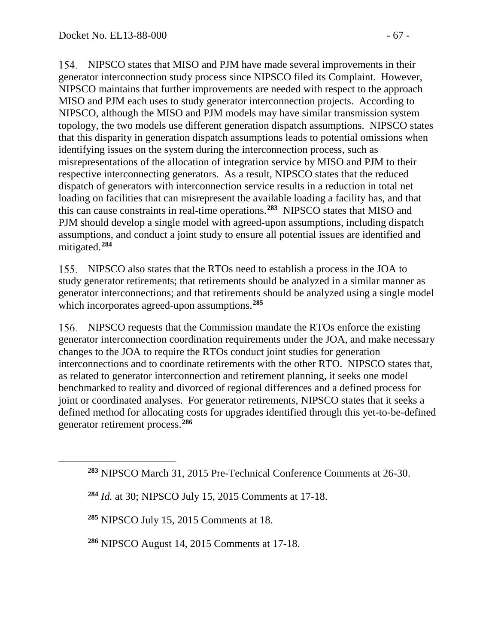NIPSCO states that MISO and PJM have made several improvements in their generator interconnection study process since NIPSCO filed its Complaint. However, NIPSCO maintains that further improvements are needed with respect to the approach MISO and PJM each uses to study generator interconnection projects. According to NIPSCO, although the MISO and PJM models may have similar transmission system topology, the two models use different generation dispatch assumptions. NIPSCO states that this disparity in generation dispatch assumptions leads to potential omissions when identifying issues on the system during the interconnection process, such as misrepresentations of the allocation of integration service by MISO and PJM to their respective interconnecting generators. As a result, NIPSCO states that the reduced dispatch of generators with interconnection service results in a reduction in total net loading on facilities that can misrepresent the available loading a facility has, and that this can cause constraints in real-time operations.**[283](#page-66-0)** NIPSCO states that MISO and PJM should develop a single model with agreed-upon assumptions, including dispatch assumptions, and conduct a joint study to ensure all potential issues are identified and mitigated.**[284](#page-66-1)**

NIPSCO also states that the RTOs need to establish a process in the JOA to study generator retirements; that retirements should be analyzed in a similar manner as generator interconnections; and that retirements should be analyzed using a single model which incorporates agreed-upon assumptions.**[285](#page-66-2)**

NIPSCO requests that the Commission mandate the RTOs enforce the existing generator interconnection coordination requirements under the JOA, and make necessary changes to the JOA to require the RTOs conduct joint studies for generation interconnections and to coordinate retirements with the other RTO. NIPSCO states that, as related to generator interconnection and retirement planning, it seeks one model benchmarked to reality and divorced of regional differences and a defined process for joint or coordinated analyses. For generator retirements, NIPSCO states that it seeks a defined method for allocating costs for upgrades identified through this yet-to-be-defined generator retirement process.**[286](#page-66-3)**

**<sup>285</sup>** NIPSCO July 15, 2015 Comments at 18.

<span id="page-66-2"></span><span id="page-66-1"></span><span id="page-66-0"></span> $\overline{a}$ 

<span id="page-66-3"></span>**<sup>286</sup>** NIPSCO August 14, 2015 Comments at 17-18.

**<sup>283</sup>** NIPSCO March 31, 2015 Pre-Technical Conference Comments at 26-30.

**<sup>284</sup>** *Id.* at 30; NIPSCO July 15, 2015 Comments at 17-18.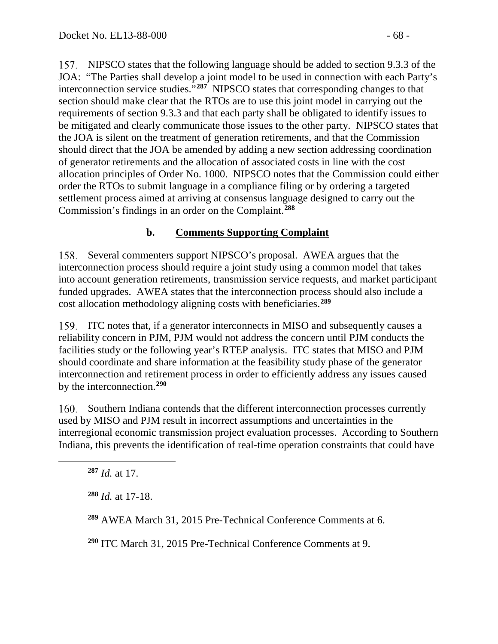NIPSCO states that the following language should be added to section 9.3.3 of the JOA: "The Parties shall develop a joint model to be used in connection with each Party's interconnection service studies.<sup>"[287](#page-67-0)</sup> NIPSCO states that corresponding changes to that section should make clear that the RTOs are to use this joint model in carrying out the requirements of section 9.3.3 and that each party shall be obligated to identify issues to be mitigated and clearly communicate those issues to the other party. NIPSCO states that the JOA is silent on the treatment of generation retirements, and that the Commission should direct that the JOA be amended by adding a new section addressing coordination of generator retirements and the allocation of associated costs in line with the cost allocation principles of Order No. 1000. NIPSCO notes that the Commission could either order the RTOs to submit language in a compliance filing or by ordering a targeted settlement process aimed at arriving at consensus language designed to carry out the Commission's findings in an order on the Complaint.**[288](#page-67-1)**

## **b. Comments Supporting Complaint**

158. Several commenters support NIPSCO's proposal. AWEA argues that the interconnection process should require a joint study using a common model that takes into account generation retirements, transmission service requests, and market participant funded upgrades. AWEA states that the interconnection process should also include a cost allocation methodology aligning costs with beneficiaries.**[289](#page-67-2)**

ITC notes that, if a generator interconnects in MISO and subsequently causes a reliability concern in PJM, PJM would not address the concern until PJM conducts the facilities study or the following year's RTEP analysis. ITC states that MISO and PJM should coordinate and share information at the feasibility study phase of the generator interconnection and retirement process in order to efficiently address any issues caused by the interconnection.**[290](#page-67-3)**

160. Southern Indiana contends that the different interconnection processes currently used by MISO and PJM result in incorrect assumptions and uncertainties in the interregional economic transmission project evaluation processes. According to Southern Indiana, this prevents the identification of real-time operation constraints that could have

**<sup>287</sup>** *Id.* at 17.

<span id="page-67-2"></span><span id="page-67-1"></span><span id="page-67-0"></span> $\overline{a}$ 

**<sup>288</sup>** *Id.* at 17-18.

**<sup>289</sup>** AWEA March 31, 2015 Pre-Technical Conference Comments at 6.

<span id="page-67-3"></span>**<sup>290</sup>** ITC March 31, 2015 Pre-Technical Conference Comments at 9.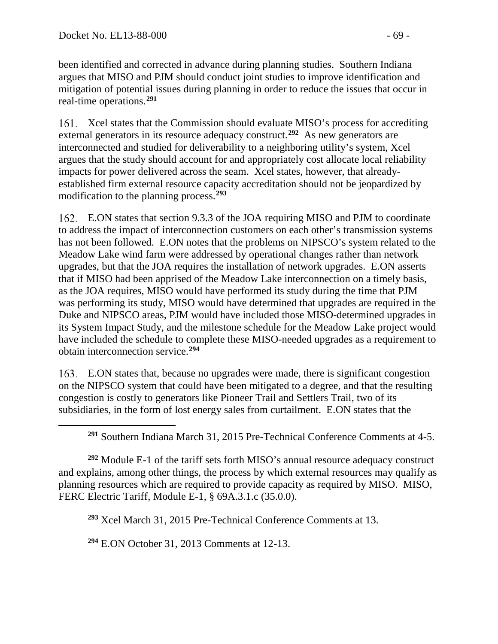been identified and corrected in advance during planning studies. Southern Indiana argues that MISO and PJM should conduct joint studies to improve identification and mitigation of potential issues during planning in order to reduce the issues that occur in real-time operations.**[291](#page-68-0)**

Xcel states that the Commission should evaluate MISO's process for accrediting external generators in its resource adequacy construct.**[292](#page-68-1)** As new generators are interconnected and studied for deliverability to a neighboring utility's system, Xcel argues that the study should account for and appropriately cost allocate local reliability impacts for power delivered across the seam. Xcel states, however, that alreadyestablished firm external resource capacity accreditation should not be jeopardized by modification to the planning process.**[293](#page-68-2)**

E.ON states that section 9.3.3 of the JOA requiring MISO and PJM to coordinate to address the impact of interconnection customers on each other's transmission systems has not been followed. E.ON notes that the problems on NIPSCO's system related to the Meadow Lake wind farm were addressed by operational changes rather than network upgrades, but that the JOA requires the installation of network upgrades. E.ON asserts that if MISO had been apprised of the Meadow Lake interconnection on a timely basis, as the JOA requires, MISO would have performed its study during the time that PJM was performing its study, MISO would have determined that upgrades are required in the Duke and NIPSCO areas, PJM would have included those MISO-determined upgrades in its System Impact Study, and the milestone schedule for the Meadow Lake project would have included the schedule to complete these MISO-needed upgrades as a requirement to obtain interconnection service.**[294](#page-68-3)**

E.ON states that, because no upgrades were made, there is significant congestion on the NIPSCO system that could have been mitigated to a degree, and that the resulting congestion is costly to generators like Pioneer Trail and Settlers Trail, two of its subsidiaries, in the form of lost energy sales from curtailment. E.ON states that the

**<sup>291</sup>** Southern Indiana March 31, 2015 Pre-Technical Conference Comments at 4-5.

<span id="page-68-2"></span><span id="page-68-1"></span><span id="page-68-0"></span>**<sup>292</sup>** Module E-1 of the tariff sets forth MISO's annual resource adequacy construct and explains, among other things, the process by which external resources may qualify as planning resources which are required to provide capacity as required by MISO. MISO, FERC Electric Tariff, Module E-1, § 69A.3.1.c (35.0.0).

**<sup>293</sup>** Xcel March 31, 2015 Pre-Technical Conference Comments at 13.

<span id="page-68-3"></span>**<sup>294</sup>** E.ON October 31, 2013 Comments at 12-13.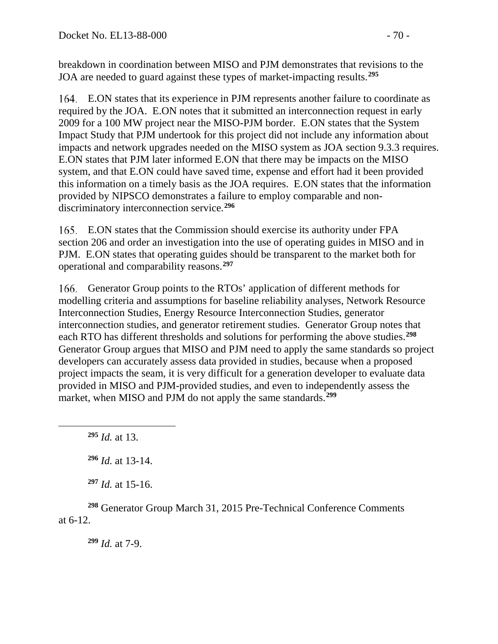breakdown in coordination between MISO and PJM demonstrates that revisions to the JOA are needed to guard against these types of market-impacting results.**[295](#page-69-0)**

E.ON states that its experience in PJM represents another failure to coordinate as required by the JOA. E.ON notes that it submitted an interconnection request in early 2009 for a 100 MW project near the MISO-PJM border. E.ON states that the System Impact Study that PJM undertook for this project did not include any information about impacts and network upgrades needed on the MISO system as JOA section 9.3.3 requires. E.ON states that PJM later informed E.ON that there may be impacts on the MISO system, and that E.ON could have saved time, expense and effort had it been provided this information on a timely basis as the JOA requires. E.ON states that the information provided by NIPSCO demonstrates a failure to employ comparable and nondiscriminatory interconnection service.**[296](#page-69-1)**

E.ON states that the Commission should exercise its authority under FPA section 206 and order an investigation into the use of operating guides in MISO and in PJM. E.ON states that operating guides should be transparent to the market both for operational and comparability reasons.**[297](#page-69-2)**

166. Generator Group points to the RTOs' application of different methods for modelling criteria and assumptions for baseline reliability analyses, Network Resource Interconnection Studies, Energy Resource Interconnection Studies, generator interconnection studies, and generator retirement studies. Generator Group notes that each RTO has different thresholds and solutions for performing the above studies.**[298](#page-69-3)** Generator Group argues that MISO and PJM need to apply the same standards so project developers can accurately assess data provided in studies, because when a proposed project impacts the seam, it is very difficult for a generation developer to evaluate data provided in MISO and PJM-provided studies, and even to independently assess the market, when MISO and PJM do not apply the same standards. **[299](#page-69-4)**

**<sup>295</sup>** *Id.* at 13.

<span id="page-69-1"></span><span id="page-69-0"></span> $\overline{a}$ 

**<sup>296</sup>** *Id.* at 13-14.

**<sup>297</sup>** *Id.* at 15-16.

<span id="page-69-4"></span><span id="page-69-3"></span><span id="page-69-2"></span>**<sup>298</sup>** Generator Group March 31, 2015 Pre-Technical Conference Comments at 6-12.

**<sup>299</sup>** *Id.* at 7-9.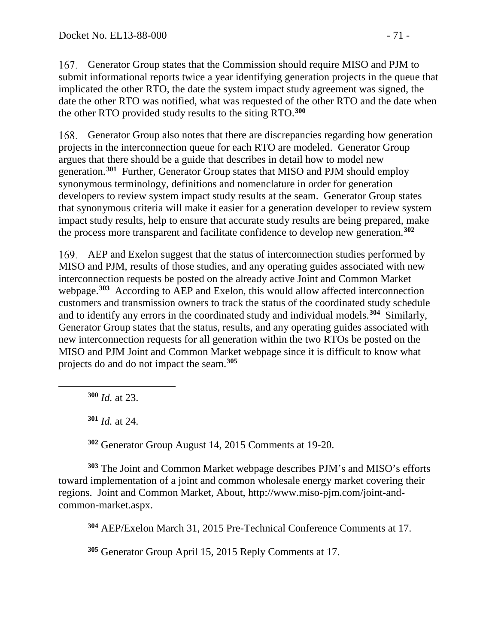167. Generator Group states that the Commission should require MISO and PJM to submit informational reports twice a year identifying generation projects in the queue that implicated the other RTO, the date the system impact study agreement was signed, the date the other RTO was notified, what was requested of the other RTO and the date when the other RTO provided study results to the siting RTO.**[300](#page-70-0)**

Generator Group also notes that there are discrepancies regarding how generation projects in the interconnection queue for each RTO are modeled. Generator Group argues that there should be a guide that describes in detail how to model new generation.**[301](#page-70-1)** Further, Generator Group states that MISO and PJM should employ synonymous terminology, definitions and nomenclature in order for generation developers to review system impact study results at the seam. Generator Group states that synonymous criteria will make it easier for a generation developer to review system impact study results, help to ensure that accurate study results are being prepared, make the process more transparent and facilitate confidence to develop new generation.**[302](#page-70-2)**

AEP and Exelon suggest that the status of interconnection studies performed by MISO and PJM, results of those studies, and any operating guides associated with new interconnection requests be posted on the already active Joint and Common Market webpage.**[303](#page-70-3)** According to AEP and Exelon, this would allow affected interconnection customers and transmission owners to track the status of the coordinated study schedule and to identify any errors in the coordinated study and individual models.**[304](#page-70-4)** Similarly, Generator Group states that the status, results, and any operating guides associated with new interconnection requests for all generation within the two RTOs be posted on the MISO and PJM Joint and Common Market webpage since it is difficult to know what projects do and do not impact the seam.**[305](#page-70-5)**

**<sup>300</sup>** *Id.* at 23.

<span id="page-70-1"></span><span id="page-70-0"></span> $\overline{a}$ 

**<sup>301</sup>** *Id.* at 24.

**<sup>302</sup>** Generator Group August 14, 2015 Comments at 19-20.

<span id="page-70-4"></span><span id="page-70-3"></span><span id="page-70-2"></span>**<sup>303</sup>** The Joint and Common Market webpage describes PJM's and MISO's efforts toward implementation of a joint and common wholesale energy market covering their regions. Joint and Common Market, About, http://www.miso-pjm.com/joint-andcommon-market.aspx.

**<sup>304</sup>** AEP/Exelon March 31, 2015 Pre-Technical Conference Comments at 17.

<span id="page-70-5"></span>**<sup>305</sup>** Generator Group April 15, 2015 Reply Comments at 17.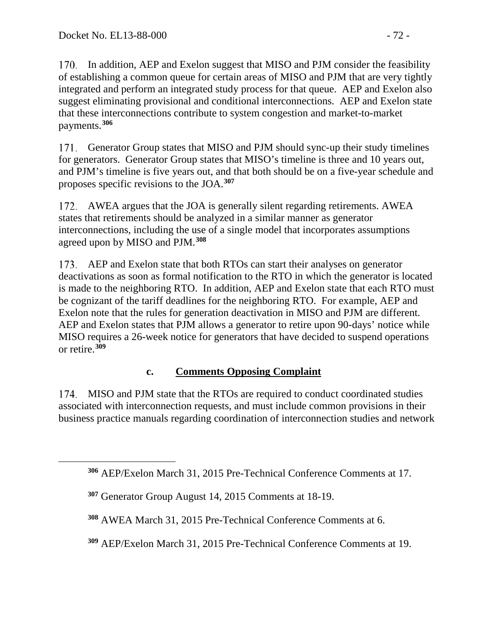170. In addition, AEP and Exelon suggest that MISO and PJM consider the feasibility of establishing a common queue for certain areas of MISO and PJM that are very tightly integrated and perform an integrated study process for that queue. AEP and Exelon also suggest eliminating provisional and conditional interconnections. AEP and Exelon state that these interconnections contribute to system congestion and market-to-market payments.**[306](#page-71-0)**

171. Generator Group states that MISO and PJM should sync-up their study timelines for generators. Generator Group states that MISO's timeline is three and 10 years out, and PJM's timeline is five years out, and that both should be on a five-year schedule and proposes specific revisions to the JOA.**[307](#page-71-1)**

AWEA argues that the JOA is generally silent regarding retirements. AWEA states that retirements should be analyzed in a similar manner as generator interconnections, including the use of a single model that incorporates assumptions agreed upon by MISO and PJM.**[308](#page-71-2)**

173. AEP and Exelon state that both RTOs can start their analyses on generator deactivations as soon as formal notification to the RTO in which the generator is located is made to the neighboring RTO. In addition, AEP and Exelon state that each RTO must be cognizant of the tariff deadlines for the neighboring RTO. For example, AEP and Exelon note that the rules for generation deactivation in MISO and PJM are different. AEP and Exelon states that PJM allows a generator to retire upon 90-days' notice while MISO requires a 26-week notice for generators that have decided to suspend operations or retire.**[309](#page-71-3)**

## **c. Comments Opposing Complaint**

174. MISO and PJM state that the RTOs are required to conduct coordinated studies associated with interconnection requests, and must include common provisions in their business practice manuals regarding coordination of interconnection studies and network

<span id="page-71-0"></span>**<sup>306</sup>** AEP/Exelon March 31, 2015 Pre-Technical Conference Comments at 17.

<span id="page-71-1"></span>**<sup>307</sup>** Generator Group August 14, 2015 Comments at 18-19.

<span id="page-71-2"></span>**<sup>308</sup>** AWEA March 31, 2015 Pre-Technical Conference Comments at 6.

<span id="page-71-3"></span>**<sup>309</sup>** AEP/Exelon March 31, 2015 Pre-Technical Conference Comments at 19.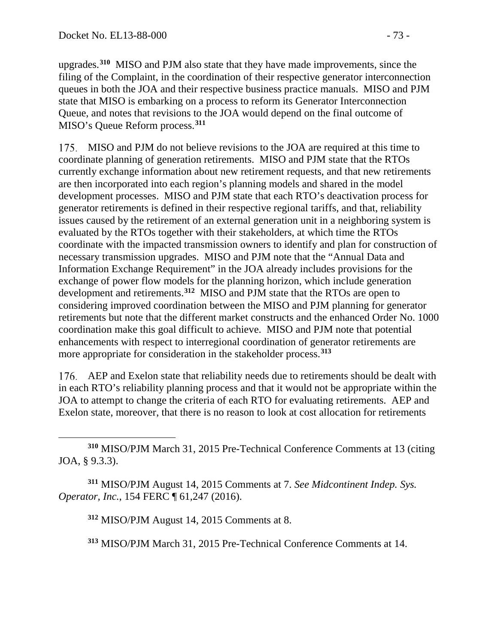upgrades.**[310](#page-72-0)** MISO and PJM also state that they have made improvements, since the filing of the Complaint, in the coordination of their respective generator interconnection queues in both the JOA and their respective business practice manuals. MISO and PJM state that MISO is embarking on a process to reform its Generator Interconnection Queue, and notes that revisions to the JOA would depend on the final outcome of MISO's Queue Reform process.**[311](#page-72-1)**

MISO and PJM do not believe revisions to the JOA are required at this time to coordinate planning of generation retirements. MISO and PJM state that the RTOs currently exchange information about new retirement requests, and that new retirements are then incorporated into each region's planning models and shared in the model development processes. MISO and PJM state that each RTO's deactivation process for generator retirements is defined in their respective regional tariffs, and that, reliability issues caused by the retirement of an external generation unit in a neighboring system is evaluated by the RTOs together with their stakeholders, at which time the RTOs coordinate with the impacted transmission owners to identify and plan for construction of necessary transmission upgrades. MISO and PJM note that the "Annual Data and Information Exchange Requirement" in the JOA already includes provisions for the exchange of power flow models for the planning horizon, which include generation development and retirements.**[312](#page-72-2)** MISO and PJM state that the RTOs are open to considering improved coordination between the MISO and PJM planning for generator retirements but note that the different market constructs and the enhanced Order No. 1000 coordination make this goal difficult to achieve. MISO and PJM note that potential enhancements with respect to interregional coordination of generator retirements are more appropriate for consideration in the stakeholder process.**[313](#page-72-3)**

AEP and Exelon state that reliability needs due to retirements should be dealt with in each RTO's reliability planning process and that it would not be appropriate within the JOA to attempt to change the criteria of each RTO for evaluating retirements. AEP and Exelon state, moreover, that there is no reason to look at cost allocation for retirements

<span id="page-72-0"></span> $\overline{a}$ **<sup>310</sup>** MISO/PJM March 31, 2015 Pre-Technical Conference Comments at 13 (citing JOA, § 9.3.3).

<span id="page-72-3"></span><span id="page-72-2"></span><span id="page-72-1"></span>**<sup>311</sup>** MISO/PJM August 14, 2015 Comments at 7. *See Midcontinent Indep. Sys. Operator, Inc.*, 154 FERC ¶ 61,247 (2016).

**<sup>312</sup>** MISO/PJM August 14, 2015 Comments at 8.

**<sup>313</sup>** MISO/PJM March 31, 2015 Pre-Technical Conference Comments at 14.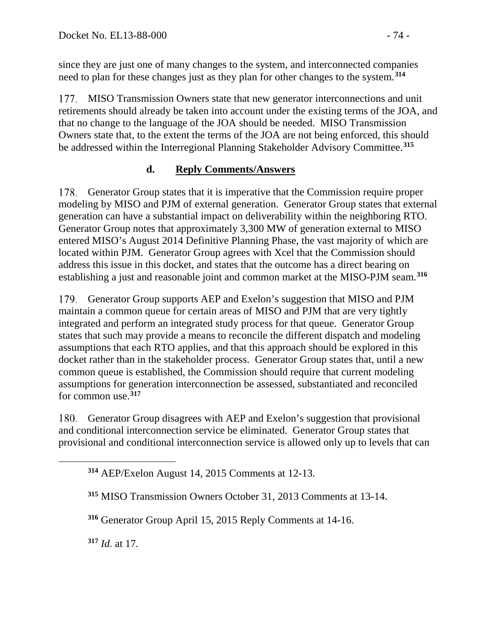since they are just one of many changes to the system, and interconnected companies need to plan for these changes just as they plan for other changes to the system.**[314](#page-73-0)**

177. MISO Transmission Owners state that new generator interconnections and unit retirements should already be taken into account under the existing terms of the JOA, and that no change to the language of the JOA should be needed. MISO Transmission Owners state that, to the extent the terms of the JOA are not being enforced, this should be addressed within the Interregional Planning Stakeholder Advisory Committee. **[315](#page-73-1)**

## **d. Reply Comments/Answers**

178. Generator Group states that it is imperative that the Commission require proper modeling by MISO and PJM of external generation. Generator Group states that external generation can have a substantial impact on deliverability within the neighboring RTO. Generator Group notes that approximately 3,300 MW of generation external to MISO entered MISO's August 2014 Definitive Planning Phase, the vast majority of which are located within PJM. Generator Group agrees with Xcel that the Commission should address this issue in this docket, and states that the outcome has a direct bearing on establishing a just and reasonable joint and common market at the MISO-PJM seam.**[316](#page-73-2)**

179. Generator Group supports AEP and Exelon's suggestion that MISO and PJM maintain a common queue for certain areas of MISO and PJM that are very tightly integrated and perform an integrated study process for that queue. Generator Group states that such may provide a means to reconcile the different dispatch and modeling assumptions that each RTO applies, and that this approach should be explored in this docket rather than in the stakeholder process. Generator Group states that, until a new common queue is established, the Commission should require that current modeling assumptions for generation interconnection be assessed, substantiated and reconciled for common use.**[317](#page-73-3)**

Generator Group disagrees with AEP and Exelon's suggestion that provisional 180. and conditional interconnection service be eliminated. Generator Group states that provisional and conditional interconnection service is allowed only up to levels that can

**<sup>314</sup>** AEP/Exelon August 14, 2015 Comments at 12-13.

**<sup>315</sup>** MISO Transmission Owners October 31, 2013 Comments at 13-14.

**<sup>316</sup>** Generator Group April 15, 2015 Reply Comments at 14-16.

<span id="page-73-3"></span>**<sup>317</sup>** *Id.* at 17.

<span id="page-73-2"></span><span id="page-73-1"></span><span id="page-73-0"></span> $\overline{a}$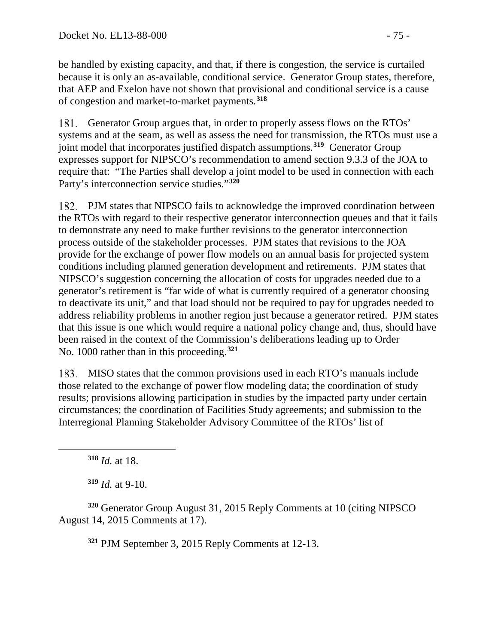be handled by existing capacity, and that, if there is congestion, the service is curtailed because it is only an as-available, conditional service. Generator Group states, therefore, that AEP and Exelon have not shown that provisional and conditional service is a cause of congestion and market-to-market payments. **[318](#page-74-0)**

181. Generator Group argues that, in order to properly assess flows on the RTOs' systems and at the seam, as well as assess the need for transmission, the RTOs must use a joint model that incorporates justified dispatch assumptions.**[319](#page-74-1)** Generator Group expresses support for NIPSCO's recommendation to amend section 9.3.3 of the JOA to require that: "The Parties shall develop a joint model to be used in connection with each Party's interconnection service studies."**[320](#page-74-2)**

PJM states that NIPSCO fails to acknowledge the improved coordination between the RTOs with regard to their respective generator interconnection queues and that it fails to demonstrate any need to make further revisions to the generator interconnection process outside of the stakeholder processes. PJM states that revisions to the JOA provide for the exchange of power flow models on an annual basis for projected system conditions including planned generation development and retirements. PJM states that NIPSCO's suggestion concerning the allocation of costs for upgrades needed due to a generator's retirement is "far wide of what is currently required of a generator choosing to deactivate its unit," and that load should not be required to pay for upgrades needed to address reliability problems in another region just because a generator retired. PJM states that this issue is one which would require a national policy change and, thus, should have been raised in the context of the Commission's deliberations leading up to Order No. 1000 rather than in this proceeding. **[321](#page-74-3)**

MISO states that the common provisions used in each RTO's manuals include those related to the exchange of power flow modeling data; the coordination of study results; provisions allowing participation in studies by the impacted party under certain circumstances; the coordination of Facilities Study agreements; and submission to the Interregional Planning Stakeholder Advisory Committee of the RTOs' list of

**<sup>318</sup>** *Id.* at 18.

<span id="page-74-0"></span> $\overline{a}$ 

**<sup>319</sup>** *Id.* at 9-10.

<span id="page-74-3"></span><span id="page-74-2"></span><span id="page-74-1"></span>**<sup>320</sup>** Generator Group August 31, 2015 Reply Comments at 10 (citing NIPSCO August 14, 2015 Comments at 17).

**<sup>321</sup>** PJM September 3, 2015 Reply Comments at 12-13.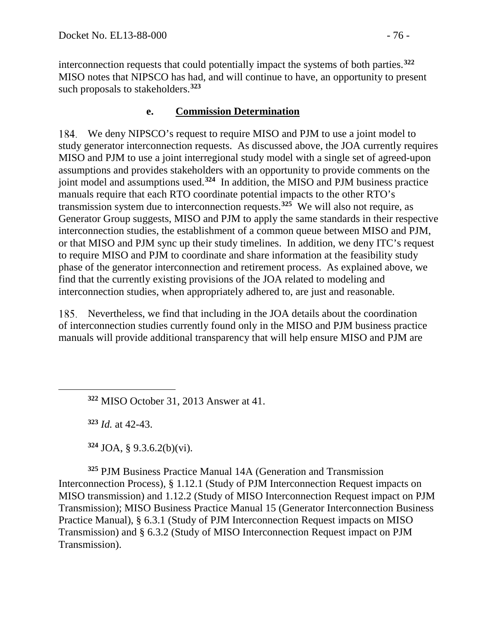interconnection requests that could potentially impact the systems of both parties.**[322](#page-75-0)** MISO notes that NIPSCO has had, and will continue to have, an opportunity to present such proposals to stakeholders.**[323](#page-75-1)**

## <span id="page-75-4"></span>**e. Commission Determination**

We deny NIPSCO's request to require MISO and PJM to use a joint model to study generator interconnection requests. As discussed above, the JOA currently requires MISO and PJM to use a joint interregional study model with a single set of agreed-upon assumptions and provides stakeholders with an opportunity to provide comments on the joint model and assumptions used.**[324](#page-75-2)** In addition, the MISO and PJM business practice manuals require that each RTO coordinate potential impacts to the other RTO's transmission system due to interconnection requests. **[325](#page-75-3)** We will also not require, as Generator Group suggests, MISO and PJM to apply the same standards in their respective interconnection studies, the establishment of a common queue between MISO and PJM, or that MISO and PJM sync up their study timelines. In addition, we deny ITC's request to require MISO and PJM to coordinate and share information at the feasibility study phase of the generator interconnection and retirement process. As explained above, we find that the currently existing provisions of the JOA related to modeling and interconnection studies, when appropriately adhered to, are just and reasonable.

Nevertheless, we find that including in the JOA details about the coordination of interconnection studies currently found only in the MISO and PJM business practice manuals will provide additional transparency that will help ensure MISO and PJM are

**<sup>322</sup>** MISO October 31, 2013 Answer at 41.

**<sup>323</sup>** *Id.* at 42-43.

<span id="page-75-1"></span><span id="page-75-0"></span> $\overline{a}$ 

**<sup>324</sup>** JOA, § 9.3.6.2(b)(vi).

<span id="page-75-3"></span><span id="page-75-2"></span>**<sup>325</sup>** PJM Business Practice Manual 14A (Generation and Transmission Interconnection Process), § 1.12.1 (Study of PJM Interconnection Request impacts on MISO transmission) and 1.12.2 (Study of MISO Interconnection Request impact on PJM Transmission); MISO Business Practice Manual 15 (Generator Interconnection Business Practice Manual), § 6.3.1 (Study of PJM Interconnection Request impacts on MISO Transmission) and § 6.3.2 (Study of MISO Interconnection Request impact on PJM Transmission).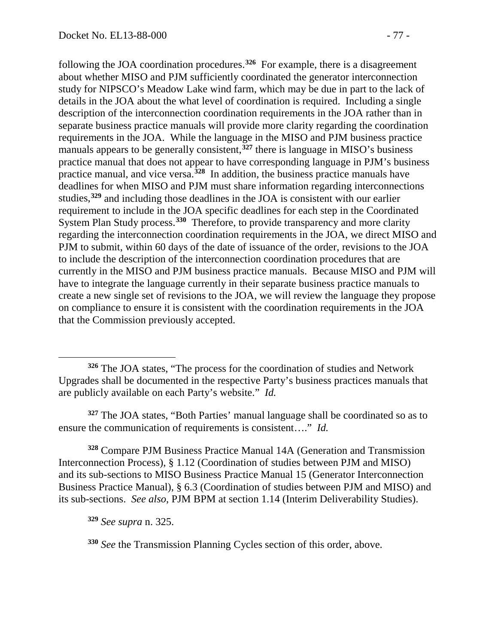following the JOA coordination procedures.**[326](#page-76-0)** For example, there is a disagreement about whether MISO and PJM sufficiently coordinated the generator interconnection study for NIPSCO's Meadow Lake wind farm, which may be due in part to the lack of details in the JOA about the what level of coordination is required. Including a single description of the interconnection coordination requirements in the JOA rather than in separate business practice manuals will provide more clarity regarding the coordination requirements in the JOA. While the language in the MISO and PJM business practice manuals appears to be generally consistent,<sup>[327](#page-76-1)</sup> there is language in MISO's business practice manual that does not appear to have corresponding language in PJM's business practice manual, and vice versa.**[328](#page-76-2)** In addition, the business practice manuals have deadlines for when MISO and PJM must share information regarding interconnections studies,**[329](#page-76-3)** and including those deadlines in the JOA is consistent with our earlier requirement to include in the JOA specific deadlines for each step in the Coordinated System Plan Study process.**[330](#page-76-4)** Therefore, to provide transparency and more clarity regarding the interconnection coordination requirements in the JOA, we direct MISO and PJM to submit, within 60 days of the date of issuance of the order, revisions to the JOA to include the description of the interconnection coordination procedures that are currently in the MISO and PJM business practice manuals. Because MISO and PJM will have to integrate the language currently in their separate business practice manuals to create a new single set of revisions to the JOA, we will review the language they propose on compliance to ensure it is consistent with the coordination requirements in the JOA that the Commission previously accepted.

<span id="page-76-1"></span>**<sup>327</sup>** The JOA states, "Both Parties' manual language shall be coordinated so as to ensure the communication of requirements is consistent…." *Id.*

<span id="page-76-2"></span>**<sup>328</sup>** Compare PJM Business Practice Manual 14A (Generation and Transmission Interconnection Process), § 1.12 (Coordination of studies between PJM and MISO) and its sub-sections to MISO Business Practice Manual 15 (Generator Interconnection Business Practice Manual), § 6.3 (Coordination of studies between PJM and MISO) and its sub-sections. *See also*, PJM BPM at section 1.14 (Interim Deliverability Studies).

<span id="page-76-3"></span>**<sup>329</sup>** *See supra* n. [325.](#page-75-4)

 $\overline{a}$ 

<span id="page-76-4"></span>**<sup>330</sup>** *See* the Transmission Planning Cycles section of this order, above.

<span id="page-76-0"></span>**<sup>326</sup>** The JOA states, "The process for the coordination of studies and Network Upgrades shall be documented in the respective Party's business practices manuals that are publicly available on each Party's website." *Id.*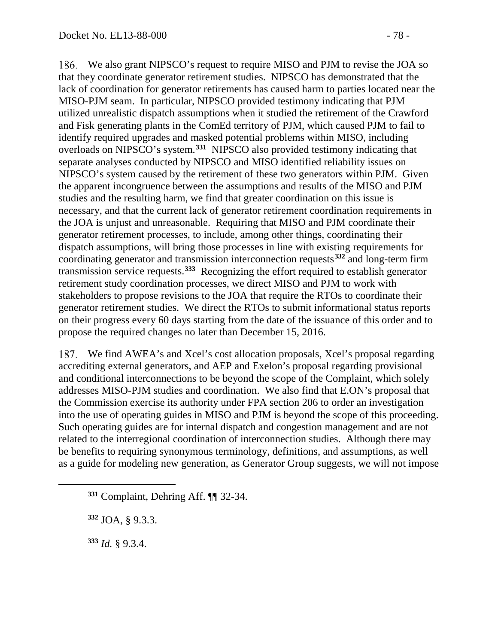We also grant NIPSCO's request to require MISO and PJM to revise the JOA so that they coordinate generator retirement studies. NIPSCO has demonstrated that the lack of coordination for generator retirements has caused harm to parties located near the MISO-PJM seam. In particular, NIPSCO provided testimony indicating that PJM utilized unrealistic dispatch assumptions when it studied the retirement of the Crawford and Fisk generating plants in the ComEd territory of PJM, which caused PJM to fail to identify required upgrades and masked potential problems within MISO, including overloads on NIPSCO's system. **[331](#page-77-0)** NIPSCO also provided testimony indicating that separate analyses conducted by NIPSCO and MISO identified reliability issues on NIPSCO's system caused by the retirement of these two generators within PJM. Given the apparent incongruence between the assumptions and results of the MISO and PJM studies and the resulting harm, we find that greater coordination on this issue is necessary, and that the current lack of generator retirement coordination requirements in the JOA is unjust and unreasonable. Requiring that MISO and PJM coordinate their generator retirement processes, to include, among other things, coordinating their dispatch assumptions, will bring those processes in line with existing requirements for coordinating generator and transmission interconnection requests**[332](#page-77-1)** and long-term firm transmission service requests.**[333](#page-77-2)** Recognizing the effort required to establish generator retirement study coordination processes, we direct MISO and PJM to work with stakeholders to propose revisions to the JOA that require the RTOs to coordinate their generator retirement studies. We direct the RTOs to submit informational status reports on their progress every 60 days starting from the date of the issuance of this order and to propose the required changes no later than December 15, 2016.

We find AWEA's and Xcel's cost allocation proposals, Xcel's proposal regarding accrediting external generators, and AEP and Exelon's proposal regarding provisional and conditional interconnections to be beyond the scope of the Complaint, which solely addresses MISO-PJM studies and coordination. We also find that E.ON's proposal that the Commission exercise its authority under FPA section 206 to order an investigation into the use of operating guides in MISO and PJM is beyond the scope of this proceeding. Such operating guides are for internal dispatch and congestion management and are not related to the interregional coordination of interconnection studies. Although there may be benefits to requiring synonymous terminology, definitions, and assumptions, as well as a guide for modeling new generation, as Generator Group suggests, we will not impose

**<sup>332</sup>** JOA, § 9.3.3.

**<sup>333</sup>** *Id.* § 9.3.4.

<span id="page-77-2"></span><span id="page-77-1"></span><span id="page-77-0"></span> $\overline{a}$ 

**<sup>331</sup>** Complaint, Dehring Aff. ¶¶ 32-34.